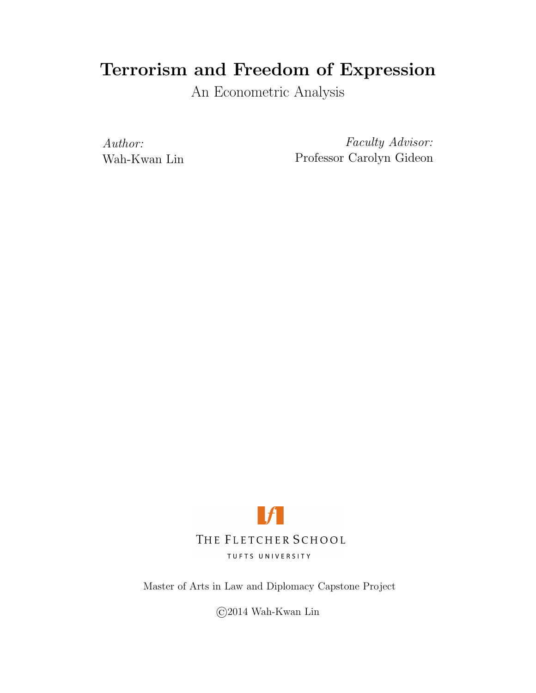## Terrorism and Freedom of Expression

An Econometric Analysis

Author: Wah-Kwan Lin

Faculty Advisor: Professor Carolyn Gideon



Master of Arts in Law and Diplomacy Capstone Project

©2014 Wah-Kwan Lin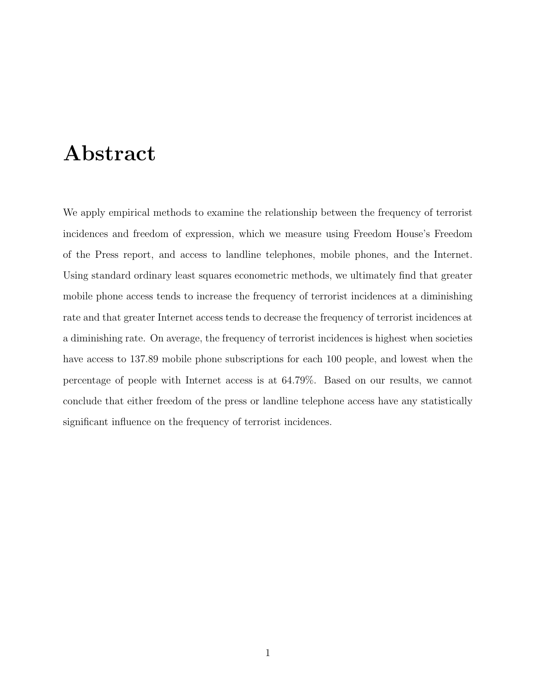## Abstract

We apply empirical methods to examine the relationship between the frequency of terrorist incidences and freedom of expression, which we measure using Freedom House's Freedom of the Press report, and access to landline telephones, mobile phones, and the Internet. Using standard ordinary least squares econometric methods, we ultimately find that greater mobile phone access tends to increase the frequency of terrorist incidences at a diminishing rate and that greater Internet access tends to decrease the frequency of terrorist incidences at a diminishing rate. On average, the frequency of terrorist incidences is highest when societies have access to 137.89 mobile phone subscriptions for each 100 people, and lowest when the percentage of people with Internet access is at 64.79%. Based on our results, we cannot conclude that either freedom of the press or landline telephone access have any statistically significant influence on the frequency of terrorist incidences.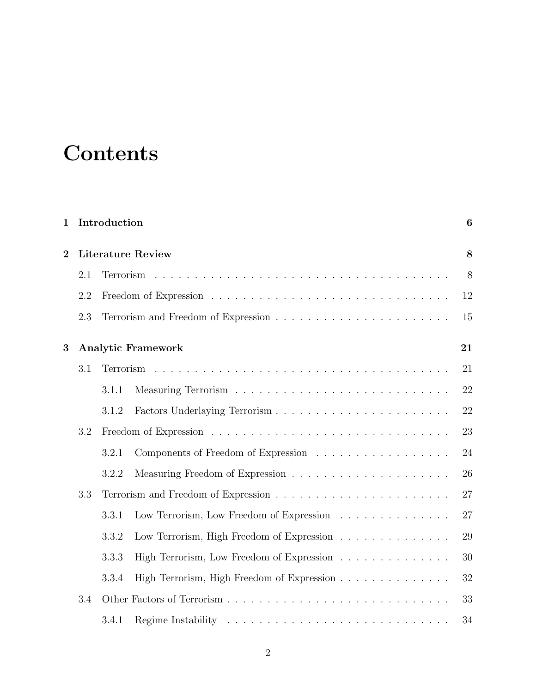# **Contents**

| 1              | Introduction |                          |                                            |    |  |  |  |
|----------------|--------------|--------------------------|--------------------------------------------|----|--|--|--|
| $\overline{2}$ |              | <b>Literature Review</b> |                                            |    |  |  |  |
|                | 2.1          |                          |                                            | 8  |  |  |  |
|                | 2.2          |                          |                                            | 12 |  |  |  |
|                | 2.3          |                          |                                            | 15 |  |  |  |
| 3              |              |                          | <b>Analytic Framework</b>                  | 21 |  |  |  |
|                | 3.1          |                          |                                            | 21 |  |  |  |
|                |              | 3.1.1                    |                                            | 22 |  |  |  |
|                |              | 3.1.2                    |                                            | 22 |  |  |  |
|                | 3.2          |                          |                                            | 23 |  |  |  |
|                |              | 3.2.1                    | Components of Freedom of Expression        | 24 |  |  |  |
|                |              | 3.2.2                    |                                            | 26 |  |  |  |
|                | 3.3          |                          |                                            | 27 |  |  |  |
|                |              | 3.3.1                    | Low Terrorism, Low Freedom of Expression   | 27 |  |  |  |
|                |              | 3.3.2                    | Low Terrorism, High Freedom of Expression  | 29 |  |  |  |
|                |              | 3.3.3                    | High Terrorism, Low Freedom of Expression  | 30 |  |  |  |
|                |              | 3.3.4                    | High Terrorism, High Freedom of Expression | 32 |  |  |  |
|                | $3.4\,$      |                          |                                            | 33 |  |  |  |
|                |              | 3.4.1                    |                                            | 34 |  |  |  |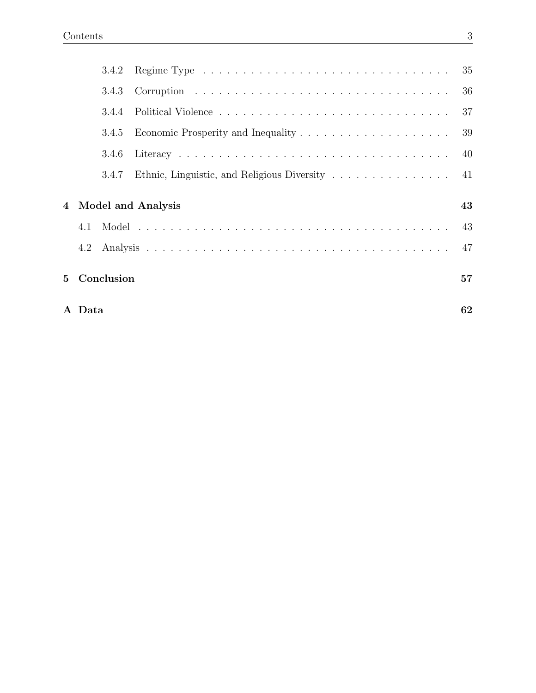|             |        | 3.4.2      |                                             |     |
|-------------|--------|------------|---------------------------------------------|-----|
|             |        | 3.4.3      |                                             | 36  |
|             |        | 344        |                                             | 37  |
|             |        | 3.4.5      |                                             | 39  |
|             |        | 3.4.6      |                                             | -40 |
|             |        | 3.4.7      | Ethnic, Linguistic, and Religious Diversity | 41  |
|             |        |            | 4 Model and Analysis                        | 43  |
|             | 4.1    |            |                                             | -43 |
|             | 4.2    |            |                                             | 47  |
| $5^{\circ}$ |        | Conclusion |                                             | 57  |
|             | A Data |            |                                             | 62  |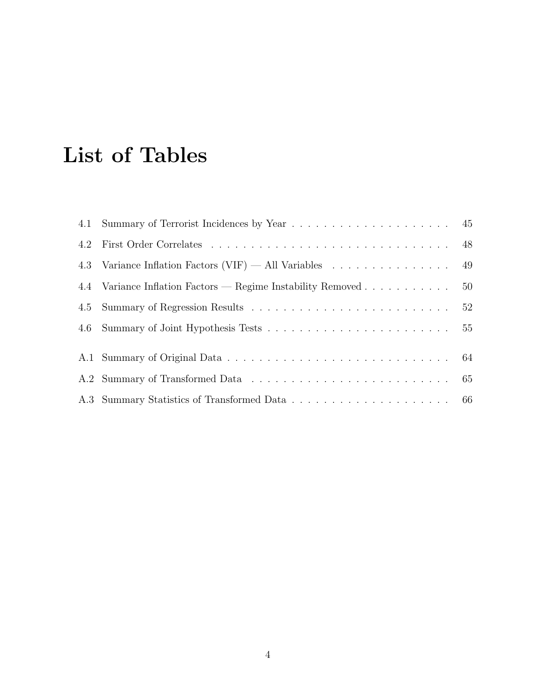# List of Tables

| 4.3 Variance Inflation Factors (VIF) $-$ All Variables 49      |  |
|----------------------------------------------------------------|--|
| 4.4 Variance Inflation Factors — Regime Instability Removed 50 |  |
|                                                                |  |
|                                                                |  |
|                                                                |  |
|                                                                |  |
|                                                                |  |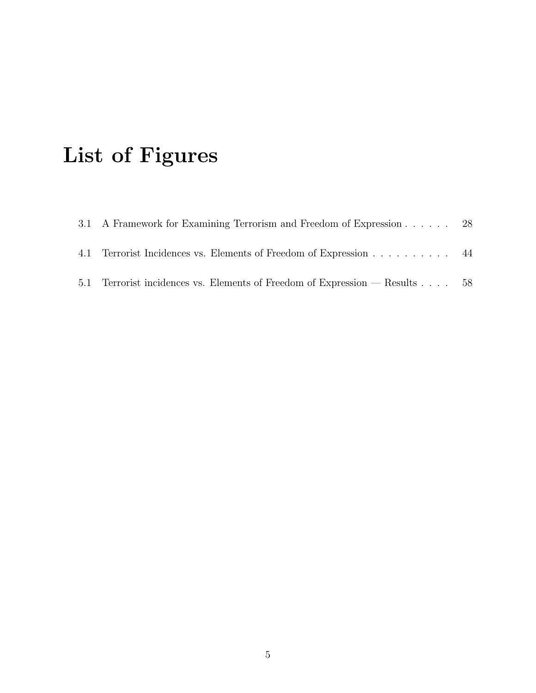# List of Figures

| 3.1 A Framework for Examining Terrorism and Freedom of Expression 28        |  |
|-----------------------------------------------------------------------------|--|
| 4.1 Terrorist Incidences vs. Elements of Freedom of Expression 44           |  |
| 5.1 Terrorist incidences vs. Elements of Freedom of Expression — Results 58 |  |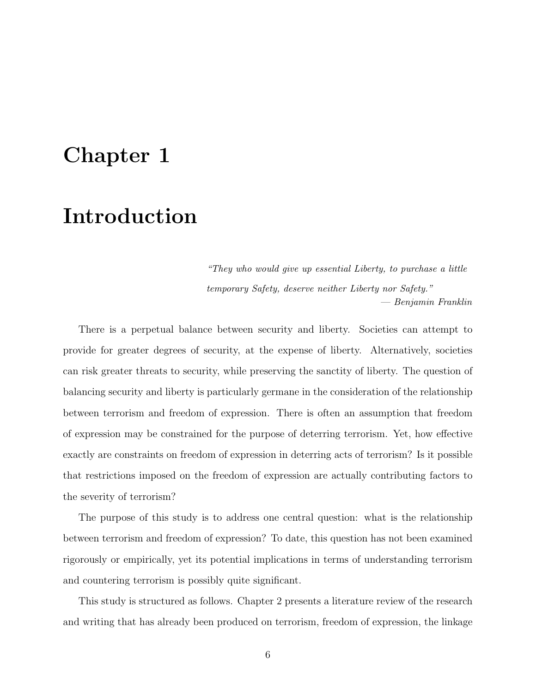# Chapter 1

# Introduction

"They who would give up essential Liberty, to purchase a little temporary Safety, deserve neither Liberty nor Safety." — Benjamin Franklin

There is a perpetual balance between security and liberty. Societies can attempt to provide for greater degrees of security, at the expense of liberty. Alternatively, societies can risk greater threats to security, while preserving the sanctity of liberty. The question of balancing security and liberty is particularly germane in the consideration of the relationship between terrorism and freedom of expression. There is often an assumption that freedom of expression may be constrained for the purpose of deterring terrorism. Yet, how effective exactly are constraints on freedom of expression in deterring acts of terrorism? Is it possible that restrictions imposed on the freedom of expression are actually contributing factors to the severity of terrorism?

The purpose of this study is to address one central question: what is the relationship between terrorism and freedom of expression? To date, this question has not been examined rigorously or empirically, yet its potential implications in terms of understanding terrorism and countering terrorism is possibly quite significant.

This study is structured as follows. Chapter 2 presents a literature review of the research and writing that has already been produced on terrorism, freedom of expression, the linkage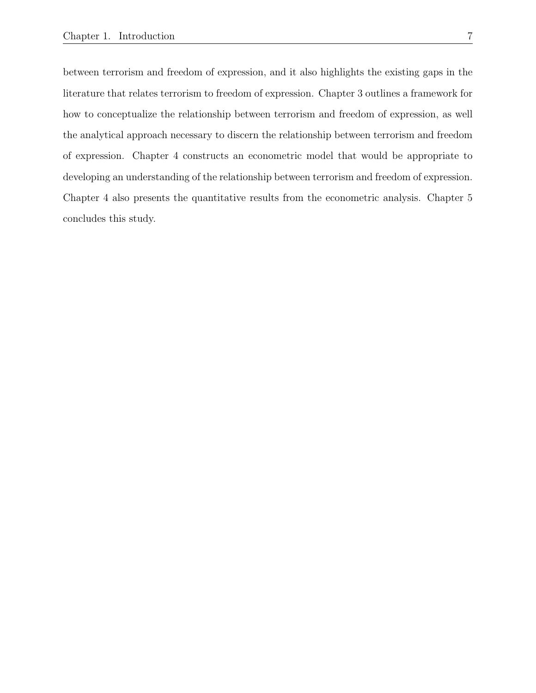between terrorism and freedom of expression, and it also highlights the existing gaps in the literature that relates terrorism to freedom of expression. Chapter 3 outlines a framework for how to conceptualize the relationship between terrorism and freedom of expression, as well the analytical approach necessary to discern the relationship between terrorism and freedom of expression. Chapter 4 constructs an econometric model that would be appropriate to developing an understanding of the relationship between terrorism and freedom of expression. Chapter 4 also presents the quantitative results from the econometric analysis. Chapter 5 concludes this study.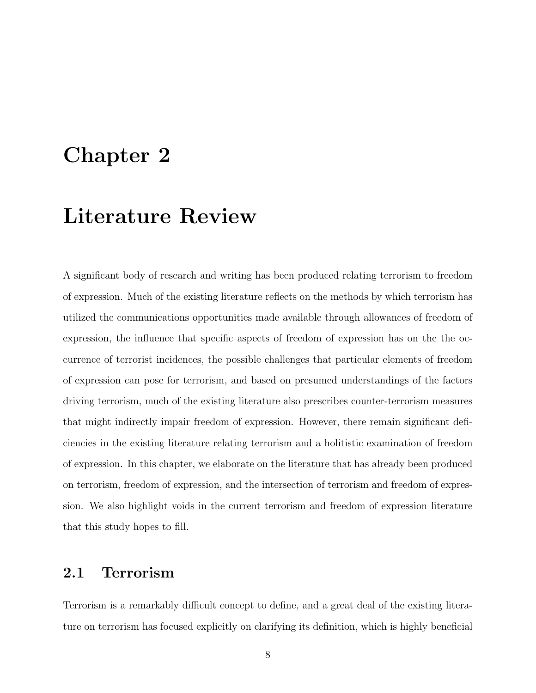# Chapter 2

# Literature Review

A significant body of research and writing has been produced relating terrorism to freedom of expression. Much of the existing literature reflects on the methods by which terrorism has utilized the communications opportunities made available through allowances of freedom of expression, the influence that specific aspects of freedom of expression has on the the occurrence of terrorist incidences, the possible challenges that particular elements of freedom of expression can pose for terrorism, and based on presumed understandings of the factors driving terrorism, much of the existing literature also prescribes counter-terrorism measures that might indirectly impair freedom of expression. However, there remain significant deficiencies in the existing literature relating terrorism and a holitistic examination of freedom of expression. In this chapter, we elaborate on the literature that has already been produced on terrorism, freedom of expression, and the intersection of terrorism and freedom of expression. We also highlight voids in the current terrorism and freedom of expression literature that this study hopes to fill.

### 2.1 Terrorism

Terrorism is a remarkably difficult concept to define, and a great deal of the existing literature on terrorism has focused explicitly on clarifying its definition, which is highly beneficial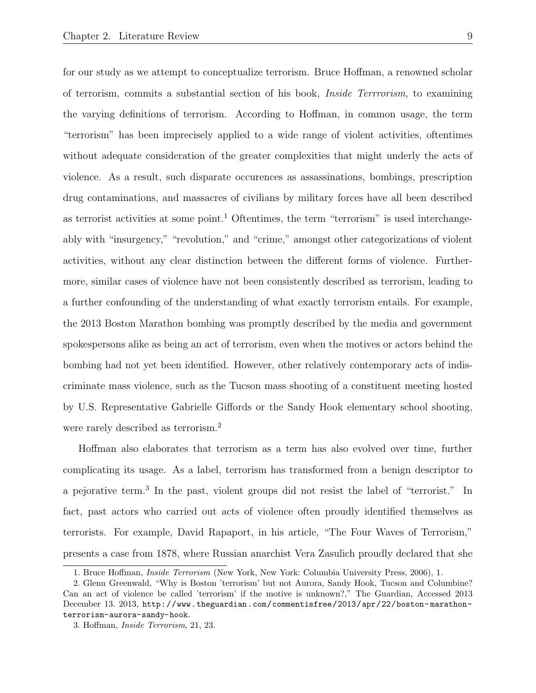for our study as we attempt to conceptualize terrorism. Bruce Hoffman, a renowned scholar of terrorism, commits a substantial section of his book, Inside Terrrorism, to examining the varying definitions of terrorism. According to Hoffman, in common usage, the term "terrorism" has been imprecisely applied to a wide range of violent activities, oftentimes without adequate consideration of the greater complexities that might underly the acts of violence. As a result, such disparate occurences as assassinations, bombings, prescription drug contaminations, and massacres of civilians by military forces have all been described as terrorist activities at some point.<sup>1</sup> Oftentimes, the term "terrorism" is used interchangeably with "insurgency," "revolution," and "crime," amongst other categorizations of violent activities, without any clear distinction between the different forms of violence. Furthermore, similar cases of violence have not been consistently described as terrorism, leading to a further confounding of the understanding of what exactly terrorism entails. For example, the 2013 Boston Marathon bombing was promptly described by the media and government spokespersons alike as being an act of terrorism, even when the motives or actors behind the bombing had not yet been identified. However, other relatively contemporary acts of indiscriminate mass violence, such as the Tucson mass shooting of a constituent meeting hosted by U.S. Representative Gabrielle Giffords or the Sandy Hook elementary school shooting, were rarely described as terrorism.<sup>2</sup>

Hoffman also elaborates that terrorism as a term has also evolved over time, further complicating its usage. As a label, terrorism has transformed from a benign descriptor to a pejorative term.<sup>3</sup> In the past, violent groups did not resist the label of "terrorist." In fact, past actors who carried out acts of violence often proudly identified themselves as terrorists. For example, David Rapaport, in his article, "The Four Waves of Terrorism," presents a case from 1878, where Russian anarchist Vera Zasulich proudly declared that she

<sup>1.</sup> Bruce Hoffman, Inside Terrorism (New York, New York: Columbia University Press, 2006), 1.

<sup>2.</sup> Glenn Greenwald, "Why is Boston 'terrorism' but not Aurora, Sandy Hook, Tucson and Columbine? Can an act of violence be called 'terrorism' if the motive is unknown?," The Guardian, Accessed 2013 December 13. 2013, http://www.theguardian.com/commentisfree/2013/apr/22/boston-marathonterrorism-aurora-sandy-hook.

<sup>3.</sup> Hoffman, Inside Terrorism, 21, 23.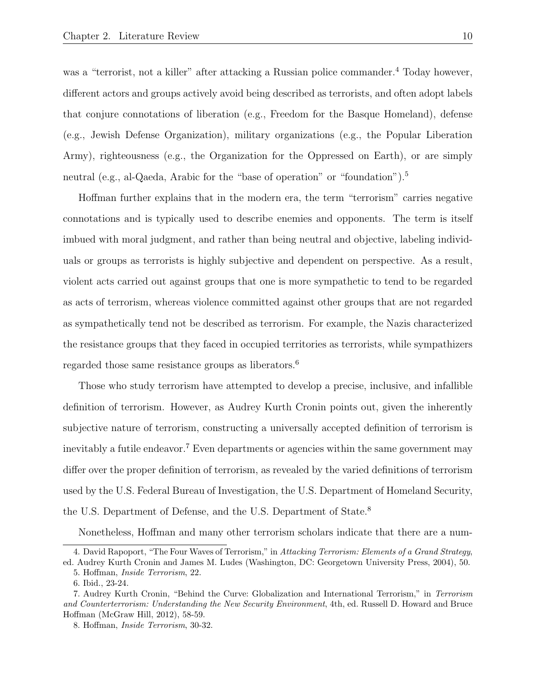was a "terrorist, not a killer" after attacking a Russian police commander.<sup>4</sup> Today however, different actors and groups actively avoid being described as terrorists, and often adopt labels that conjure connotations of liberation (e.g., Freedom for the Basque Homeland), defense (e.g., Jewish Defense Organization), military organizations (e.g., the Popular Liberation Army), righteousness (e.g., the Organization for the Oppressed on Earth), or are simply neutral (e.g., al-Qaeda, Arabic for the "base of operation" or "foundation").<sup>5</sup>

Hoffman further explains that in the modern era, the term "terrorism" carries negative connotations and is typically used to describe enemies and opponents. The term is itself imbued with moral judgment, and rather than being neutral and objective, labeling individuals or groups as terrorists is highly subjective and dependent on perspective. As a result, violent acts carried out against groups that one is more sympathetic to tend to be regarded as acts of terrorism, whereas violence committed against other groups that are not regarded as sympathetically tend not be described as terrorism. For example, the Nazis characterized the resistance groups that they faced in occupied territories as terrorists, while sympathizers regarded those same resistance groups as liberators.<sup>6</sup>

Those who study terrorism have attempted to develop a precise, inclusive, and infallible definition of terrorism. However, as Audrey Kurth Cronin points out, given the inherently subjective nature of terrorism, constructing a universally accepted definition of terrorism is inevitably a futile endeavor.<sup>7</sup> Even departments or agencies within the same government may differ over the proper definition of terrorism, as revealed by the varied definitions of terrorism used by the U.S. Federal Bureau of Investigation, the U.S. Department of Homeland Security, the U.S. Department of Defense, and the U.S. Department of State.<sup>8</sup>

Nonetheless, Hoffman and many other terrorism scholars indicate that there are a num-

<sup>4.</sup> David Rapoport, "The Four Waves of Terrorism," in Attacking Terrorism: Elements of a Grand Strategy, ed. Audrey Kurth Cronin and James M. Ludes (Washington, DC: Georgetown University Press, 2004), 50.

<sup>5.</sup> Hoffman, Inside Terrorism, 22.

<sup>6.</sup> Ibid., 23-24.

<sup>7.</sup> Audrey Kurth Cronin, "Behind the Curve: Globalization and International Terrorism," in Terrorism and Counterterrorism: Understanding the New Security Environment, 4th, ed. Russell D. Howard and Bruce Hoffman (McGraw Hill, 2012), 58-59.

<sup>8.</sup> Hoffman, Inside Terrorism, 30-32.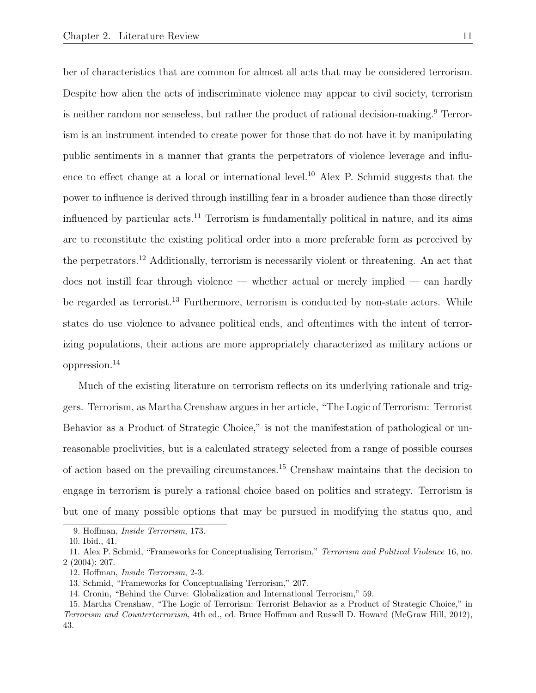ber of characteristics that are common for almost all acts that may be considered terrorism. Despite how alien the acts of indiscriminate violence may appear to civil society, terrorism is neither random nor senseless, but rather the product of rational decision-making.<sup>9</sup> Terrorism is an instrument intended to create power for those that do not have it by manipulating public sentiments in a manner that grants the perpetrators of violence leverage and influence to effect change at a local or international level.<sup>10</sup> Alex P. Schmid suggests that the power to influence is derived through instilling fear in a broader audience than those directly influenced by particular  $\arctan 11$  Terrorism is fundamentally political in nature, and its aims are to reconstitute the existing political order into a more preferable form as perceived by the perpetrators.<sup>12</sup> Additionally, terrorism is necessarily violent or threatening. An act that does not instill fear through violence — whether actual or merely implied — can hardly be regarded as terrorist.<sup>13</sup> Furthermore, terrorism is conducted by non-state actors. While states do use violence to advance political ends, and oftentimes with the intent of terrorizing populations, their actions are more appropriately characterized as military actions or oppression.<sup>14</sup>

Much of the existing literature on terrorism reflects on its underlying rationale and triggers. Terrorism, as Martha Crenshaw argues in her article, "The Logic of Terrorism: Terrorist Behavior as a Product of Strategic Choice," is not the manifestation of pathological or unreasonable proclivities, but is a calculated strategy selected from a range of possible courses of action based on the prevailing circumstances.<sup>15</sup> Crenshaw maintains that the decision to engage in terrorism is purely a rational choice based on politics and strategy. Terrorism is but one of many possible options that may be pursued in modifying the status quo, and

<sup>9.</sup> Hoffman, Inside Terrorism, 173.

<sup>10.</sup> Ibid., 41.

<sup>11.</sup> Alex P. Schmid, "Frameworks for Conceptualising Terrorism," Terrorism and Political Violence 16, no. 2 (2004): 207.

<sup>12.</sup> Hoffman, Inside Terrorism, 2-3.

<sup>13.</sup> Schmid, "Frameworks for Conceptualising Terrorism," 207.

<sup>14.</sup> Cronin, "Behind the Curve: Globalization and International Terrorism," 59.

<sup>15.</sup> Martha Crenshaw, "The Logic of Terrorism: Terrorist Behavior as a Product of Strategic Choice," in Terrorism and Counterterrorism, 4th ed., ed. Bruce Hoffman and Russell D. Howard (McGraw Hill, 2012), 43.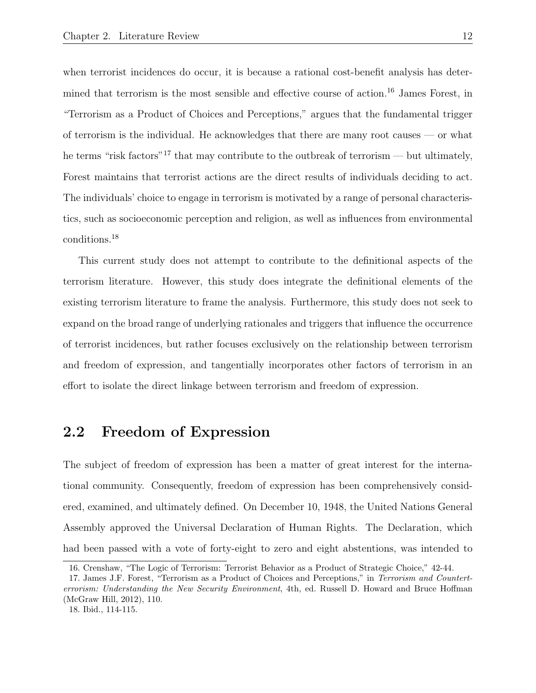when terrorist incidences do occur, it is because a rational cost-benefit analysis has determined that terrorism is the most sensible and effective course of action.<sup>16</sup> James Forest, in "Terrorism as a Product of Choices and Perceptions," argues that the fundamental trigger of terrorism is the individual. He acknowledges that there are many root causes — or what he terms "risk factors"<sup>17</sup> that may contribute to the outbreak of terrorism — but ultimately, Forest maintains that terrorist actions are the direct results of individuals deciding to act. The individuals' choice to engage in terrorism is motivated by a range of personal characteristics, such as socioeconomic perception and religion, as well as influences from environmental conditions.<sup>18</sup>

This current study does not attempt to contribute to the definitional aspects of the terrorism literature. However, this study does integrate the definitional elements of the existing terrorism literature to frame the analysis. Furthermore, this study does not seek to expand on the broad range of underlying rationales and triggers that influence the occurrence of terrorist incidences, but rather focuses exclusively on the relationship between terrorism and freedom of expression, and tangentially incorporates other factors of terrorism in an effort to isolate the direct linkage between terrorism and freedom of expression.

### 2.2 Freedom of Expression

The subject of freedom of expression has been a matter of great interest for the international community. Consequently, freedom of expression has been comprehensively considered, examined, and ultimately defined. On December 10, 1948, the United Nations General Assembly approved the Universal Declaration of Human Rights. The Declaration, which had been passed with a vote of forty-eight to zero and eight abstentions, was intended to

<sup>16.</sup> Crenshaw, "The Logic of Terrorism: Terrorist Behavior as a Product of Strategic Choice," 42-44.

<sup>17.</sup> James J.F. Forest, "Terrorism as a Product of Choices and Perceptions," in Terrorism and Counterterrorism: Understanding the New Security Environment, 4th, ed. Russell D. Howard and Bruce Hoffman (McGraw Hill, 2012), 110.

<sup>18.</sup> Ibid., 114-115.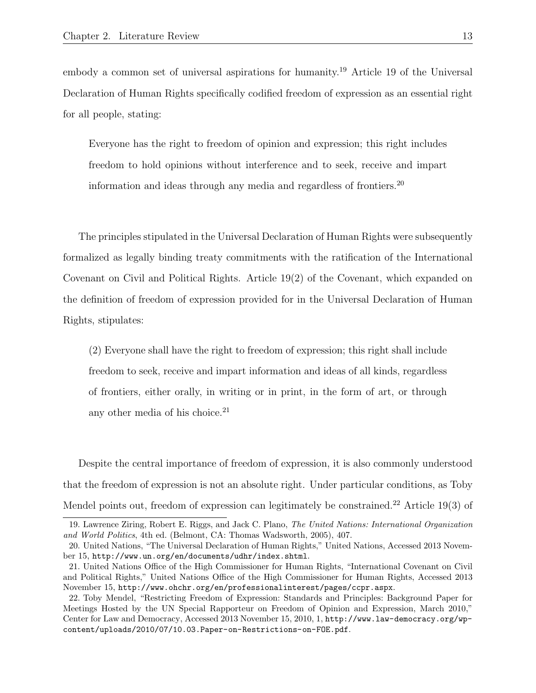embody a common set of universal aspirations for humanity.<sup>19</sup> Article 19 of the Universal Declaration of Human Rights specifically codified freedom of expression as an essential right for all people, stating:

Everyone has the right to freedom of opinion and expression; this right includes freedom to hold opinions without interference and to seek, receive and impart information and ideas through any media and regardless of frontiers.<sup>20</sup>

The principles stipulated in the Universal Declaration of Human Rights were subsequently formalized as legally binding treaty commitments with the ratification of the International Covenant on Civil and Political Rights. Article 19(2) of the Covenant, which expanded on the definition of freedom of expression provided for in the Universal Declaration of Human Rights, stipulates:

(2) Everyone shall have the right to freedom of expression; this right shall include freedom to seek, receive and impart information and ideas of all kinds, regardless of frontiers, either orally, in writing or in print, in the form of art, or through any other media of his choice. $21$ 

Despite the central importance of freedom of expression, it is also commonly understood that the freedom of expression is not an absolute right. Under particular conditions, as Toby Mendel points out, freedom of expression can legitimately be constrained.<sup>22</sup> Article 19(3) of

<sup>19.</sup> Lawrence Ziring, Robert E. Riggs, and Jack C. Plano, The United Nations: International Organization and World Politics, 4th ed. (Belmont, CA: Thomas Wadsworth, 2005), 407.

<sup>20.</sup> United Nations, "The Universal Declaration of Human Rights," United Nations, Accessed 2013 November 15, http://www.un.org/en/documents/udhr/index.shtml.

<sup>21.</sup> United Nations Office of the High Commissioner for Human Rights, "International Covenant on Civil and Political Rights," United Nations Office of the High Commissioner for Human Rights, Accessed 2013 November 15, http://www.ohchr.org/en/professionalinterest/pages/ccpr.aspx.

<sup>22.</sup> Toby Mendel, "Restricting Freedom of Expression: Standards and Principles: Background Paper for Meetings Hosted by the UN Special Rapporteur on Freedom of Opinion and Expression, March 2010," Center for Law and Democracy, Accessed 2013 November 15, 2010, 1, http://www.law-democracy.org/wpcontent/uploads/2010/07/10.03.Paper-on-Restrictions-on-FOE.pdf.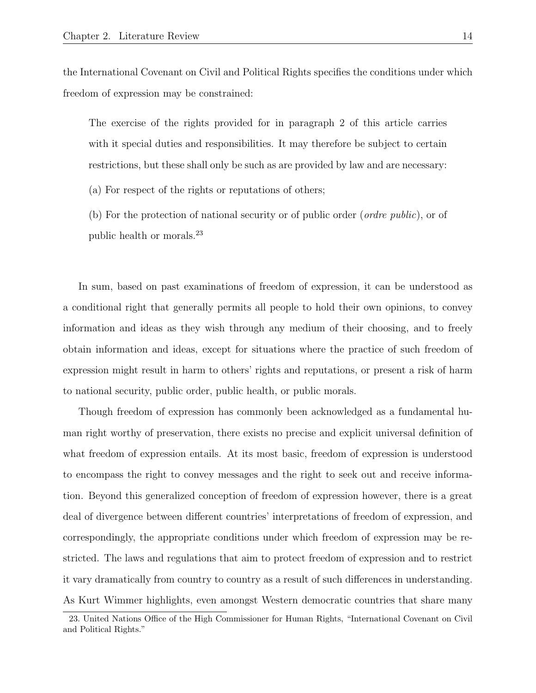the International Covenant on Civil and Political Rights specifies the conditions under which freedom of expression may be constrained:

The exercise of the rights provided for in paragraph 2 of this article carries with it special duties and responsibilities. It may therefore be subject to certain restrictions, but these shall only be such as are provided by law and are necessary:

(a) For respect of the rights or reputations of others;

(b) For the protection of national security or of public order (ordre public), or of public health or morals.<sup>23</sup>

In sum, based on past examinations of freedom of expression, it can be understood as a conditional right that generally permits all people to hold their own opinions, to convey information and ideas as they wish through any medium of their choosing, and to freely obtain information and ideas, except for situations where the practice of such freedom of expression might result in harm to others' rights and reputations, or present a risk of harm to national security, public order, public health, or public morals.

Though freedom of expression has commonly been acknowledged as a fundamental human right worthy of preservation, there exists no precise and explicit universal definition of what freedom of expression entails. At its most basic, freedom of expression is understood to encompass the right to convey messages and the right to seek out and receive information. Beyond this generalized conception of freedom of expression however, there is a great deal of divergence between different countries' interpretations of freedom of expression, and correspondingly, the appropriate conditions under which freedom of expression may be restricted. The laws and regulations that aim to protect freedom of expression and to restrict it vary dramatically from country to country as a result of such differences in understanding. As Kurt Wimmer highlights, even amongst Western democratic countries that share many

<sup>23.</sup> United Nations Office of the High Commissioner for Human Rights, "International Covenant on Civil and Political Rights."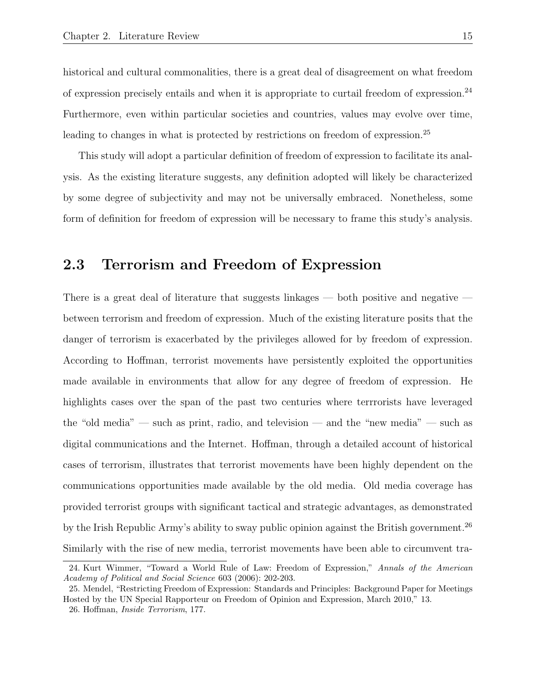historical and cultural commonalities, there is a great deal of disagreement on what freedom of expression precisely entails and when it is appropriate to curtail freedom of expression.<sup>24</sup> Furthermore, even within particular societies and countries, values may evolve over time, leading to changes in what is protected by restrictions on freedom of expression.<sup>25</sup>

This study will adopt a particular definition of freedom of expression to facilitate its analysis. As the existing literature suggests, any definition adopted will likely be characterized by some degree of subjectivity and may not be universally embraced. Nonetheless, some form of definition for freedom of expression will be necessary to frame this study's analysis.

### 2.3 Terrorism and Freedom of Expression

There is a great deal of literature that suggests linkages — both positive and negative between terrorism and freedom of expression. Much of the existing literature posits that the danger of terrorism is exacerbated by the privileges allowed for by freedom of expression. According to Hoffman, terrorist movements have persistently exploited the opportunities made available in environments that allow for any degree of freedom of expression. He highlights cases over the span of the past two centuries where terrrorists have leveraged the "old media" — such as print, radio, and television — and the "new media" — such as digital communications and the Internet. Hoffman, through a detailed account of historical cases of terrorism, illustrates that terrorist movements have been highly dependent on the communications opportunities made available by the old media. Old media coverage has provided terrorist groups with significant tactical and strategic advantages, as demonstrated by the Irish Republic Army's ability to sway public opinion against the British government.<sup>26</sup> Similarly with the rise of new media, terrorist movements have been able to circumvent tra-

<sup>24.</sup> Kurt Wimmer, "Toward a World Rule of Law: Freedom of Expression," Annals of the American Academy of Political and Social Science 603 (2006): 202-203.

<sup>25.</sup> Mendel, "Restricting Freedom of Expression: Standards and Principles: Background Paper for Meetings Hosted by the UN Special Rapporteur on Freedom of Opinion and Expression, March 2010," 13.

<sup>26.</sup> Hoffman, Inside Terrorism, 177.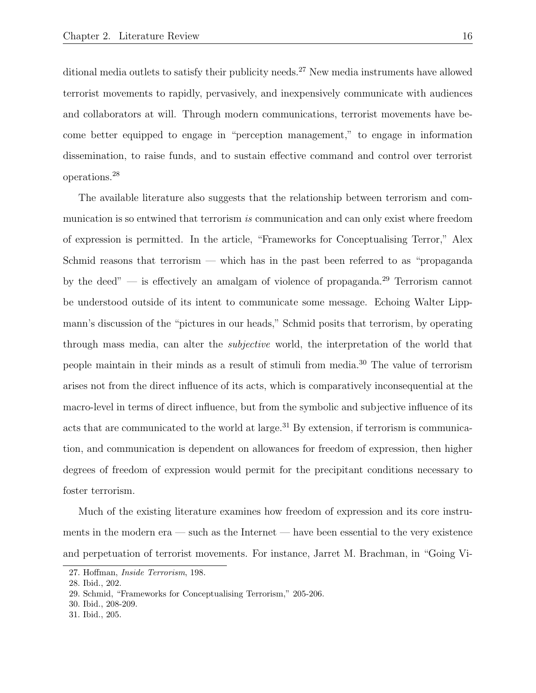ditional media outlets to satisfy their publicity needs.<sup>27</sup> New media instruments have allowed terrorist movements to rapidly, pervasively, and inexpensively communicate with audiences and collaborators at will. Through modern communications, terrorist movements have become better equipped to engage in "perception management," to engage in information dissemination, to raise funds, and to sustain effective command and control over terrorist operations.<sup>28</sup>

The available literature also suggests that the relationship between terrorism and communication is so entwined that terrorism is communication and can only exist where freedom of expression is permitted. In the article, "Frameworks for Conceptualising Terror," Alex Schmid reasons that terrorism — which has in the past been referred to as "propaganda by the deed" — is effectively an amalgam of violence of propaganda.<sup>29</sup> Terrorism cannot be understood outside of its intent to communicate some message. Echoing Walter Lippmann's discussion of the "pictures in our heads," Schmid posits that terrorism, by operating through mass media, can alter the subjective world, the interpretation of the world that people maintain in their minds as a result of stimuli from media.<sup>30</sup> The value of terrorism arises not from the direct influence of its acts, which is comparatively inconsequential at the macro-level in terms of direct influence, but from the symbolic and subjective influence of its acts that are communicated to the world at large.<sup>31</sup> By extension, if terrorism is communication, and communication is dependent on allowances for freedom of expression, then higher degrees of freedom of expression would permit for the precipitant conditions necessary to foster terrorism.

Much of the existing literature examines how freedom of expression and its core instruments in the modern era — such as the Internet — have been essential to the very existence and perpetuation of terrorist movements. For instance, Jarret M. Brachman, in "Going Vi-

<sup>27.</sup> Hoffman, Inside Terrorism, 198.

<sup>28.</sup> Ibid., 202.

<sup>29.</sup> Schmid, "Frameworks for Conceptualising Terrorism," 205-206.

<sup>30.</sup> Ibid., 208-209.

<sup>31.</sup> Ibid., 205.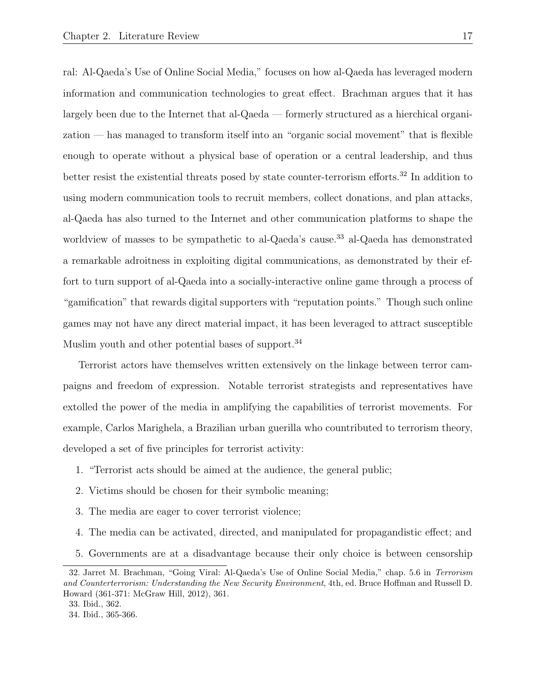ral: Al-Qaeda's Use of Online Social Media," focuses on how al-Qaeda has leveraged modern information and communication technologies to great effect. Brachman argues that it has largely been due to the Internet that al-Qaeda — formerly structured as a hierchical organization — has managed to transform itself into an "organic social movement" that is flexible enough to operate without a physical base of operation or a central leadership, and thus better resist the existential threats posed by state counter-terrorism efforts.<sup>32</sup> In addition to using modern communication tools to recruit members, collect donations, and plan attacks, al-Qaeda has also turned to the Internet and other communication platforms to shape the worldview of masses to be sympathetic to al-Qaeda's cause.<sup>33</sup> al-Qaeda has demonstrated a remarkable adroitness in exploiting digital communications, as demonstrated by their effort to turn support of al-Qaeda into a socially-interactive online game through a process of "gamification" that rewards digital supporters with "reputation points." Though such online games may not have any direct material impact, it has been leveraged to attract susceptible Muslim youth and other potential bases of support.<sup>34</sup>

Terrorist actors have themselves written extensively on the linkage between terror campaigns and freedom of expression. Notable terrorist strategists and representatives have extolled the power of the media in amplifying the capabilities of terrorist movements. For example, Carlos Marighela, a Brazilian urban guerilla who countributed to terrorism theory, developed a set of five principles for terrorist activity:

- 1. "Terrorist acts should be aimed at the audience, the general public;
- 2. Victims should be chosen for their symbolic meaning;
- 3. The media are eager to cover terrorist violence;
- 4. The media can be activated, directed, and manipulated for propagandistic effect; and
- 5. Governments are at a disadvantage because their only choice is between censorship

<sup>32.</sup> Jarret M. Brachman, "Going Viral: Al-Qaeda's Use of Online Social Media," chap. 5.6 in Terrorism and Counterterrorism: Understanding the New Security Environment, 4th, ed. Bruce Hoffman and Russell D. Howard (361-371: McGraw Hill, 2012), 361.

<sup>33.</sup> Ibid., 362.

<sup>34.</sup> Ibid., 365-366.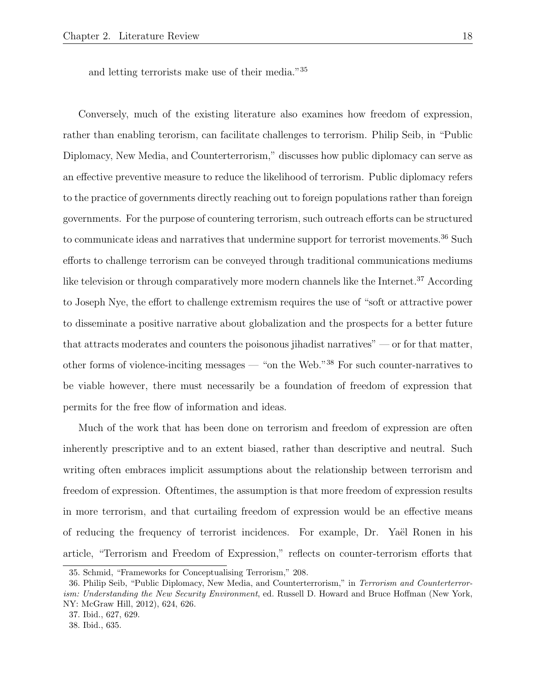and letting terrorists make use of their media."<sup>35</sup>

Conversely, much of the existing literature also examines how freedom of expression, rather than enabling terorism, can facilitate challenges to terrorism. Philip Seib, in "Public Diplomacy, New Media, and Counterterrorism," discusses how public diplomacy can serve as an effective preventive measure to reduce the likelihood of terrorism. Public diplomacy refers to the practice of governments directly reaching out to foreign populations rather than foreign governments. For the purpose of countering terrorism, such outreach efforts can be structured to communicate ideas and narratives that undermine support for terrorist movements.<sup>36</sup> Such efforts to challenge terrorism can be conveyed through traditional communications mediums like television or through comparatively more modern channels like the Internet.<sup>37</sup> According to Joseph Nye, the effort to challenge extremism requires the use of "soft or attractive power to disseminate a positive narrative about globalization and the prospects for a better future that attracts moderates and counters the poisonous jihadist narratives" — or for that matter, other forms of violence-inciting messages — "on the Web."<sup>38</sup> For such counter-narratives to be viable however, there must necessarily be a foundation of freedom of expression that permits for the free flow of information and ideas.

Much of the work that has been done on terrorism and freedom of expression are often inherently prescriptive and to an extent biased, rather than descriptive and neutral. Such writing often embraces implicit assumptions about the relationship between terrorism and freedom of expression. Oftentimes, the assumption is that more freedom of expression results in more terrorism, and that curtailing freedom of expression would be an effective means of reducing the frequency of terrorist incidences. For example, Dr. Yaël Ronen in his article, "Terrorism and Freedom of Expression," reflects on counter-terrorism efforts that

<sup>35.</sup> Schmid, "Frameworks for Conceptualising Terrorism," 208.

<sup>36.</sup> Philip Seib, "Public Diplomacy, New Media, and Counterterrorism," in Terrorism and Counterterrorism: Understanding the New Security Environment, ed. Russell D. Howard and Bruce Hoffman (New York, NY: McGraw Hill, 2012), 624, 626.

<sup>37.</sup> Ibid., 627, 629.

<sup>38.</sup> Ibid., 635.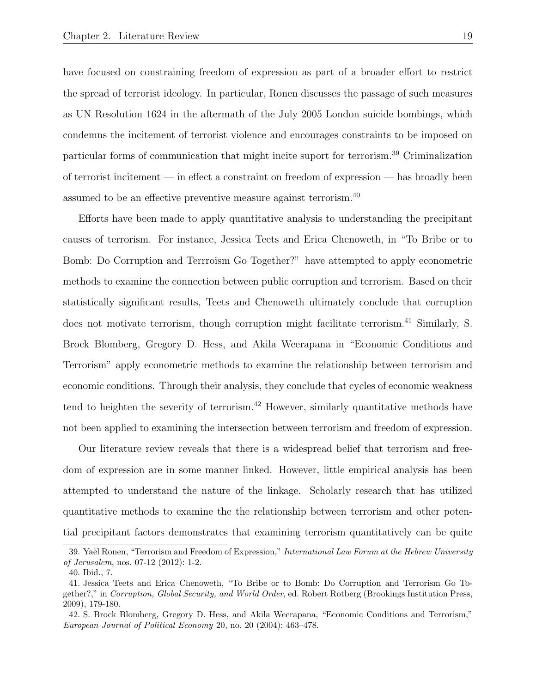have focused on constraining freedom of expression as part of a broader effort to restrict the spread of terrorist ideology. In particular, Ronen discusses the passage of such measures as UN Resolution 1624 in the aftermath of the July 2005 London suicide bombings, which condemns the incitement of terrorist violence and encourages constraints to be imposed on particular forms of communication that might incite suport for terrorism.<sup>39</sup> Criminalization of terrorist incitement — in effect a constraint on freedom of expression — has broadly been assumed to be an effective preventive measure against terrorism.<sup>40</sup>

Efforts have been made to apply quantitative analysis to understanding the precipitant causes of terrorism. For instance, Jessica Teets and Erica Chenoweth, in "To Bribe or to Bomb: Do Corruption and Terrroism Go Together?" have attempted to apply econometric methods to examine the connection between public corruption and terrorism. Based on their statistically significant results, Teets and Chenoweth ultimately conclude that corruption does not motivate terrorism, though corruption might facilitate terrorism.<sup>41</sup> Similarly, S. Brock Blomberg, Gregory D. Hess, and Akila Weerapana in "Economic Conditions and Terrorism" apply econometric methods to examine the relationship between terrorism and economic conditions. Through their analysis, they conclude that cycles of economic weakness tend to heighten the severity of terrorism.<sup>42</sup> However, similarly quantitative methods have not been applied to examining the intersection between terrorism and freedom of expression.

Our literature review reveals that there is a widespread belief that terrorism and freedom of expression are in some manner linked. However, little empirical analysis has been attempted to understand the nature of the linkage. Scholarly research that has utilized quantitative methods to examine the the relationship between terrorism and other potential precipitant factors demonstrates that examining terrorism quantitatively can be quite

<sup>39.</sup> Yaël Ronen, "Terrorism and Freedom of Expression," International Law Forum at the Hebrew University of Jerusalem, nos. 07-12 (2012): 1-2.

<sup>40.</sup> Ibid., 7.

<sup>41.</sup> Jessica Teets and Erica Chenoweth, "To Bribe or to Bomb: Do Corruption and Terrorism Go Together?," in Corruption, Global Security, and World Order, ed. Robert Rotberg (Brookings Institution Press, 2009), 179-180.

<sup>42.</sup> S. Brock Blomberg, Gregory D. Hess, and Akila Weerapana, "Economic Conditions and Terrorism," European Journal of Political Economy 20, no. 20 (2004): 463–478.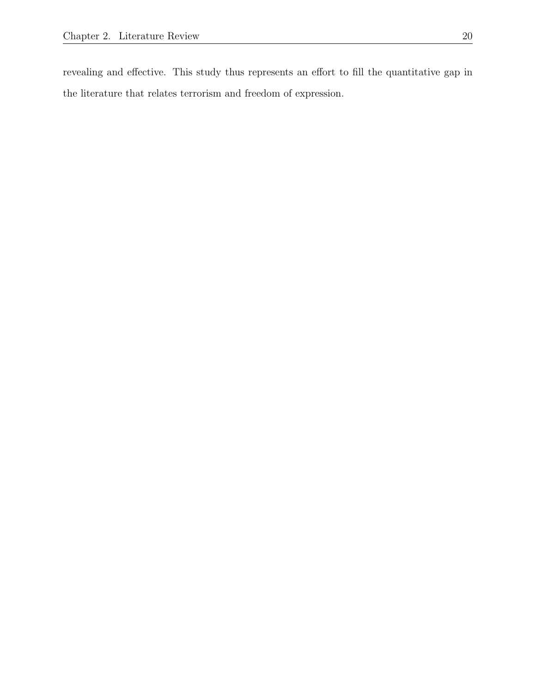revealing and effective. This study thus represents an effort to fill the quantitative gap in the literature that relates terrorism and freedom of expression.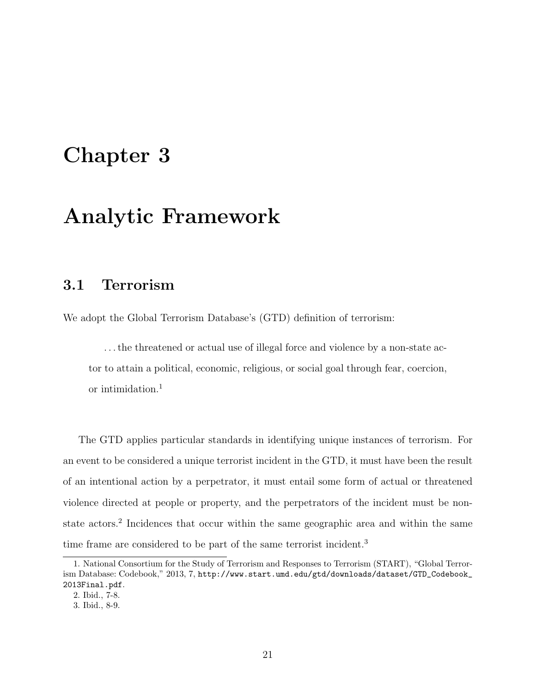# Chapter 3

## Analytic Framework

### 3.1 Terrorism

We adopt the Global Terrorism Database's (GTD) definition of terrorism:

. . . the threatened or actual use of illegal force and violence by a non-state actor to attain a political, economic, religious, or social goal through fear, coercion, or intimidation.<sup>1</sup>

The GTD applies particular standards in identifying unique instances of terrorism. For an event to be considered a unique terrorist incident in the GTD, it must have been the result of an intentional action by a perpetrator, it must entail some form of actual or threatened violence directed at people or property, and the perpetrators of the incident must be nonstate actors.<sup>2</sup> Incidences that occur within the same geographic area and within the same time frame are considered to be part of the same terrorist incident.<sup>3</sup>

<sup>1.</sup> National Consortium for the Study of Terrorism and Responses to Terrorism (START), "Global Terrorism Database: Codebook," 2013, 7, http://www.start.umd.edu/gtd/downloads/dataset/GTD\_Codebook\_ 2013Final.pdf.

<sup>2.</sup> Ibid., 7-8.

<sup>3.</sup> Ibid., 8-9.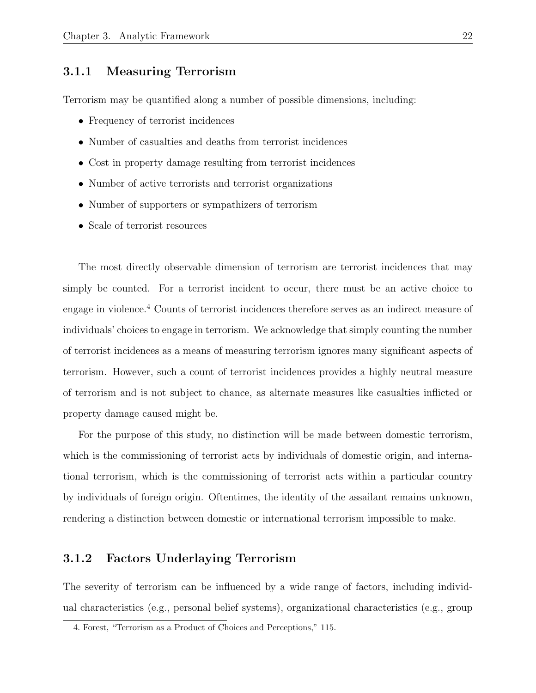#### 3.1.1 Measuring Terrorism

Terrorism may be quantified along a number of possible dimensions, including:

- Frequency of terrorist incidences
- Number of casualties and deaths from terrorist incidences
- Cost in property damage resulting from terrorist incidences
- Number of active terrorists and terrorist organizations
- Number of supporters or sympathizers of terrorism
- Scale of terrorist resources

The most directly observable dimension of terrorism are terrorist incidences that may simply be counted. For a terrorist incident to occur, there must be an active choice to engage in violence.<sup>4</sup> Counts of terrorist incidences therefore serves as an indirect measure of individuals' choices to engage in terrorism. We acknowledge that simply counting the number of terrorist incidences as a means of measuring terrorism ignores many significant aspects of terrorism. However, such a count of terrorist incidences provides a highly neutral measure of terrorism and is not subject to chance, as alternate measures like casualties inflicted or property damage caused might be.

For the purpose of this study, no distinction will be made between domestic terrorism, which is the commissioning of terrorist acts by individuals of domestic origin, and international terrorism, which is the commissioning of terrorist acts within a particular country by individuals of foreign origin. Oftentimes, the identity of the assailant remains unknown, rendering a distinction between domestic or international terrorism impossible to make.

#### 3.1.2 Factors Underlaying Terrorism

The severity of terrorism can be influenced by a wide range of factors, including individual characteristics (e.g., personal belief systems), organizational characteristics (e.g., group

<sup>4.</sup> Forest, "Terrorism as a Product of Choices and Perceptions," 115.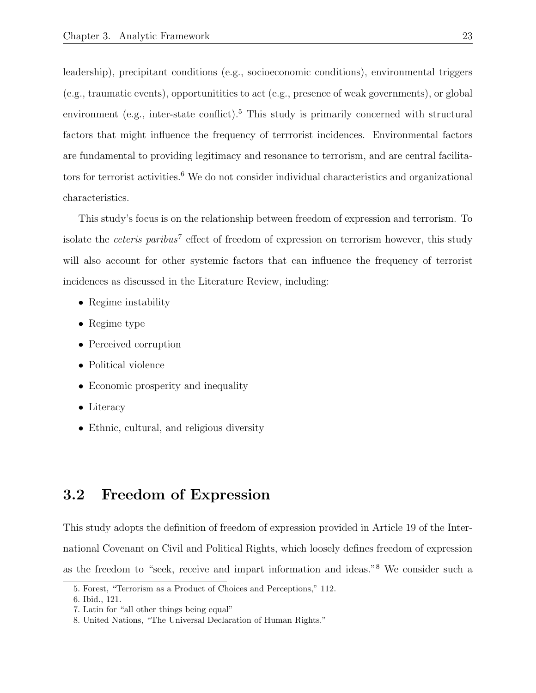leadership), precipitant conditions (e.g., socioeconomic conditions), environmental triggers (e.g., traumatic events), opportunitities to act (e.g., presence of weak governments), or global environment (e.g., inter-state conflict).<sup>5</sup> This study is primarily concerned with structural factors that might influence the frequency of terrrorist incidences. Environmental factors are fundamental to providing legitimacy and resonance to terrorism, and are central facilitators for terrorist activities. $6$  We do not consider individual characteristics and organizational characteristics.

This study's focus is on the relationship between freedom of expression and terrorism. To isolate the *ceteris paribus*<sup>7</sup> effect of freedom of expression on terrorism however, this study will also account for other systemic factors that can influence the frequency of terrorist incidences as discussed in the Literature Review, including:

- Regime instability
- Regime type
- Perceived corruption
- Political violence
- Economic prosperity and inequality
- Literacy
- Ethnic, cultural, and religious diversity

### 3.2 Freedom of Expression

This study adopts the definition of freedom of expression provided in Article 19 of the International Covenant on Civil and Political Rights, which loosely defines freedom of expression as the freedom to "seek, receive and impart information and ideas."<sup>8</sup> We consider such a

<sup>5.</sup> Forest, "Terrorism as a Product of Choices and Perceptions," 112.

<sup>6.</sup> Ibid., 121.

<sup>7.</sup> Latin for "all other things being equal"

<sup>8.</sup> United Nations, "The Universal Declaration of Human Rights."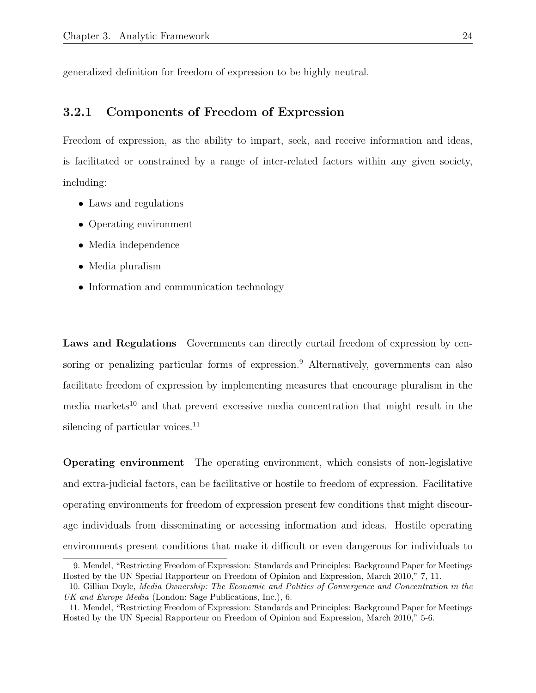generalized definition for freedom of expression to be highly neutral.

#### 3.2.1 Components of Freedom of Expression

Freedom of expression, as the ability to impart, seek, and receive information and ideas, is facilitated or constrained by a range of inter-related factors within any given society, including:

- Laws and regulations
- Operating environment
- Media independence
- Media pluralism
- Information and communication technology

Laws and Regulations Governments can directly curtail freedom of expression by censoring or penalizing particular forms of expression.<sup>9</sup> Alternatively, governments can also facilitate freedom of expression by implementing measures that encourage pluralism in the media markets<sup>10</sup> and that prevent excessive media concentration that might result in the silencing of particular voices.<sup>11</sup>

Operating environment The operating environment, which consists of non-legislative and extra-judicial factors, can be facilitative or hostile to freedom of expression. Facilitative operating environments for freedom of expression present few conditions that might discourage individuals from disseminating or accessing information and ideas. Hostile operating environments present conditions that make it difficult or even dangerous for individuals to

<sup>9.</sup> Mendel, "Restricting Freedom of Expression: Standards and Principles: Background Paper for Meetings Hosted by the UN Special Rapporteur on Freedom of Opinion and Expression, March 2010," 7, 11.

<sup>10.</sup> Gillian Doyle, Media Ownership: The Economic and Politics of Convergence and Concentration in the UK and Europe Media (London: Sage Publications, Inc.), 6.

<sup>11.</sup> Mendel, "Restricting Freedom of Expression: Standards and Principles: Background Paper for Meetings Hosted by the UN Special Rapporteur on Freedom of Opinion and Expression, March 2010," 5-6.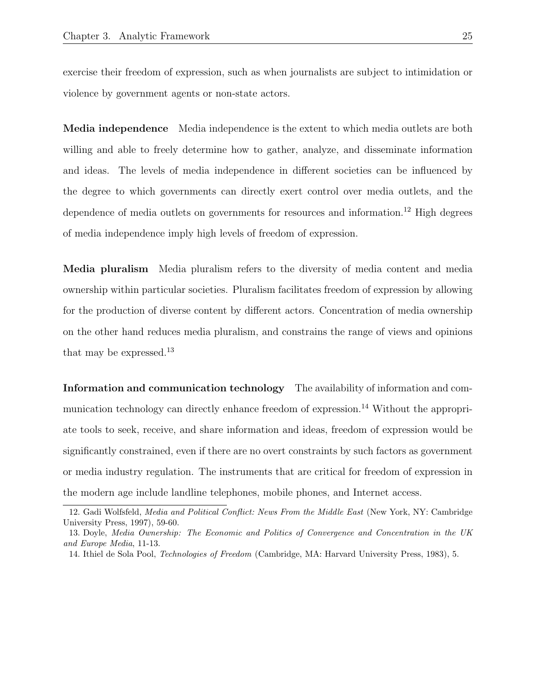exercise their freedom of expression, such as when journalists are subject to intimidation or violence by government agents or non-state actors.

Media independence Media independence is the extent to which media outlets are both willing and able to freely determine how to gather, analyze, and disseminate information and ideas. The levels of media independence in different societies can be influenced by the degree to which governments can directly exert control over media outlets, and the dependence of media outlets on governments for resources and information.<sup>12</sup> High degrees of media independence imply high levels of freedom of expression.

Media pluralism Media pluralism refers to the diversity of media content and media ownership within particular societies. Pluralism facilitates freedom of expression by allowing for the production of diverse content by different actors. Concentration of media ownership on the other hand reduces media pluralism, and constrains the range of views and opinions that may be expressed.<sup>13</sup>

Information and communication technology The availability of information and communication technology can directly enhance freedom of expression.<sup>14</sup> Without the appropriate tools to seek, receive, and share information and ideas, freedom of expression would be significantly constrained, even if there are no overt constraints by such factors as government or media industry regulation. The instruments that are critical for freedom of expression in the modern age include landline telephones, mobile phones, and Internet access.

<sup>12.</sup> Gadi Wolfsfeld, Media and Political Conflict: News From the Middle East (New York, NY: Cambridge University Press, 1997), 59-60.

<sup>13.</sup> Doyle, Media Ownership: The Economic and Politics of Convergence and Concentration in the UK and Europe Media, 11-13.

<sup>14.</sup> Ithiel de Sola Pool, Technologies of Freedom (Cambridge, MA: Harvard University Press, 1983), 5.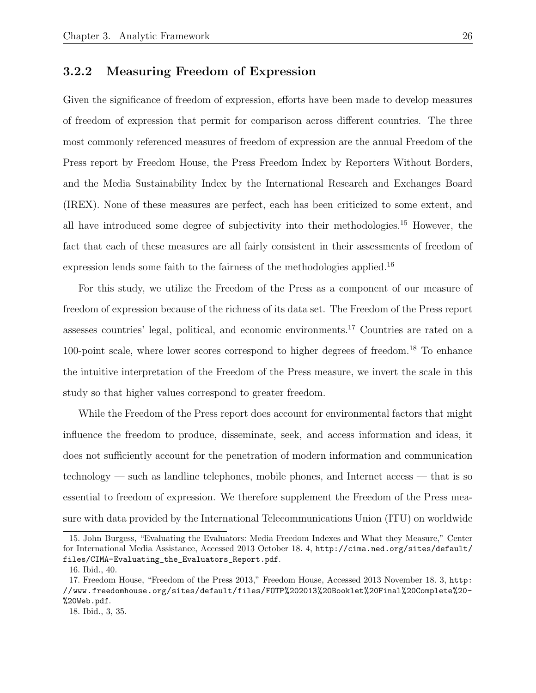#### 3.2.2 Measuring Freedom of Expression

Given the significance of freedom of expression, efforts have been made to develop measures of freedom of expression that permit for comparison across different countries. The three most commonly referenced measures of freedom of expression are the annual Freedom of the Press report by Freedom House, the Press Freedom Index by Reporters Without Borders, and the Media Sustainability Index by the International Research and Exchanges Board (IREX). None of these measures are perfect, each has been criticized to some extent, and all have introduced some degree of subjectivity into their methodologies.<sup>15</sup> However, the fact that each of these measures are all fairly consistent in their assessments of freedom of expression lends some faith to the fairness of the methodologies applied.<sup>16</sup>

For this study, we utilize the Freedom of the Press as a component of our measure of freedom of expression because of the richness of its data set. The Freedom of the Press report assesses countries' legal, political, and economic environments.<sup>17</sup> Countries are rated on a 100-point scale, where lower scores correspond to higher degrees of freedom.<sup>18</sup> To enhance the intuitive interpretation of the Freedom of the Press measure, we invert the scale in this study so that higher values correspond to greater freedom.

While the Freedom of the Press report does account for environmental factors that might influence the freedom to produce, disseminate, seek, and access information and ideas, it does not sufficiently account for the penetration of modern information and communication technology — such as landline telephones, mobile phones, and Internet access — that is so essential to freedom of expression. We therefore supplement the Freedom of the Press measure with data provided by the International Telecommunications Union (ITU) on worldwide

<sup>15.</sup> John Burgess, "Evaluating the Evaluators: Media Freedom Indexes and What they Measure," Center for International Media Assistance, Accessed 2013 October 18. 4, http://cima.ned.org/sites/default/ files/CIMA-Evaluating\_the\_Evaluators\_Report.pdf.

<sup>16.</sup> Ibid., 40.

<sup>17.</sup> Freedom House, "Freedom of the Press 2013," Freedom House, Accessed 2013 November 18. 3, http: //www.freedomhouse.org/sites/default/files/FOTP%202013%20Booklet%20Final%20Complete%20- %20Web.pdf.

<sup>18.</sup> Ibid., 3, 35.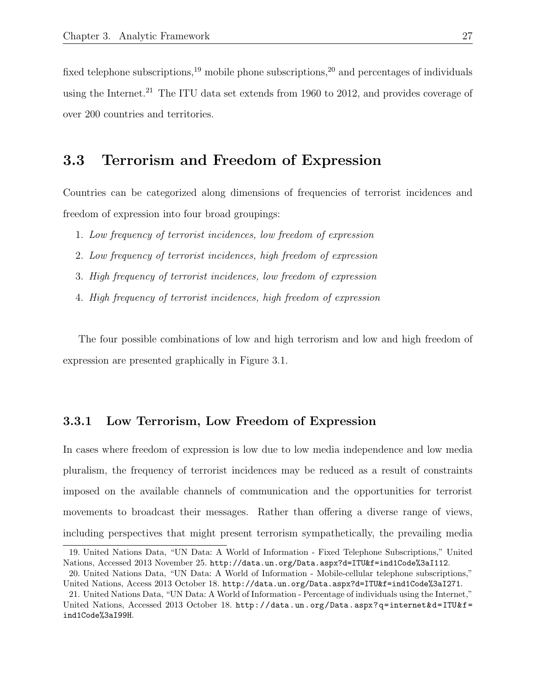fixed telephone subscriptions,<sup>19</sup> mobile phone subscriptions,<sup>20</sup> and percentages of individuals using the Internet.<sup>21</sup> The ITU data set extends from 1960 to 2012, and provides coverage of over 200 countries and territories.

### 3.3 Terrorism and Freedom of Expression

Countries can be categorized along dimensions of frequencies of terrorist incidences and freedom of expression into four broad groupings:

- 1. Low frequency of terrorist incidences, low freedom of expression
- 2. Low frequency of terrorist incidences, high freedom of expression
- 3. High frequency of terrorist incidences, low freedom of expression
- 4. High frequency of terrorist incidences, high freedom of expression

The four possible combinations of low and high terrorism and low and high freedom of expression are presented graphically in Figure 3.1.

#### 3.3.1 Low Terrorism, Low Freedom of Expression

In cases where freedom of expression is low due to low media independence and low media pluralism, the frequency of terrorist incidences may be reduced as a result of constraints imposed on the available channels of communication and the opportunities for terrorist movements to broadcast their messages. Rather than offering a diverse range of views, including perspectives that might present terrorism sympathetically, the prevailing media

<sup>19.</sup> United Nations Data, "UN Data: A World of Information - Fixed Telephone Subscriptions," United Nations, Accessed 2013 November 25. http://data.un.org/Data.aspx?d=ITU&f=ind1Code%3aI112.

<sup>20.</sup> United Nations Data, "UN Data: A World of Information - Mobile-cellular telephone subscriptions," United Nations, Access 2013 October 18. http://data.un.org/Data.aspx?d=ITU&f=ind1Code%3aI271.

<sup>21.</sup> United Nations Data, "UN Data: A World of Information - Percentage of individuals using the Internet," United Nations, Accessed 2013 October 18. http://data.un.org/Data.aspx?q=internet&d=ITU&f= ind1Code%3aI99H.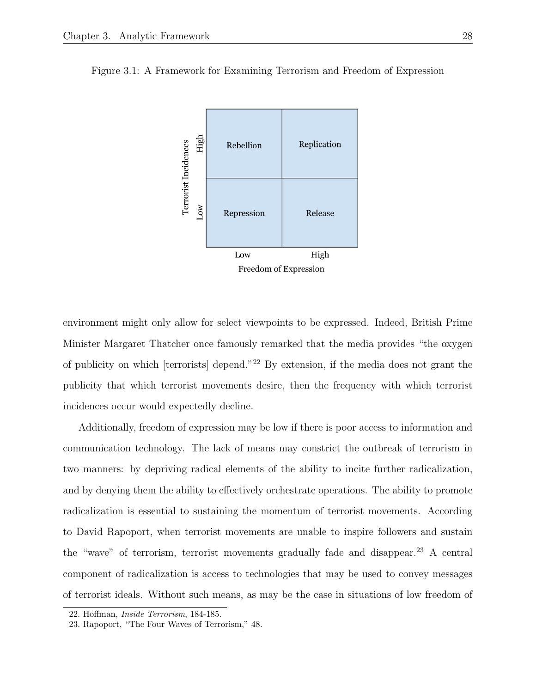

Figure 3.1: A Framework for Examining Terrorism and Freedom of Expression

environment might only allow for select viewpoints to be expressed. Indeed, British Prime Minister Margaret Thatcher once famously remarked that the media provides "the oxygen of publicity on which [terrorists] depend."<sup>22</sup> By extension, if the media does not grant the publicity that which terrorist movements desire, then the frequency with which terrorist incidences occur would expectedly decline.

Additionally, freedom of expression may be low if there is poor access to information and communication technology. The lack of means may constrict the outbreak of terrorism in two manners: by depriving radical elements of the ability to incite further radicalization, and by denying them the ability to effectively orchestrate operations. The ability to promote radicalization is essential to sustaining the momentum of terrorist movements. According to David Rapoport, when terrorist movements are unable to inspire followers and sustain the "wave" of terrorism, terrorist movements gradually fade and disappear.<sup>23</sup> A central component of radicalization is access to technologies that may be used to convey messages of terrorist ideals. Without such means, as may be the case in situations of low freedom of

<sup>22.</sup> Hoffman, Inside Terrorism, 184-185.

<sup>23.</sup> Rapoport, "The Four Waves of Terrorism," 48.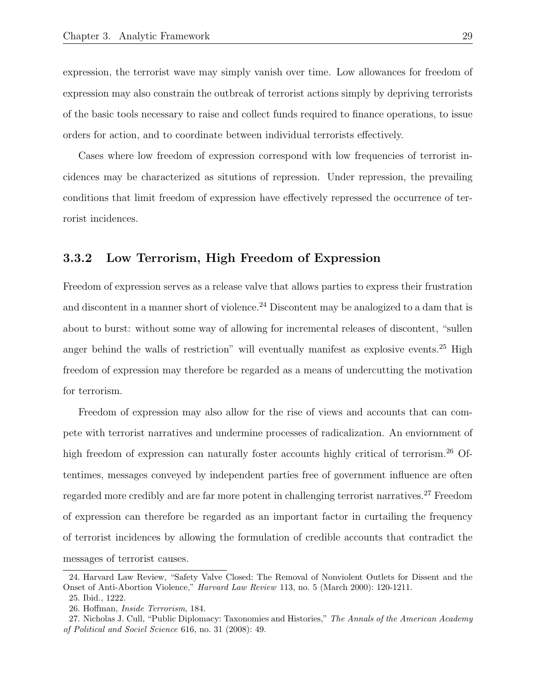expression, the terrorist wave may simply vanish over time. Low allowances for freedom of expression may also constrain the outbreak of terrorist actions simply by depriving terrorists of the basic tools necessary to raise and collect funds required to finance operations, to issue orders for action, and to coordinate between individual terrorists effectively.

Cases where low freedom of expression correspond with low frequencies of terrorist incidences may be characterized as situtions of repression. Under repression, the prevailing conditions that limit freedom of expression have effectively repressed the occurrence of terrorist incidences.

#### 3.3.2 Low Terrorism, High Freedom of Expression

Freedom of expression serves as a release valve that allows parties to express their frustration and discontent in a manner short of violence.<sup>24</sup> Discontent may be analogized to a dam that is about to burst: without some way of allowing for incremental releases of discontent, "sullen anger behind the walls of restriction" will eventually manifest as explosive events.<sup>25</sup> High freedom of expression may therefore be regarded as a means of undercutting the motivation for terrorism.

Freedom of expression may also allow for the rise of views and accounts that can compete with terrorist narratives and undermine processes of radicalization. An enviornment of high freedom of expression can naturally foster accounts highly critical of terrorism.<sup>26</sup> Oftentimes, messages conveyed by independent parties free of government influence are often regarded more credibly and are far more potent in challenging terrorist narratives.<sup>27</sup> Freedom of expression can therefore be regarded as an important factor in curtailing the frequency of terrorist incidences by allowing the formulation of credible accounts that contradict the messages of terrorist causes.

<sup>24.</sup> Harvard Law Review, "Safety Valve Closed: The Removal of Nonviolent Outlets for Dissent and the Onset of Anti-Abortion Violence," Harvard Law Review 113, no. 5 (March 2000): 120-1211.

<sup>25.</sup> Ibid., 1222.

<sup>26.</sup> Hoffman, Inside Terrorism, 184.

<sup>27.</sup> Nicholas J. Cull, "Public Diplomacy: Taxonomies and Histories," The Annals of the American Academy of Political and Sociel Science 616, no. 31 (2008): 49.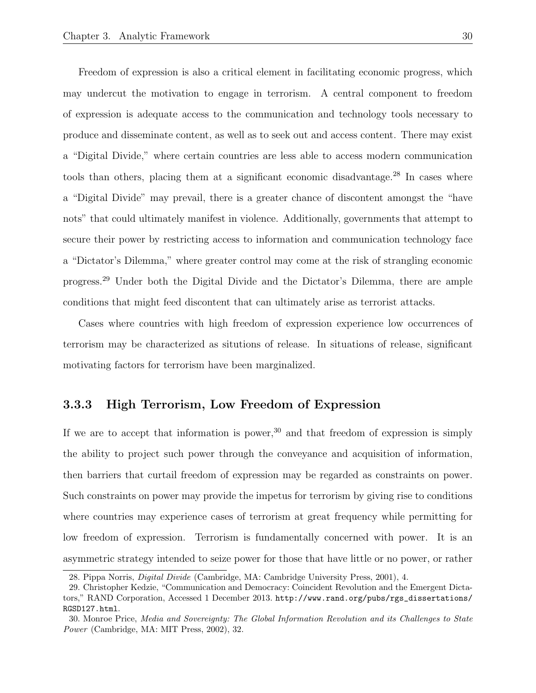Freedom of expression is also a critical element in facilitating economic progress, which may undercut the motivation to engage in terrorism. A central component to freedom of expression is adequate access to the communication and technology tools necessary to produce and disseminate content, as well as to seek out and access content. There may exist a "Digital Divide," where certain countries are less able to access modern communication tools than others, placing them at a significant economic disadvantage.<sup>28</sup> In cases where a "Digital Divide" may prevail, there is a greater chance of discontent amongst the "have nots" that could ultimately manifest in violence. Additionally, governments that attempt to secure their power by restricting access to information and communication technology face a "Dictator's Dilemma," where greater control may come at the risk of strangling economic progress.<sup>29</sup> Under both the Digital Divide and the Dictator's Dilemma, there are ample conditions that might feed discontent that can ultimately arise as terrorist attacks.

Cases where countries with high freedom of expression experience low occurrences of terrorism may be characterized as situtions of release. In situations of release, significant motivating factors for terrorism have been marginalized.

#### 3.3.3 High Terrorism, Low Freedom of Expression

If we are to accept that information is power,  $30$  and that freedom of expression is simply the ability to project such power through the conveyance and acquisition of information, then barriers that curtail freedom of expression may be regarded as constraints on power. Such constraints on power may provide the impetus for terrorism by giving rise to conditions where countries may experience cases of terrorism at great frequency while permitting for low freedom of expression. Terrorism is fundamentally concerned with power. It is an asymmetric strategy intended to seize power for those that have little or no power, or rather

<sup>28.</sup> Pippa Norris, Digital Divide (Cambridge, MA: Cambridge University Press, 2001), 4.

<sup>29.</sup> Christopher Kedzie, "Communication and Democracy: Coincident Revolution and the Emergent Dictators," RAND Corporation, Accessed 1 December 2013. http://www.rand.org/pubs/rgs\_dissertations/ RGSD127.html.

<sup>30.</sup> Monroe Price, Media and Sovereignty: The Global Information Revolution and its Challenges to State Power (Cambridge, MA: MIT Press, 2002), 32.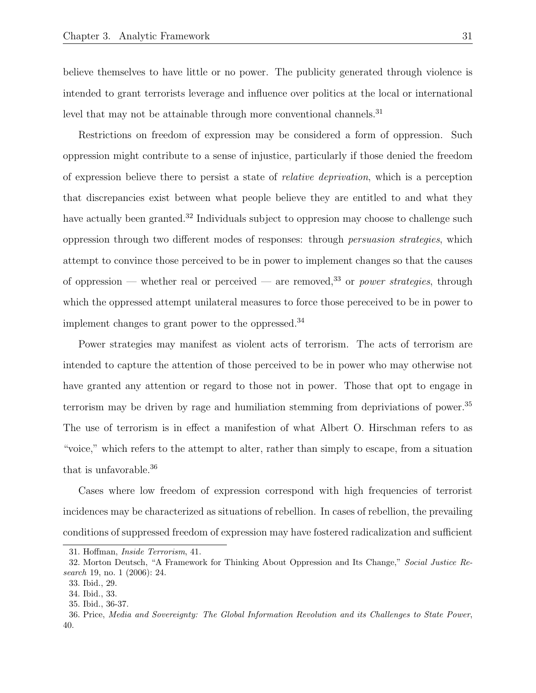believe themselves to have little or no power. The publicity generated through violence is intended to grant terrorists leverage and influence over politics at the local or international level that may not be attainable through more conventional channels.<sup>31</sup>

Restrictions on freedom of expression may be considered a form of oppression. Such oppression might contribute to a sense of injustice, particularly if those denied the freedom of expression believe there to persist a state of relative deprivation, which is a perception that discrepancies exist between what people believe they are entitled to and what they have actually been granted.<sup>32</sup> Individuals subject to oppression may choose to challenge such oppression through two different modes of responses: through persuasion strategies, which attempt to convince those perceived to be in power to implement changes so that the causes of oppression — whether real or perceived — are removed,<sup>33</sup> or *power strategies*, through which the oppressed attempt unilateral measures to force those pereceived to be in power to implement changes to grant power to the oppressed.<sup>34</sup>

Power strategies may manifest as violent acts of terrorism. The acts of terrorism are intended to capture the attention of those perceived to be in power who may otherwise not have granted any attention or regard to those not in power. Those that opt to engage in terrorism may be driven by rage and humiliation stemming from depriviations of power.<sup>35</sup> The use of terrorism is in effect a manifestion of what Albert O. Hirschman refers to as "voice," which refers to the attempt to alter, rather than simply to escape, from a situation that is unfavorable.<sup>36</sup>

Cases where low freedom of expression correspond with high frequencies of terrorist incidences may be characterized as situations of rebellion. In cases of rebellion, the prevailing conditions of suppressed freedom of expression may have fostered radicalization and sufficient

<sup>31.</sup> Hoffman, Inside Terrorism, 41.

<sup>32.</sup> Morton Deutsch, "A Framework for Thinking About Oppression and Its Change," Social Justice Research 19, no. 1 (2006): 24.

<sup>33.</sup> Ibid., 29.

<sup>34.</sup> Ibid., 33.

<sup>35.</sup> Ibid., 36-37.

<sup>36.</sup> Price, Media and Sovereignty: The Global Information Revolution and its Challenges to State Power, 40.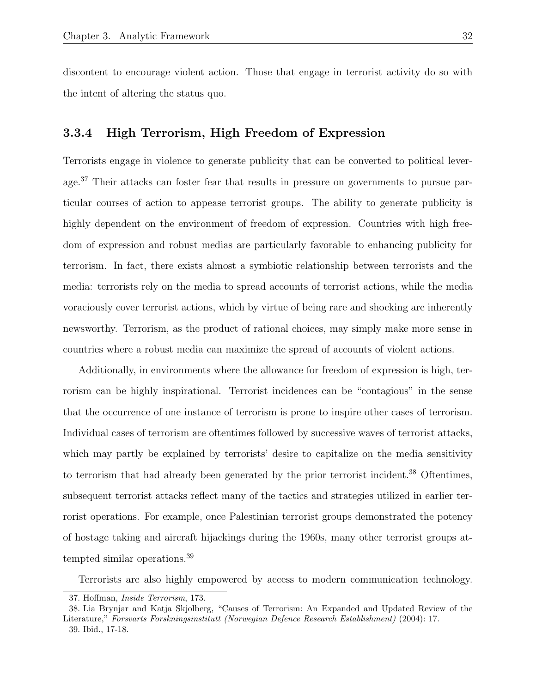discontent to encourage violent action. Those that engage in terrorist activity do so with the intent of altering the status quo.

#### 3.3.4 High Terrorism, High Freedom of Expression

Terrorists engage in violence to generate publicity that can be converted to political leverage.<sup>37</sup> Their attacks can foster fear that results in pressure on governments to pursue particular courses of action to appease terrorist groups. The ability to generate publicity is highly dependent on the environment of freedom of expression. Countries with high freedom of expression and robust medias are particularly favorable to enhancing publicity for terrorism. In fact, there exists almost a symbiotic relationship between terrorists and the media: terrorists rely on the media to spread accounts of terrorist actions, while the media voraciously cover terrorist actions, which by virtue of being rare and shocking are inherently newsworthy. Terrorism, as the product of rational choices, may simply make more sense in countries where a robust media can maximize the spread of accounts of violent actions.

Additionally, in environments where the allowance for freedom of expression is high, terrorism can be highly inspirational. Terrorist incidences can be "contagious" in the sense that the occurrence of one instance of terrorism is prone to inspire other cases of terrorism. Individual cases of terrorism are oftentimes followed by successive waves of terrorist attacks, which may partly be explained by terrorists' desire to capitalize on the media sensitivity to terrorism that had already been generated by the prior terrorist incident.<sup>38</sup> Oftentimes, subsequent terrorist attacks reflect many of the tactics and strategies utilized in earlier terrorist operations. For example, once Palestinian terrorist groups demonstrated the potency of hostage taking and aircraft hijackings during the 1960s, many other terrorist groups attempted similar operations.<sup>39</sup>

Terrorists are also highly empowered by access to modern communication technology.

<sup>37.</sup> Hoffman, Inside Terrorism, 173.

<sup>38.</sup> Lia Brynjar and Katja Skjolberg, "Causes of Terrorism: An Expanded and Updated Review of the Literature," Forsvarts Forskningsinstitutt (Norwegian Defence Research Establishment) (2004): 17. 39. Ibid., 17-18.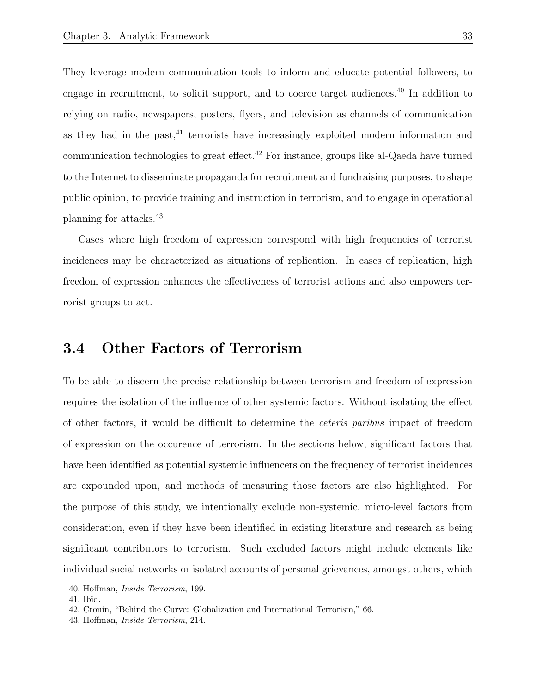They leverage modern communication tools to inform and educate potential followers, to engage in recruitment, to solicit support, and to coerce target audiences.<sup>40</sup> In addition to relying on radio, newspapers, posters, flyers, and television as channels of communication as they had in the past, $41$  terrorists have increasingly exploited modern information and communication technologies to great effect.<sup>42</sup> For instance, groups like al-Qaeda have turned to the Internet to disseminate propaganda for recruitment and fundraising purposes, to shape public opinion, to provide training and instruction in terrorism, and to engage in operational planning for attacks.<sup>43</sup>

Cases where high freedom of expression correspond with high frequencies of terrorist incidences may be characterized as situations of replication. In cases of replication, high freedom of expression enhances the effectiveness of terrorist actions and also empowers terrorist groups to act.

### 3.4 Other Factors of Terrorism

To be able to discern the precise relationship between terrorism and freedom of expression requires the isolation of the influence of other systemic factors. Without isolating the effect of other factors, it would be difficult to determine the ceteris paribus impact of freedom of expression on the occurence of terrorism. In the sections below, significant factors that have been identified as potential systemic influencers on the frequency of terrorist incidences are expounded upon, and methods of measuring those factors are also highlighted. For the purpose of this study, we intentionally exclude non-systemic, micro-level factors from consideration, even if they have been identified in existing literature and research as being significant contributors to terrorism. Such excluded factors might include elements like individual social networks or isolated accounts of personal grievances, amongst others, which

<sup>40.</sup> Hoffman, Inside Terrorism, 199.

<sup>41.</sup> Ibid.

<sup>42.</sup> Cronin, "Behind the Curve: Globalization and International Terrorism," 66.

<sup>43.</sup> Hoffman, Inside Terrorism, 214.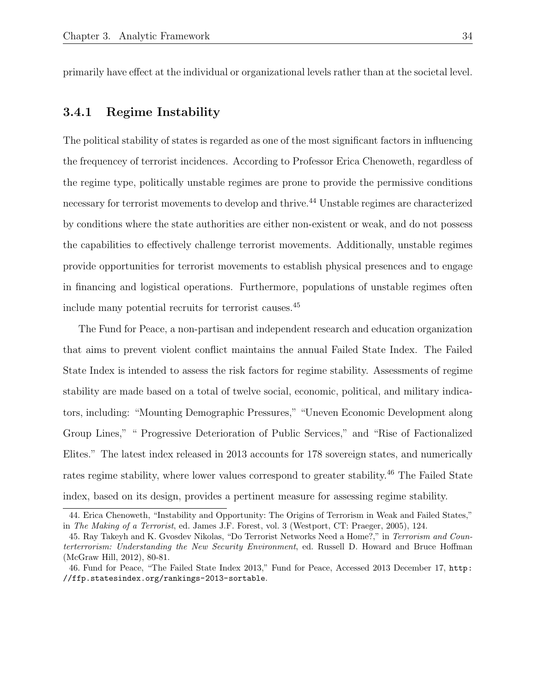primarily have effect at the individual or organizational levels rather than at the societal level.

#### 3.4.1 Regime Instability

The political stability of states is regarded as one of the most significant factors in influencing the frequencey of terrorist incidences. According to Professor Erica Chenoweth, regardless of the regime type, politically unstable regimes are prone to provide the permissive conditions necessary for terrorist movements to develop and thrive.<sup>44</sup> Unstable regimes are characterized by conditions where the state authorities are either non-existent or weak, and do not possess the capabilities to effectively challenge terrorist movements. Additionally, unstable regimes provide opportunities for terrorist movements to establish physical presences and to engage in financing and logistical operations. Furthermore, populations of unstable regimes often include many potential recruits for terrorist causes.<sup>45</sup>

The Fund for Peace, a non-partisan and independent research and education organization that aims to prevent violent conflict maintains the annual Failed State Index. The Failed State Index is intended to assess the risk factors for regime stability. Assessments of regime stability are made based on a total of twelve social, economic, political, and military indicators, including: "Mounting Demographic Pressures," "Uneven Economic Development along Group Lines," " Progressive Deterioration of Public Services," and "Rise of Factionalized Elites." The latest index released in 2013 accounts for 178 sovereign states, and numerically rates regime stability, where lower values correspond to greater stability.<sup>46</sup> The Failed State index, based on its design, provides a pertinent measure for assessing regime stability.

<sup>44.</sup> Erica Chenoweth, "Instability and Opportunity: The Origins of Terrorism in Weak and Failed States," in The Making of a Terrorist, ed. James J.F. Forest, vol. 3 (Westport, CT: Praeger, 2005), 124.

<sup>45.</sup> Ray Takeyh and K. Gvosdev Nikolas, "Do Terrorist Networks Need a Home?," in Terrorism and Counterterrorism: Understanding the New Security Environment, ed. Russell D. Howard and Bruce Hoffman (McGraw Hill, 2012), 80-81.

<sup>46.</sup> Fund for Peace, "The Failed State Index 2013," Fund for Peace, Accessed 2013 December 17, http: //ffp.statesindex.org/rankings-2013-sortable.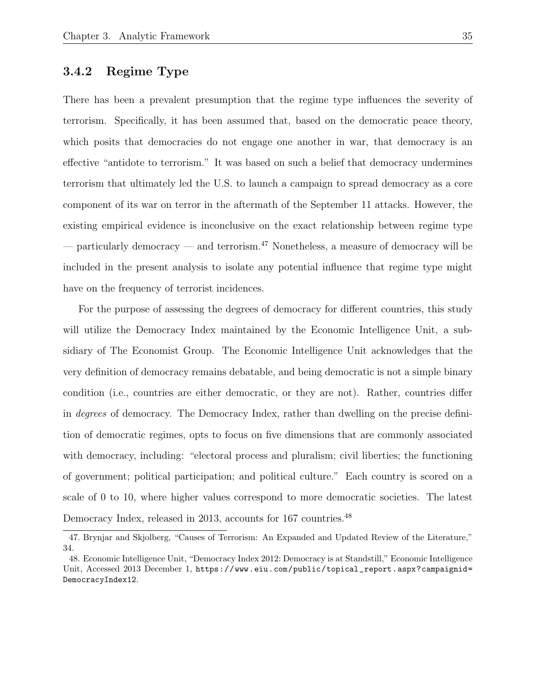### 3.4.2 Regime Type

There has been a prevalent presumption that the regime type influences the severity of terrorism. Specifically, it has been assumed that, based on the democratic peace theory, which posits that democracies do not engage one another in war, that democracy is an effective "antidote to terrorism." It was based on such a belief that democracy undermines terrorism that ultimately led the U.S. to launch a campaign to spread democracy as a core component of its war on terror in the aftermath of the September 11 attacks. However, the existing empirical evidence is inconclusive on the exact relationship between regime type — particularly democracy — and terrorism.<sup>47</sup> Nonetheless, a measure of democracy will be included in the present analysis to isolate any potential influence that regime type might have on the frequency of terrorist incidences.

For the purpose of assessing the degrees of democracy for different countries, this study will utilize the Democracy Index maintained by the Economic Intelligence Unit, a subsidiary of The Economist Group. The Economic Intelligence Unit acknowledges that the very definition of democracy remains debatable, and being democratic is not a simple binary condition (i.e., countries are either democratic, or they are not). Rather, countries differ in degrees of democracy. The Democracy Index, rather than dwelling on the precise definition of democratic regimes, opts to focus on five dimensions that are commonly associated with democracy, including: "electoral process and pluralism; civil liberties; the functioning of government; political participation; and political culture." Each country is scored on a scale of 0 to 10, where higher values correspond to more democratic societies. The latest Democracy Index, released in 2013, accounts for 167 countries.<sup>48</sup>

<sup>47.</sup> Brynjar and Skjolberg, "Causes of Terrorism: An Expanded and Updated Review of the Literature," 34.

<sup>48.</sup> Economic Intelligence Unit, "Democracy Index 2012: Democracy is at Standstill," Economic Intelligence Unit, Accessed 2013 December 1, https://www.eiu.com/public/topical\_report.aspx?campaignid= DemocracyIndex12.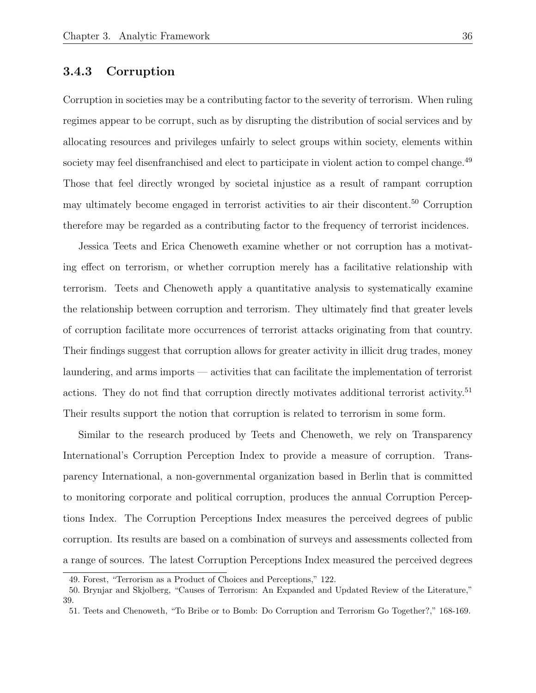## 3.4.3 Corruption

Corruption in societies may be a contributing factor to the severity of terrorism. When ruling regimes appear to be corrupt, such as by disrupting the distribution of social services and by allocating resources and privileges unfairly to select groups within society, elements within society may feel disenfranchised and elect to participate in violent action to compel change.<sup>49</sup> Those that feel directly wronged by societal injustice as a result of rampant corruption may ultimately become engaged in terrorist activities to air their discontent.<sup>50</sup> Corruption therefore may be regarded as a contributing factor to the frequency of terrorist incidences.

Jessica Teets and Erica Chenoweth examine whether or not corruption has a motivating effect on terrorism, or whether corruption merely has a facilitative relationship with terrorism. Teets and Chenoweth apply a quantitative analysis to systematically examine the relationship between corruption and terrorism. They ultimately find that greater levels of corruption facilitate more occurrences of terrorist attacks originating from that country. Their findings suggest that corruption allows for greater activity in illicit drug trades, money laundering, and arms imports — activities that can facilitate the implementation of terrorist actions. They do not find that corruption directly motivates additional terrorist activity.<sup>51</sup> Their results support the notion that corruption is related to terrorism in some form.

Similar to the research produced by Teets and Chenoweth, we rely on Transparency International's Corruption Perception Index to provide a measure of corruption. Transparency International, a non-governmental organization based in Berlin that is committed to monitoring corporate and political corruption, produces the annual Corruption Perceptions Index. The Corruption Perceptions Index measures the perceived degrees of public corruption. Its results are based on a combination of surveys and assessments collected from a range of sources. The latest Corruption Perceptions Index measured the perceived degrees

<sup>49.</sup> Forest, "Terrorism as a Product of Choices and Perceptions," 122.

<sup>50.</sup> Brynjar and Skjolberg, "Causes of Terrorism: An Expanded and Updated Review of the Literature," 39.

<sup>51.</sup> Teets and Chenoweth, "To Bribe or to Bomb: Do Corruption and Terrorism Go Together?," 168-169.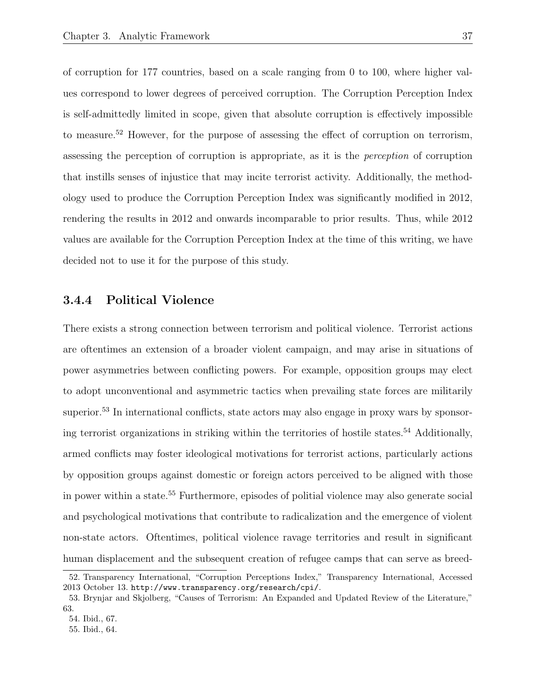of corruption for 177 countries, based on a scale ranging from 0 to 100, where higher values correspond to lower degrees of perceived corruption. The Corruption Perception Index is self-admittedly limited in scope, given that absolute corruption is effectively impossible to measure.<sup>52</sup> However, for the purpose of assessing the effect of corruption on terrorism, assessing the perception of corruption is appropriate, as it is the perception of corruption that instills senses of injustice that may incite terrorist activity. Additionally, the methodology used to produce the Corruption Perception Index was significantly modified in 2012, rendering the results in 2012 and onwards incomparable to prior results. Thus, while 2012 values are available for the Corruption Perception Index at the time of this writing, we have decided not to use it for the purpose of this study.

## 3.4.4 Political Violence

There exists a strong connection between terrorism and political violence. Terrorist actions are oftentimes an extension of a broader violent campaign, and may arise in situations of power asymmetries between conflicting powers. For example, opposition groups may elect to adopt unconventional and asymmetric tactics when prevailing state forces are militarily superior.<sup>53</sup> In international conflicts, state actors may also engage in proxy wars by sponsoring terrorist organizations in striking within the territories of hostile states.<sup>54</sup> Additionally, armed conflicts may foster ideological motivations for terrorist actions, particularly actions by opposition groups against domestic or foreign actors perceived to be aligned with those in power within a state.<sup>55</sup> Furthermore, episodes of politial violence may also generate social and psychological motivations that contribute to radicalization and the emergence of violent non-state actors. Oftentimes, political violence ravage territories and result in significant human displacement and the subsequent creation of refugee camps that can serve as breed-

<sup>52.</sup> Transparency International, "Corruption Perceptions Index," Transparency International, Accessed 2013 October 13. http://www.transparency.org/research/cpi/.

<sup>53.</sup> Brynjar and Skjolberg, "Causes of Terrorism: An Expanded and Updated Review of the Literature," 63.

<sup>54.</sup> Ibid., 67.

<sup>55.</sup> Ibid., 64.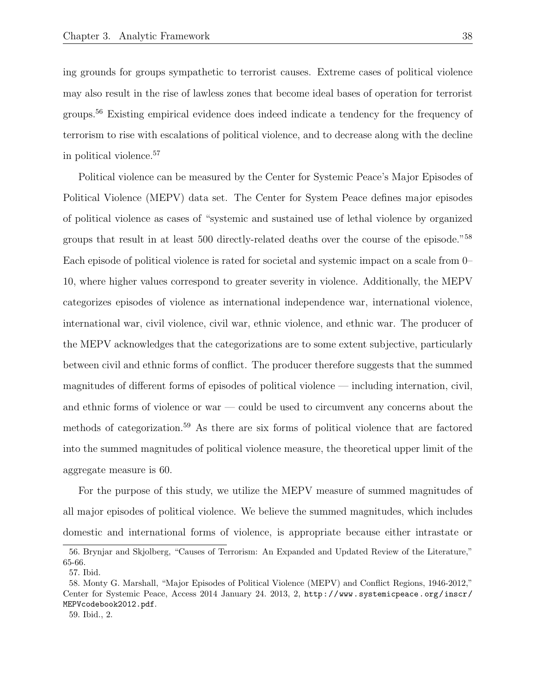ing grounds for groups sympathetic to terrorist causes. Extreme cases of political violence may also result in the rise of lawless zones that become ideal bases of operation for terrorist groups.<sup>56</sup> Existing empirical evidence does indeed indicate a tendency for the frequency of terrorism to rise with escalations of political violence, and to decrease along with the decline in political violence.<sup>57</sup>

Political violence can be measured by the Center for Systemic Peace's Major Episodes of Political Violence (MEPV) data set. The Center for System Peace defines major episodes of political violence as cases of "systemic and sustained use of lethal violence by organized groups that result in at least 500 directly-related deaths over the course of the episode."<sup>58</sup> Each episode of political violence is rated for societal and systemic impact on a scale from 0– 10, where higher values correspond to greater severity in violence. Additionally, the MEPV categorizes episodes of violence as international independence war, international violence, international war, civil violence, civil war, ethnic violence, and ethnic war. The producer of the MEPV acknowledges that the categorizations are to some extent subjective, particularly between civil and ethnic forms of conflict. The producer therefore suggests that the summed magnitudes of different forms of episodes of political violence — including internation, civil, and ethnic forms of violence or war — could be used to circumvent any concerns about the methods of categorization.<sup>59</sup> As there are six forms of political violence that are factored into the summed magnitudes of political violence measure, the theoretical upper limit of the aggregate measure is 60.

For the purpose of this study, we utilize the MEPV measure of summed magnitudes of all major episodes of political violence. We believe the summed magnitudes, which includes domestic and international forms of violence, is appropriate because either intrastate or

<sup>56.</sup> Brynjar and Skjolberg, "Causes of Terrorism: An Expanded and Updated Review of the Literature," 65-66.

<sup>57.</sup> Ibid.

<sup>58.</sup> Monty G. Marshall, "Major Episodes of Political Violence (MEPV) and Conflict Regions, 1946-2012," Center for Systemic Peace, Access 2014 January 24. 2013, 2, http://www.systemicpeace.org/inscr/ MEPVcodebook2012.pdf.

<sup>59.</sup> Ibid., 2.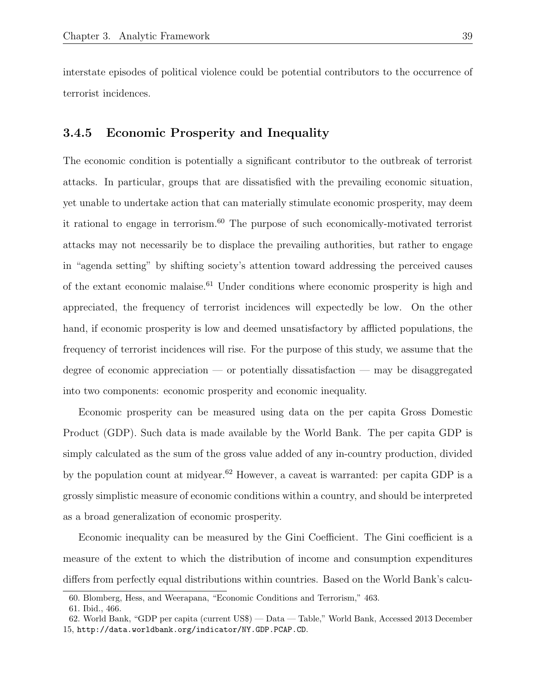interstate episodes of political violence could be potential contributors to the occurrence of terrorist incidences.

#### 3.4.5 Economic Prosperity and Inequality

The economic condition is potentially a significant contributor to the outbreak of terrorist attacks. In particular, groups that are dissatisfied with the prevailing economic situation, yet unable to undertake action that can materially stimulate economic prosperity, may deem it rational to engage in terrorism.<sup>60</sup> The purpose of such economically-motivated terrorist attacks may not necessarily be to displace the prevailing authorities, but rather to engage in "agenda setting" by shifting society's attention toward addressing the perceived causes of the extant economic malaise.<sup>61</sup> Under conditions where economic prosperity is high and appreciated, the frequency of terrorist incidences will expectedly be low. On the other hand, if economic prosperity is low and deemed unsatisfactory by afflicted populations, the frequency of terrorist incidences will rise. For the purpose of this study, we assume that the degree of economic appreciation — or potentially dissatisfaction — may be disaggregated into two components: economic prosperity and economic inequality.

Economic prosperity can be measured using data on the per capita Gross Domestic Product (GDP). Such data is made available by the World Bank. The per capita GDP is simply calculated as the sum of the gross value added of any in-country production, divided by the population count at midyear.<sup>62</sup> However, a caveat is warranted: per capita GDP is a grossly simplistic measure of economic conditions within a country, and should be interpreted as a broad generalization of economic prosperity.

Economic inequality can be measured by the Gini Coefficient. The Gini coefficient is a measure of the extent to which the distribution of income and consumption expenditures differs from perfectly equal distributions within countries. Based on the World Bank's calcu-

<sup>60.</sup> Blomberg, Hess, and Weerapana, "Economic Conditions and Terrorism," 463.

<sup>61.</sup> Ibid., 466.

<sup>62.</sup> World Bank, "GDP per capita (current US\$) — Data — Table," World Bank, Accessed 2013 December 15, http://data.worldbank.org/indicator/NY.GDP.PCAP.CD.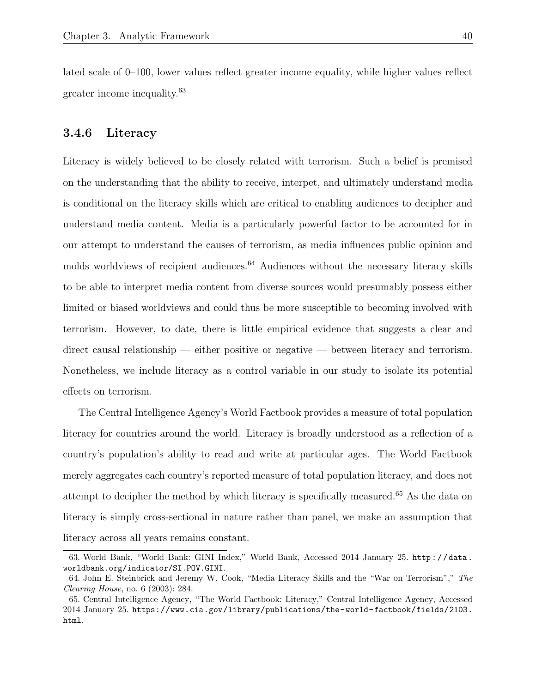lated scale of 0–100, lower values reflect greater income equality, while higher values reflect greater income inequality.<sup>63</sup>

#### 3.4.6 Literacy

Literacy is widely believed to be closely related with terrorism. Such a belief is premised on the understanding that the ability to receive, interpet, and ultimately understand media is conditional on the literacy skills which are critical to enabling audiences to decipher and understand media content. Media is a particularly powerful factor to be accounted for in our attempt to understand the causes of terrorism, as media influences public opinion and molds worldviews of recipient audiences.<sup>64</sup> Audiences without the necessary literacy skills to be able to interpret media content from diverse sources would presumably possess either limited or biased worldviews and could thus be more susceptible to becoming involved with terrorism. However, to date, there is little empirical evidence that suggests a clear and direct causal relationship — either positive or negative — between literacy and terrorism. Nonetheless, we include literacy as a control variable in our study to isolate its potential effects on terrorism.

The Central Intelligence Agency's World Factbook provides a measure of total population literacy for countries around the world. Literacy is broadly understood as a reflection of a country's population's ability to read and write at particular ages. The World Factbook merely aggregates each country's reported measure of total population literacy, and does not attempt to decipher the method by which literacy is specifically measured.<sup>65</sup> As the data on literacy is simply cross-sectional in nature rather than panel, we make an assumption that literacy across all years remains constant.

<sup>63.</sup> World Bank, "World Bank: GINI Index," World Bank, Accessed 2014 January 25. http : / / data . worldbank.org/indicator/SI.POV.GINI.

<sup>64.</sup> John E. Steinbrick and Jeremy W. Cook, "Media Literacy Skills and the "War on Terrorism"," The Clearing House, no. 6 (2003): 284.

<sup>65.</sup> Central Intelligence Agency, "The World Factbook: Literacy," Central Intelligence Agency, Accessed 2014 January 25. https://www.cia.gov/library/publications/the-world-factbook/fields/2103. html.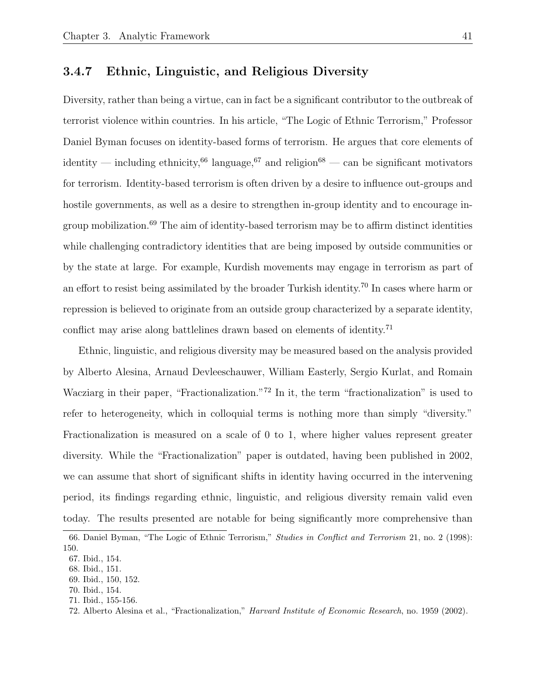### 3.4.7 Ethnic, Linguistic, and Religious Diversity

Diversity, rather than being a virtue, can in fact be a significant contributor to the outbreak of terrorist violence within countries. In his article, "The Logic of Ethnic Terrorism," Professor Daniel Byman focuses on identity-based forms of terrorism. He argues that core elements of identity — including ethnicity,<sup>66</sup> language,<sup>67</sup> and religion<sup>68</sup> — can be significant motivators for terrorism. Identity-based terrorism is often driven by a desire to influence out-groups and hostile governments, as well as a desire to strengthen in-group identity and to encourage ingroup mobilization.<sup>69</sup> The aim of identity-based terrorism may be to affirm distinct identities while challenging contradictory identities that are being imposed by outside communities or by the state at large. For example, Kurdish movements may engage in terrorism as part of an effort to resist being assimilated by the broader Turkish identity.<sup>70</sup> In cases where harm or repression is believed to originate from an outside group characterized by a separate identity, conflict may arise along battlelines drawn based on elements of identity.<sup>71</sup>

Ethnic, linguistic, and religious diversity may be measured based on the analysis provided by Alberto Alesina, Arnaud Devleeschauwer, William Easterly, Sergio Kurlat, and Romain Wacziarg in their paper, "Fractionalization."<sup>72</sup> In it, the term "fractionalization" is used to refer to heterogeneity, which in colloquial terms is nothing more than simply "diversity." Fractionalization is measured on a scale of 0 to 1, where higher values represent greater diversity. While the "Fractionalization" paper is outdated, having been published in 2002, we can assume that short of significant shifts in identity having occurred in the intervening period, its findings regarding ethnic, linguistic, and religious diversity remain valid even today. The results presented are notable for being significantly more comprehensive than

<sup>66.</sup> Daniel Byman, "The Logic of Ethnic Terrorism," Studies in Conflict and Terrorism 21, no. 2 (1998): 150.

<sup>67.</sup> Ibid., 154.

<sup>68.</sup> Ibid., 151.

<sup>69.</sup> Ibid., 150, 152.

<sup>70.</sup> Ibid., 154. 71. Ibid., 155-156.

<sup>72.</sup> Alberto Alesina et al., "Fractionalization," Harvard Institute of Economic Research, no. 1959 (2002).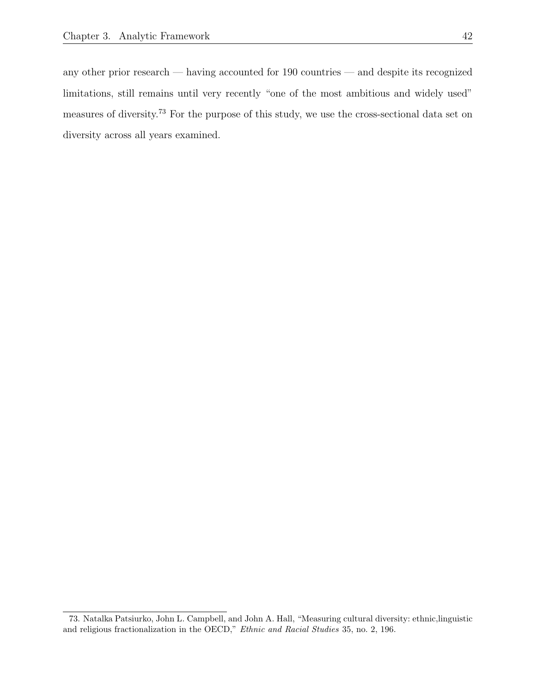any other prior research — having accounted for 190 countries — and despite its recognized limitations, still remains until very recently "one of the most ambitious and widely used" measures of diversity.<sup>73</sup> For the purpose of this study, we use the cross-sectional data set on diversity across all years examined.

<sup>73.</sup> Natalka Patsiurko, John L. Campbell, and John A. Hall, "Measuring cultural diversity: ethnic,linguistic and religious fractionalization in the OECD," Ethnic and Racial Studies 35, no. 2, 196.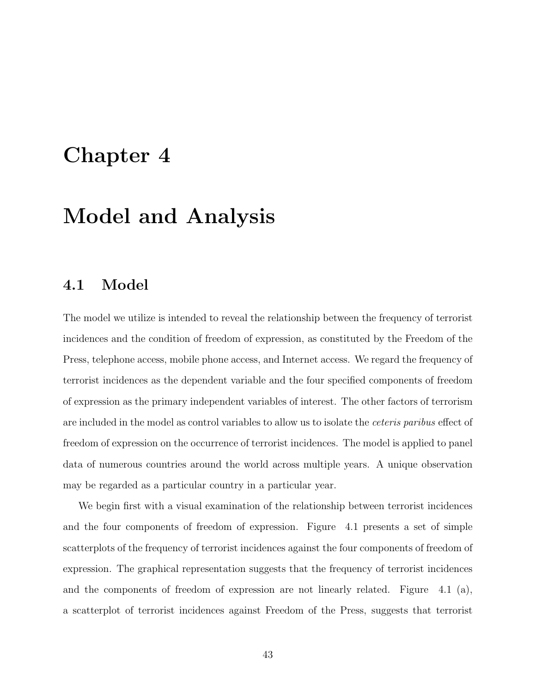## Chapter 4

# Model and Analysis

## 4.1 Model

The model we utilize is intended to reveal the relationship between the frequency of terrorist incidences and the condition of freedom of expression, as constituted by the Freedom of the Press, telephone access, mobile phone access, and Internet access. We regard the frequency of terrorist incidences as the dependent variable and the four specified components of freedom of expression as the primary independent variables of interest. The other factors of terrorism are included in the model as control variables to allow us to isolate the ceteris paribus effect of freedom of expression on the occurrence of terrorist incidences. The model is applied to panel data of numerous countries around the world across multiple years. A unique observation may be regarded as a particular country in a particular year.

We begin first with a visual examination of the relationship between terrorist incidences and the four components of freedom of expression. Figure 4.1 presents a set of simple scatterplots of the frequency of terrorist incidences against the four components of freedom of expression. The graphical representation suggests that the frequency of terrorist incidences and the components of freedom of expression are not linearly related. Figure 4.1 (a), a scatterplot of terrorist incidences against Freedom of the Press, suggests that terrorist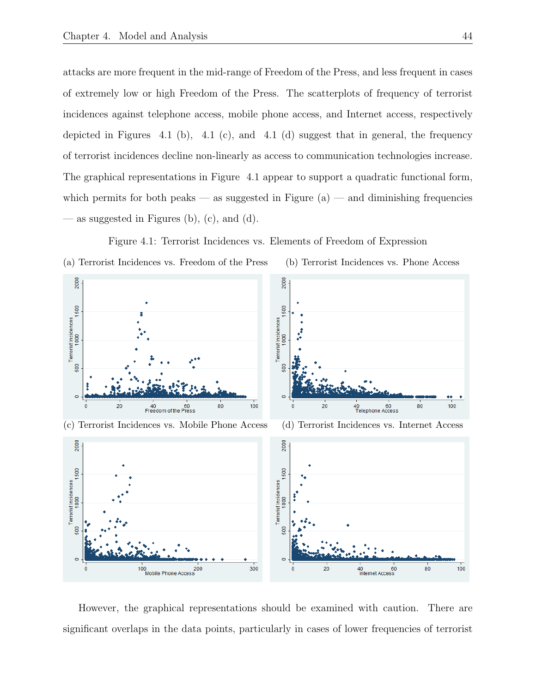500

d

20

attacks are more frequent in the mid-range of Freedom of the Press, and less frequent in cases of extremely low or high Freedom of the Press. The scatterplots of frequency of terrorist incidences against telephone access, mobile phone access, and Internet access, respectively depicted in Figures 4.1 (b), 4.1 (c), and 4.1 (d) suggest that in general, the frequency of terrorist incidences decline non-linearly as access to communication technologies increase. The graphical representations in Figure 4.1 appear to support a quadratic functional form, which permits for both peaks — as suggested in Figure  $(a)$  — and diminishing frequencies as suggested in Figures (b),  $(c)$ , and  $(d)$ .



500

ō

20

80

100

100

80



However, the graphical representations should be examined with caution. There are significant overlaps in the data points, particularly in cases of lower frequencies of terrorist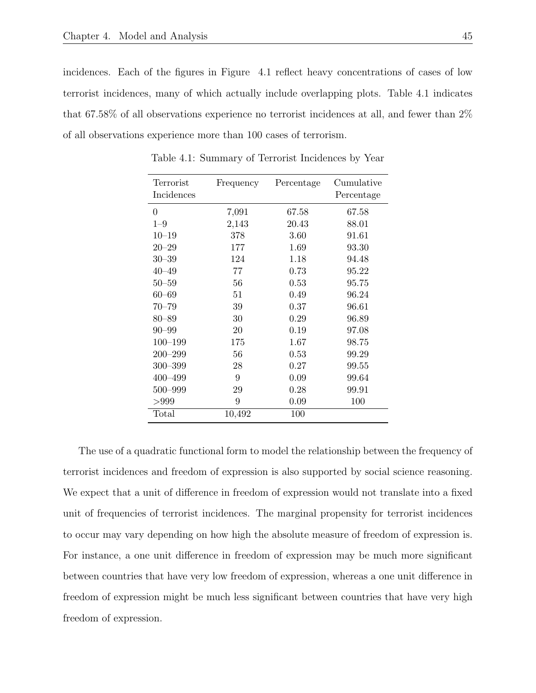incidences. Each of the figures in Figure 4.1 reflect heavy concentrations of cases of low terrorist incidences, many of which actually include overlapping plots. Table 4.1 indicates that 67.58% of all observations experience no terrorist incidences at all, and fewer than 2% of all observations experience more than 100 cases of terrorism.

| Terrorist<br>Incidences | Frequency        | Percentage | Cumulative<br>Percentage |
|-------------------------|------------------|------------|--------------------------|
|                         |                  |            |                          |
| $\theta$                | 7,091            | 67.58      | 67.58                    |
| $1 - 9$                 | 2,143            | 20.43      | 88.01                    |
| $10 - 19$               | 378              | 3.60       | 91.61                    |
| $20 - 29$               | 177              | 1.69       | 93.30                    |
| $30 - 39$               | 124              | 1.18       | 94.48                    |
| $40 - 49$               | 77               | 0.73       | 95.22                    |
| $50 - 59$               | 56               | 0.53       | 95.75                    |
| $60 - 69$               | 51               | 0.49       | 96.24                    |
| $70 - 79$               | 39               | 0.37       | 96.61                    |
| $80 - 89$               | 30               | 0.29       | 96.89                    |
| $90 - 99$               | 20               | 0.19       | 97.08                    |
| $100 - 199$             | 175              | 1.67       | 98.75                    |
| $200 - 299$             | 56               | 0.53       | 99.29                    |
| $300 - 399$             | 28               | 0.27       | 99.55                    |
| $400 - 499$             | 9                | 0.09       | 99.64                    |
| 500-999                 | 29               | 0.28       | 99.91                    |
| >999                    | $\boldsymbol{9}$ | 0.09       | 100                      |
| Total                   | 10,492           | 100        |                          |

Table 4.1: Summary of Terrorist Incidences by Year

The use of a quadratic functional form to model the relationship between the frequency of terrorist incidences and freedom of expression is also supported by social science reasoning. We expect that a unit of difference in freedom of expression would not translate into a fixed unit of frequencies of terrorist incidences. The marginal propensity for terrorist incidences to occur may vary depending on how high the absolute measure of freedom of expression is. For instance, a one unit difference in freedom of expression may be much more significant between countries that have very low freedom of expression, whereas a one unit difference in freedom of expression might be much less significant between countries that have very high freedom of expression.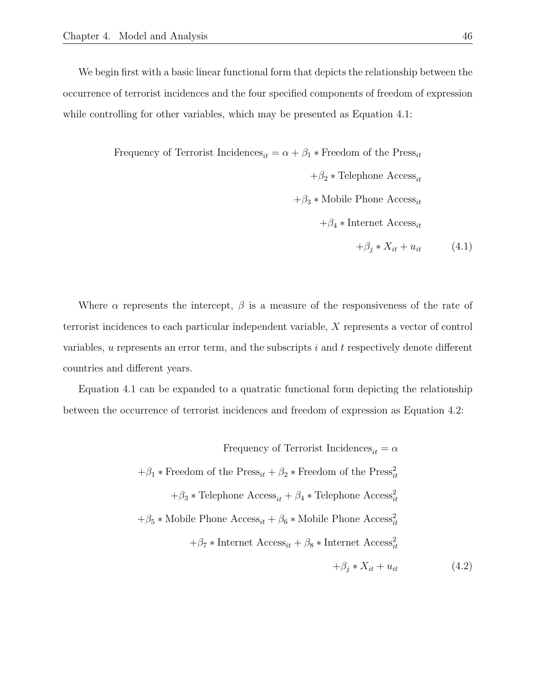We begin first with a basic linear functional form that depicts the relationship between the occurrence of terrorist incidences and the four specified components of freedom of expression while controlling for other variables, which may be presented as Equation 4.1:

> Frequency of Terrorist Incidences<sub>it</sub> =  $\alpha + \beta_1 *$  Freedom of the Press<sub>it</sub>  $+\beta_2 *$  Telephone Access<sub>it</sub>  $+\beta_3 *$  Mobile Phone Access<sub>it</sub>  $+\beta_4$  \* Internet Access<sub>it</sub>  $+\beta_i * X_{it} + u_{it}$  (4.1)

Where  $\alpha$  represents the intercept,  $\beta$  is a measure of the responsiveness of the rate of terrorist incidences to each particular independent variable, X represents a vector of control variables, u represents an error term, and the subscripts i and t respectively denote different countries and different years.

Equation 4.1 can be expanded to a quatratic functional form depicting the relationship between the occurrence of terrorist incidences and freedom of expression as Equation 4.2:

Frequency of Terrorist Incidences<sub>it</sub> = 
$$
\alpha
$$
  
+ $\beta_1$  \* Freedom of the Press<sub>it</sub> +  $\beta_2$  \* Freedom of the Press<sub>it</sub><sup>2</sup>  
+ $\beta_3$  \* Telephone Access<sub>it</sub> +  $\beta_4$  \* Telephone Access<sub>it</sub><sup>2</sup>  
+ $\beta_5$  \* Mobile Phone Access<sub>it</sub> +  $\beta_6$  \* Mobile Phone Access<sub>it</sub><sup>2</sup>  
+ $\beta_7$  \* Internet Access<sub>it</sub> +  $\beta_8$  \* Internet Access<sub>it</sub><sup>2</sup>  
+ $\beta_j$  \*  $X_{it}$  +  $u_{it}$  (4.2)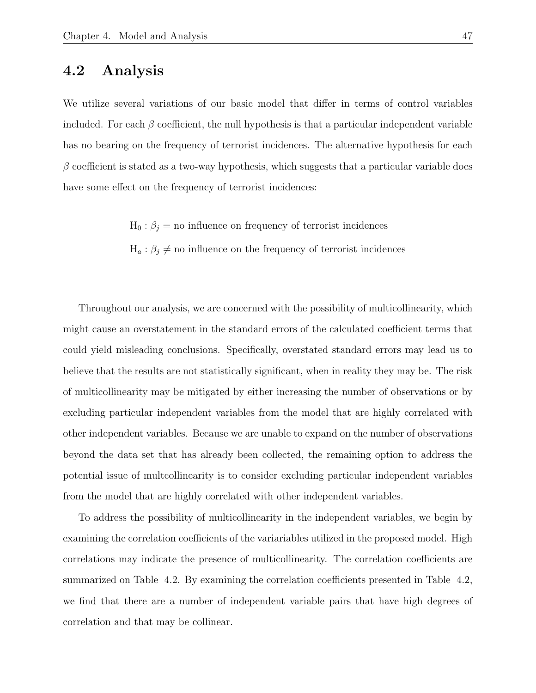## 4.2 Analysis

We utilize several variations of our basic model that differ in terms of control variables included. For each  $\beta$  coefficient, the null hypothesis is that a particular independent variable has no bearing on the frequency of terrorist incidences. The alternative hypothesis for each  $\beta$  coefficient is stated as a two-way hypothesis, which suggests that a particular variable does have some effect on the frequency of terrorist incidences:

 $H_0: \beta_j =$  no influence on frequency of terrorist incidences

 $H_a: \beta_j \neq \text{no influence on the frequency of errorist incidence}$ 

Throughout our analysis, we are concerned with the possibility of multicollinearity, which might cause an overstatement in the standard errors of the calculated coefficient terms that could yield misleading conclusions. Specifically, overstated standard errors may lead us to believe that the results are not statistically significant, when in reality they may be. The risk of multicollinearity may be mitigated by either increasing the number of observations or by excluding particular independent variables from the model that are highly correlated with other independent variables. Because we are unable to expand on the number of observations beyond the data set that has already been collected, the remaining option to address the potential issue of multcollinearity is to consider excluding particular independent variables from the model that are highly correlated with other independent variables.

To address the possibility of multicollinearity in the independent variables, we begin by examining the correlation coefficients of the variariables utilized in the proposed model. High correlations may indicate the presence of multicollinearity. The correlation coefficients are summarized on Table 4.2. By examining the correlation coefficients presented in Table 4.2, we find that there are a number of independent variable pairs that have high degrees of correlation and that may be collinear.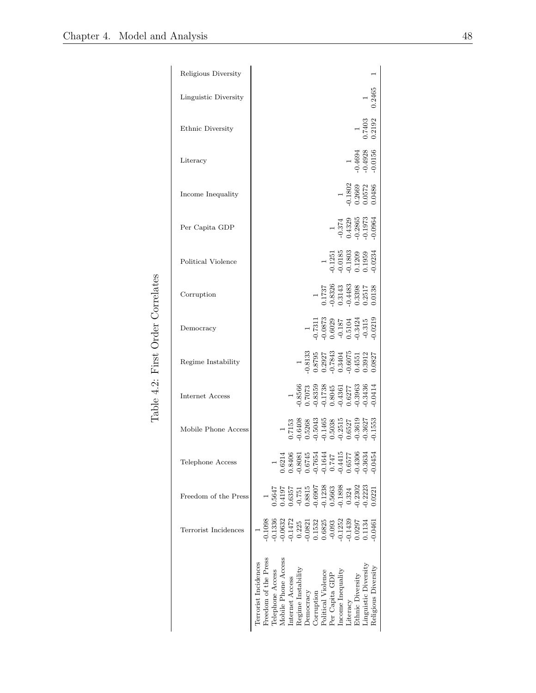| Religious Diversity  |                                                                                                                                                                                                                                                                                                                                                      |
|----------------------|------------------------------------------------------------------------------------------------------------------------------------------------------------------------------------------------------------------------------------------------------------------------------------------------------------------------------------------------------|
| Linguistic Diversity |                                                                                                                                                                                                                                                                                                                                                      |
| Ethnic Diversity     | $\frac{1}{7403}$<br>$\frac{1}{192}$                                                                                                                                                                                                                                                                                                                  |
| Literacy             | $\begin{array}{c} 1 \\ 1 \\ 0.4694 \\ 0.4928 \\ 0.0156 \end{array}$                                                                                                                                                                                                                                                                                  |
| Income Inequality    | $\begin{array}{c} 1 \\ 0.1802 \\ 0.2669 \\ 0.0572 \\ 0.0486 \end{array}$                                                                                                                                                                                                                                                                             |
| Per Capita GDP       | $\begin{array}{c} 1 \\ -0.374 \\ 0.4329 \\ 0.2865 \\ 0.1973 \\ \end{array}$                                                                                                                                                                                                                                                                          |
| Political Violence   | $\begin{array}{c} 1 \\ 0.1251 \\ 0.0185 \\ 0.1803 \\ 0.1209 \\ 0.1209 \\ 0.1959 \\ \end{array}$                                                                                                                                                                                                                                                      |
| Corruption           | $\begin{array}{c} 1 \\ 1.1737 \\ 0.8326 \\ 0.3143 \\ 0.4483 \\ 0.4483 \\ 0.3998 \\ 0.0138 \end{array}$                                                                                                                                                                                                                                               |
| Democracy            | $\begin{array}{c} 1 \\ 0.7311 \\ 0.0873 \\ 0.6029 \\ 0.6029 \\ 0.187 \\ 0.3424 \\ 0.3424 \\ 0.315 \\ \end{array}$                                                                                                                                                                                                                                    |
| Regime Instability   | $\begin{array}{c} 1 \\ 0.813 \\ 0.8795 \\ 0.2927 \\ 0.7843 \\ 0.6075 \\ 0.6075 \\ 0.6075 \\ 0.0751 \\ 0.0751 \\ 0.0075 \\ 0.0075 \\ 0.0032 \\ 0.0037 \\ \end{array}$                                                                                                                                                                                 |
| Internet Access      | $\begin{array}{l} 1 \\ -0.8566 \\ -0.7073 \\ -0.1738 \\ -0.1738 \\ -0.4361 \\ -0.4361 \\ -0.3963 \\ -0.3963 \\ \end{array}$                                                                                                                                                                                                                          |
| Mobile Phone Access  | $\begin{array}{c} 1 \\ 0.7153 \\ 0.6408 \\ 0.50468 \\ 0.15038 \\ 0.14668 \\ 0.2511 \\ 0.3637 \\ 0.3618 \\ 0.3627 \\ 0.3618 \\ \end{array}$                                                                                                                                                                                                           |
| Telephone Access     | $\begin{array}{c} 0.7654 \\ -0.1644 \\ 0.747 \\ -0.4115 \\ 0.6577 \\ -0.6377 \\ \end{array}$<br>0.6214<br>$0.8081$<br>$0.6745$<br>0.3634<br>0.045<br>0.840                                                                                                                                                                                           |
| Freedom of the Press | $\begin{array}{l} 0.4197\\ -0.6357\\ -0.751\\ 0.8815\\ -0.6307\\ -0.6907\\ -0.6907\\ -0.693\\ -0.1238\\ -0.324\\ -0.3202\\ 0.0.2302\\ 0.0.2303\\ \end{array}$<br>1.5647<br>0.0221                                                                                                                                                                    |
| Terrorist Incidences | 9886<br>06325<br>063255<br>0.14725<br>0.153258885<br>0.1532588587<br>0.15325957<br>0.1331<br>0.046                                                                                                                                                                                                                                                   |
|                      | $\begin{tabular}{l} \bf Freedom~of~the~Press \\ \bf Telephone~Access \\ Mobile~Phone~Access \\ \end{tabular}$<br>Terrorist Incidences<br>Linguistic Diversity<br>Religious Diversity<br>Income Inequality<br>Democracy<br>Corruption<br>Political Violence<br>Per Capita GDP<br>Regime Instabilit<br>Ethnic Diversity<br>Internet Access<br>Literacy |

Table 4.2: First Order Correlates Table 4.2: First Order Correlates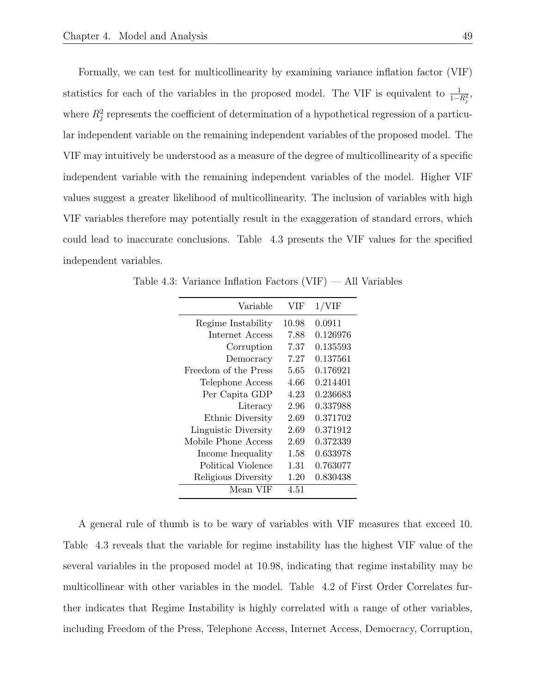Formally, we can test for multicollinearity by examining variance inflation factor (VIF) statistics for each of the variables in the proposed model. The VIF is equivalent to  $\frac{1}{1-R_j^2}$ , where  $R_j^2$  represents the coefficient of determination of a hypothetical regression of a particular independent variable on the remaining independent variables of the proposed model. The VIF may intuitively be understood as a measure of the degree of multicollinearity of a specific independent variable with the remaining independent variables of the model. Higher VIF values suggest a greater likelihood of multicollinearity. The inclusion of variables with high VIF variables therefore may potentially result in the exaggeration of standard errors, which could lead to inaccurate conclusions. Table 4.3 presents the VIF values for the specified independent variables.

| VIF   | $1/\mathrm{VIF}$ |
|-------|------------------|
| 10.98 | 0.0911           |
| 7.88  | 0.126976         |
| 7.37  | 0.135593         |
| 7.27  | 0.137561         |
| 5.65  | 0.176921         |
| 4.66  | 0.214401         |
| 4.23  | 0.236683         |
| 2.96  | 0.337988         |
| 2.69  | 0.371702         |
| 2.69  | 0.371912         |
| 2.69  | 0.372339         |
| 1.58  | 0.633978         |
| 1.31  | 0.763077         |
| 1.20  | 0.830438         |
| 4.51  |                  |
|       |                  |

Table 4.3: Variance Inflation Factors (VIF) — All Variables

A general rule of thumb is to be wary of variables with VIF measures that exceed 10. Table 4.3 reveals that the variable for regime instability has the highest VIF value of the several variables in the proposed model at 10.98, indicating that regime instability may be multicollinear with other variables in the model. Table 4.2 of First Order Correlates further indicates that Regime Instability is highly correlated with a range of other variables, including Freedom of the Press, Telephone Access, Internet Access, Democracy, Corruption,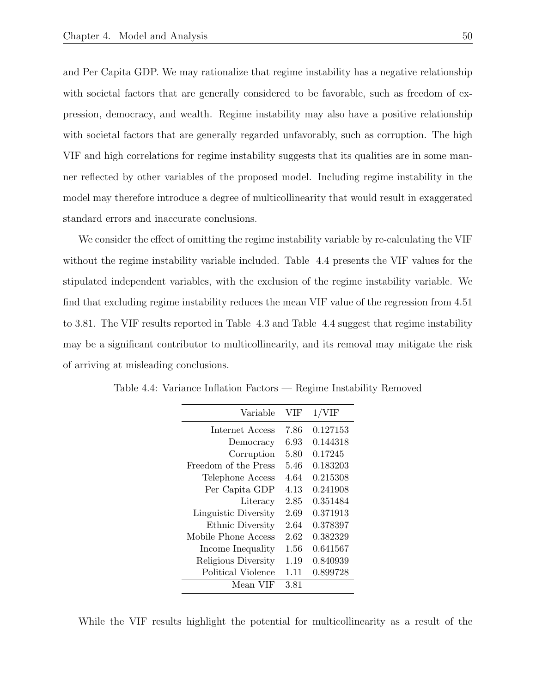and Per Capita GDP. We may rationalize that regime instability has a negative relationship with societal factors that are generally considered to be favorable, such as freedom of expression, democracy, and wealth. Regime instability may also have a positive relationship with societal factors that are generally regarded unfavorably, such as corruption. The high VIF and high correlations for regime instability suggests that its qualities are in some manner reflected by other variables of the proposed model. Including regime instability in the model may therefore introduce a degree of multicollinearity that would result in exaggerated standard errors and inaccurate conclusions.

We consider the effect of omitting the regime instability variable by re-calculating the VIF without the regime instability variable included. Table 4.4 presents the VIF values for the stipulated independent variables, with the exclusion of the regime instability variable. We find that excluding regime instability reduces the mean VIF value of the regression from 4.51 to 3.81. The VIF results reported in Table 4.3 and Table 4.4 suggest that regime instability may be a significant contributor to multicollinearity, and its removal may mitigate the risk of arriving at misleading conclusions.

| Variable             | VIF   | $1/\mathrm{VIF}$ |
|----------------------|-------|------------------|
| Internet Access      | 7.86  | 0.127153         |
| Democracy            | 6.93  | 0.144318         |
| Corruption           | 5.80  | 0.17245          |
| Freedom of the Press | 5.46  | 0.183203         |
| Telephone Access     | 4.64  | 0.215308         |
| Per Capita GDP       | 4.13  | 0.241908         |
| Literacy             | 2.85  | 0.351484         |
| Linguistic Diversity | 2.69  | 0.371913         |
| Ethnic Diversity     | 2.64  | 0.378397         |
| Mobile Phone Access  | 2.62  | 0.382329         |
| Income Inequality    | 1.56  | 0.641567         |
| Religious Diversity  | 1.19  | 0.840939         |
| Political Violence   | 1 1 1 | 0.899728         |
| Mean VIF             | 3.81  |                  |

Table 4.4: Variance Inflation Factors — Regime Instability Removed

While the VIF results highlight the potential for multicollinearity as a result of the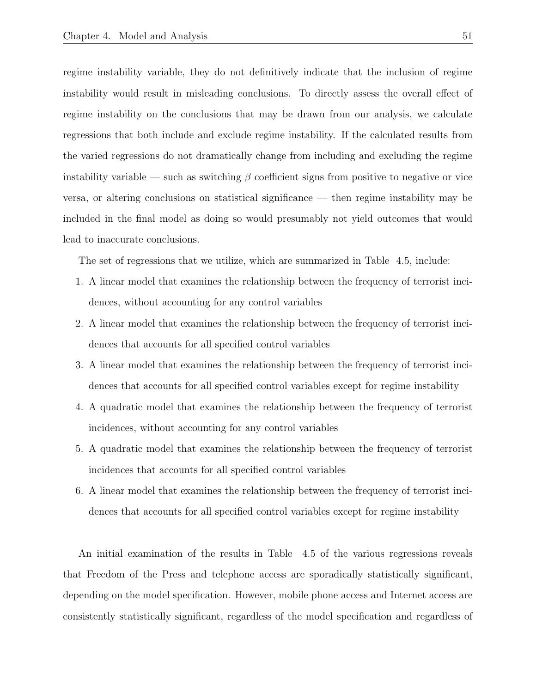regime instability variable, they do not definitively indicate that the inclusion of regime instability would result in misleading conclusions. To directly assess the overall effect of regime instability on the conclusions that may be drawn from our analysis, we calculate regressions that both include and exclude regime instability. If the calculated results from the varied regressions do not dramatically change from including and excluding the regime instability variable — such as switching  $\beta$  coefficient signs from positive to negative or vice versa, or altering conclusions on statistical significance — then regime instability may be included in the final model as doing so would presumably not yield outcomes that would lead to inaccurate conclusions.

The set of regressions that we utilize, which are summarized in Table 4.5, include:

- 1. A linear model that examines the relationship between the frequency of terrorist incidences, without accounting for any control variables
- 2. A linear model that examines the relationship between the frequency of terrorist incidences that accounts for all specified control variables
- 3. A linear model that examines the relationship between the frequency of terrorist incidences that accounts for all specified control variables except for regime instability
- 4. A quadratic model that examines the relationship between the frequency of terrorist incidences, without accounting for any control variables
- 5. A quadratic model that examines the relationship between the frequency of terrorist incidences that accounts for all specified control variables
- 6. A linear model that examines the relationship between the frequency of terrorist incidences that accounts for all specified control variables except for regime instability

An initial examination of the results in Table 4.5 of the various regressions reveals that Freedom of the Press and telephone access are sporadically statistically significant, depending on the model specification. However, mobile phone access and Internet access are consistently statistically significant, regardless of the model specification and regardless of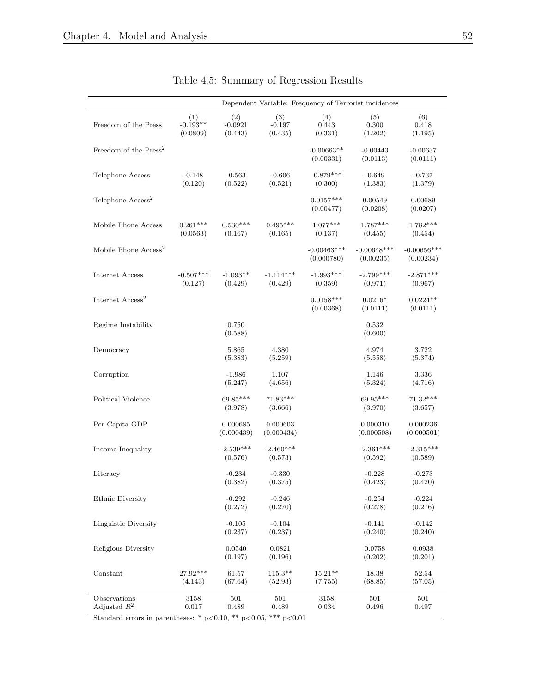|                                   |                               |                             |                            |                             | Dependent Variable: Frequency of Terrorist incidences |                            |
|-----------------------------------|-------------------------------|-----------------------------|----------------------------|-----------------------------|-------------------------------------------------------|----------------------------|
| Freedom of the Press              | (1)<br>$-0.193**$<br>(0.0809) | (2)<br>$-0.0921$<br>(0.443) | (3)<br>$-0.197$<br>(0.435) | (4)<br>0.443<br>(0.331)     | (5)<br>0.300<br>(1.202)                               | (6)<br>0.418<br>(1.195)    |
| Freedom of the Press <sup>2</sup> |                               |                             |                            | $-0.00663**$<br>(0.00331)   | $-0.00443$<br>(0.0113)                                | $-0.00637$<br>(0.0111)     |
| Telephone Access                  | $-0.148$<br>(0.120)           | $-0.563$<br>(0.522)         | $-0.606$<br>(0.521)        | $-0.879***$<br>(0.300)      | $-0.649$<br>(1.383)                                   | $-0.737$<br>(1.379)        |
| Telephone Access <sup>2</sup>     |                               |                             |                            | $0.0157***$<br>(0.00477)    | 0.00549<br>(0.0208)                                   | 0.00689<br>(0.0207)        |
| Mobile Phone Access               | $0.261***$<br>(0.0563)        | $0.530***$<br>(0.167)       | $0.495***$<br>(0.165)      | $1.077***$<br>(0.137)       | $1.787***$<br>(0.455)                                 | $1.782***$<br>(0.454)      |
| Mobile Phone Access <sup>2</sup>  |                               |                             |                            | $-0.00463***$<br>(0.000780) | $-0.00648***$<br>(0.00235)                            | $-0.00656***$<br>(0.00234) |
| Internet Access                   | $-0.507***$<br>(0.127)        | $-1.093**$<br>(0.429)       | $-1.114***$<br>(0.429)     | $-1.993***$<br>(0.359)      | $-2.799***$<br>(0.971)                                | $-2.871***$<br>(0.967)     |
| Internet Access <sup>2</sup>      |                               |                             |                            | $0.0158***$<br>(0.00368)    | $0.0216*$<br>(0.0111)                                 | $0.0224**$<br>(0.0111)     |
| Regime Instability                |                               | 0.750<br>(0.588)            |                            |                             | 0.532<br>(0.600)                                      |                            |
| Democracy                         |                               | 5.865<br>(5.383)            | 4.380<br>(5.259)           |                             | 4.974<br>(5.558)                                      | 3.722<br>(5.374)           |
| Corruption                        |                               | $-1.986$<br>(5.247)         | 1.107<br>(4.656)           |                             | 1.146<br>(5.324)                                      | 3.336<br>(4.716)           |
| Political Violence                |                               | 69.85***<br>(3.978)         | $71.83***$<br>(3.666)      |                             | 69.95***<br>(3.970)                                   | 71.32***<br>(3.657)        |
| Per Capita GDP                    |                               | 0.000685<br>(0.000439)      | 0.000603<br>(0.000434)     |                             | 0.000310<br>(0.000508)                                | 0.000236<br>(0.000501)     |
| Income Inequality                 |                               | $-2.539***$<br>(0.576)      | $-2.460***$<br>(0.573)     |                             | $-2.361***$<br>(0.592)                                | $-2.315***$<br>(0.589)     |
| Literacy                          |                               | $-0.234$<br>(0.382)         | $-0.330$<br>(0.375)        |                             | $-0.228$<br>(0.423)                                   | $-0.273$<br>(0.420)        |
| Ethnic Diversity                  |                               | $-0.292$<br>(0.272)         | $-0.246$<br>(0.270)        |                             | $-0.254$<br>(0.278)                                   | $-0.224$<br>(0.276)        |
| Linguistic Diversity              |                               | $-0.105$<br>(0.237)         | $-0.104$<br>(0.237)        |                             | $-0.141$<br>(0.240)                                   | $-0.142$<br>(0.240)        |
| Religious Diversity               |                               | 0.0540<br>(0.197)           | 0.0821<br>(0.196)          |                             | 0.0758<br>(0.202)                                     | 0.0938<br>(0.201)          |
| Constant                          | 27.92***<br>(4.143)           | 61.57<br>(67.64)            | $115.3**$<br>(52.93)       | $15.21**$<br>(7.755)        | 18.38<br>(68.85)                                      | 52.54<br>(57.05)           |
| Observations<br>Adjusted $R^2$    | 3158<br>0.017                 | 501<br>0.489                | 501<br>0.489               | 3158<br>0.034               | 501<br>0.496                                          | 501<br>0.497               |

## Table 4.5: Summary of Regression Results

Standard errors in parentheses: \* p<0.10, \*\* p<0.05, \*\*\* p<0.01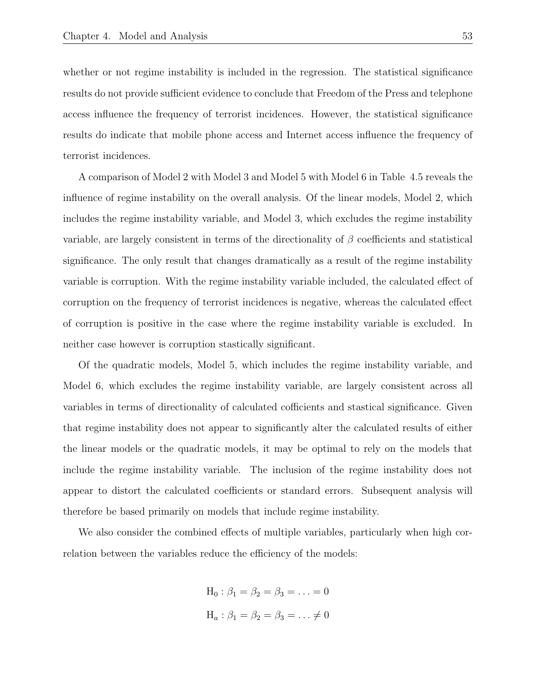whether or not regime instability is included in the regression. The statistical significance results do not provide sufficient evidence to conclude that Freedom of the Press and telephone access influence the frequency of terrorist incidences. However, the statistical significance results do indicate that mobile phone access and Internet access influence the frequency of terrorist incidences.

A comparison of Model 2 with Model 3 and Model 5 with Model 6 in Table 4.5 reveals the influence of regime instability on the overall analysis. Of the linear models, Model 2, which includes the regime instability variable, and Model 3, which excludes the regime instability variable, are largely consistent in terms of the directionality of  $\beta$  coefficients and statistical significance. The only result that changes dramatically as a result of the regime instability variable is corruption. With the regime instability variable included, the calculated effect of corruption on the frequency of terrorist incidences is negative, whereas the calculated effect of corruption is positive in the case where the regime instability variable is excluded. In neither case however is corruption stastically significant.

Of the quadratic models, Model 5, which includes the regime instability variable, and Model 6, which excludes the regime instability variable, are largely consistent across all variables in terms of directionality of calculated cofficients and stastical significance. Given that regime instability does not appear to significantly alter the calculated results of either the linear models or the quadratic models, it may be optimal to rely on the models that include the regime instability variable. The inclusion of the regime instability does not appear to distort the calculated coefficients or standard errors. Subsequent analysis will therefore be based primarily on models that include regime instability.

We also consider the combined effects of multiple variables, particularly when high correlation between the variables reduce the efficiency of the models:

$$
H_0: \beta_1 = \beta_2 = \beta_3 = \dots = 0
$$
  

$$
H_a: \beta_1 = \beta_2 = \beta_3 = \dots \neq 0
$$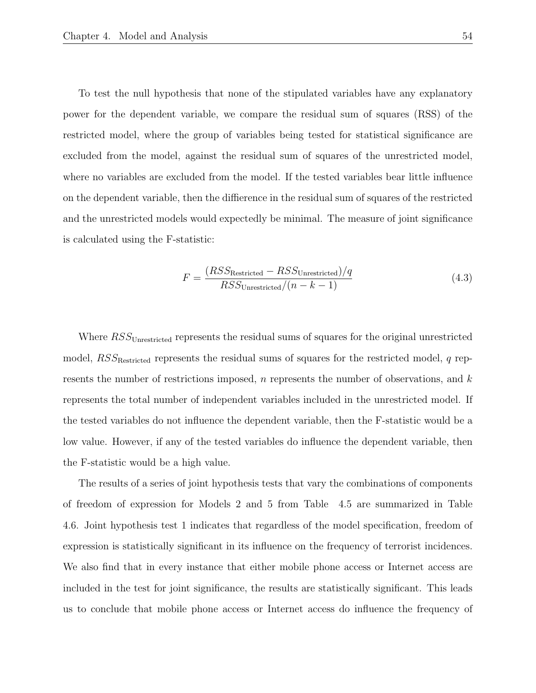To test the null hypothesis that none of the stipulated variables have any explanatory power for the dependent variable, we compare the residual sum of squares (RSS) of the restricted model, where the group of variables being tested for statistical significance are excluded from the model, against the residual sum of squares of the unrestricted model, where no variables are excluded from the model. If the tested variables bear little influence on the dependent variable, then the diffierence in the residual sum of squares of the restricted and the unrestricted models would expectedly be minimal. The measure of joint significance is calculated using the F-statistic:

$$
F = \frac{(RSS_{\text{Restricted}} - RSS_{\text{Unrestricted}})/q}{RSS_{\text{Unrestricted}}/(n - k - 1)}
$$
(4.3)

Where  $RSS_{Unrestricted}$  represents the residual sums of squares for the original unrestricted model,  $RSS_{\text{Restracted}}$  represents the residual sums of squares for the restricted model, q represents the number of restrictions imposed, n represents the number of observations, and  $k$ represents the total number of independent variables included in the unrestricted model. If the tested variables do not influence the dependent variable, then the F-statistic would be a low value. However, if any of the tested variables do influence the dependent variable, then the F-statistic would be a high value.

The results of a series of joint hypothesis tests that vary the combinations of components of freedom of expression for Models 2 and 5 from Table 4.5 are summarized in Table 4.6. Joint hypothesis test 1 indicates that regardless of the model specification, freedom of expression is statistically significant in its influence on the frequency of terrorist incidences. We also find that in every instance that either mobile phone access or Internet access are included in the test for joint significance, the results are statistically significant. This leads us to conclude that mobile phone access or Internet access do influence the frequency of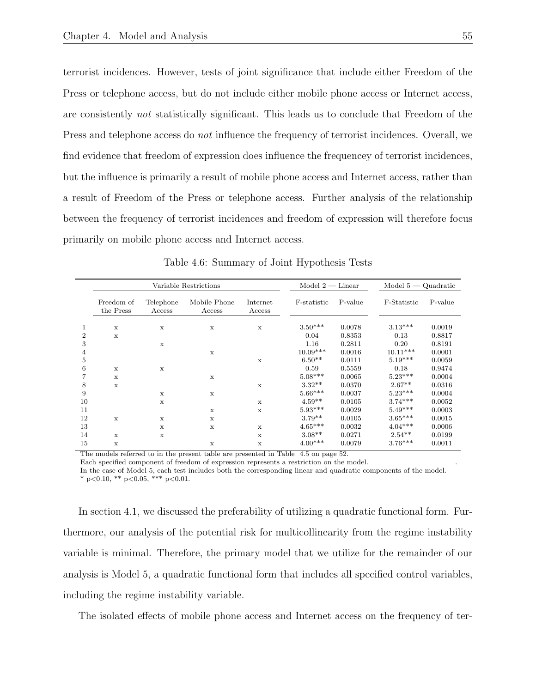terrorist incidences. However, tests of joint significance that include either Freedom of the Press or telephone access, but do not include either mobile phone access or Internet access, are consistently not statistically significant. This leads us to conclude that Freedom of the Press and telephone access do *not* influence the frequency of terrorist incidences. Overall, we find evidence that freedom of expression does influence the frequencey of terrorist incidences, but the influence is primarily a result of mobile phone access and Internet access, rather than a result of Freedom of the Press or telephone access. Further analysis of the relationship between the frequency of terrorist incidences and freedom of expression will therefore focus primarily on mobile phone access and Internet access.

|                | Variable Restrictions   |                     |                        |                    | $Model 2 - Linear$ |         | $Model 5 - Quadratic$ |         |
|----------------|-------------------------|---------------------|------------------------|--------------------|--------------------|---------|-----------------------|---------|
|                | Freedom of<br>the Press | Telephone<br>Access | Mobile Phone<br>Access | Internet<br>Access | F-statistic        | P-value | F-Statistic           | P-value |
| 1              | $\mathbf x$             | $\mathbf x$         | X                      | $\mathbf x$        | $3.50***$          | 0.0078  | $3.13***$             | 0.0019  |
| $\overline{2}$ | $\mathbf x$             |                     |                        |                    | 0.04               | 0.8353  | 0.13                  | 0.8817  |
| 3              |                         | $\mathbf x$         |                        |                    | 1.16               | 0.2811  | 0.20                  | 0.8191  |
| 4              |                         |                     | X                      |                    | $10.09***$         | 0.0016  | $10.11***$            | 0.0001  |
| 5              |                         |                     |                        | $\mathbf x$        | $6.50**$           | 0.0111  | $5.19***$             | 0.0059  |
| 6              | $\mathbf x$             | $\mathbf x$         |                        |                    | 0.59               | 0.5559  | 0.18                  | 0.9474  |
|                | $\mathbf x$             |                     | x                      |                    | $5.08***$          | 0.0065  | $5.23***$             | 0.0004  |
| 8              | $\mathbf x$             |                     |                        | $\mathbf x$        | $3.32**$           | 0.0370  | $2.67**$              | 0.0316  |
| 9              |                         | $\mathbf{x}$        | $\mathbf x$            |                    | $5.66***$          | 0.0037  | $5.23***$             | 0.0004  |
| 10             |                         | $\mathbf x$         |                        | $\mathbf x$        | $4.59**$           | 0.0105  | $3.74***$             | 0.0052  |
| 11             |                         |                     | $\mathbf x$            | $\mathbf x$        | $5.93***$          | 0.0029  | $5.49***$             | 0.0003  |
| 12             | $\mathbf x$             | $\mathbf x$         | X                      |                    | $3.79**$           | 0.0105  | $3.65***$             | 0.0015  |
| 13             |                         | X                   | X                      | $\mathbf x$        | $4.65***$          | 0.0032  | $4.04***$             | 0.0006  |
| 14             | $\mathbf x$             | $\mathbf x$         |                        | $\mathbf x$        | $3.08**$           | 0.0271  | $2.54**$              | 0.0199  |
| 15             | X                       |                     | x                      | X                  | $4.00***$          | 0.0079  | $3.76***$             | 0.0011  |

Table 4.6: Summary of Joint Hypothesis Tests

The models referred to in the present table are presented in Table 4.5 on page 52.

Each specified component of freedom of expression represents a restriction on the model. .

In the case of Model 5, each test includes both the corresponding linear and quadratic components of the model. \* p<0.10, \*\* p<0.05, \*\*\* p<0.01.

In section 4.1, we discussed the preferability of utilizing a quadratic functional form. Furthermore, our analysis of the potential risk for multicollinearity from the regime instability variable is minimal. Therefore, the primary model that we utilize for the remainder of our analysis is Model 5, a quadratic functional form that includes all specified control variables, including the regime instability variable.

The isolated effects of mobile phone access and Internet access on the frequency of ter-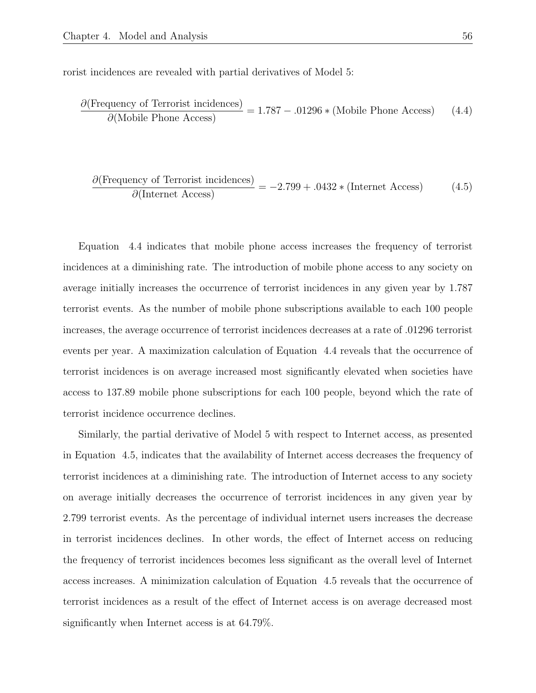rorist incidences are revealed with partial derivatives of Model 5:

$$
\frac{\partial(\text{Frequency of Terrorist incidence})}{\partial(\text{Mobile Phone Access})} = 1.787 - .01296 * (\text{Mobile Phone Access}) \tag{4.4}
$$

$$
\frac{\partial(\text{Frequency of Terrorist incidence})}{\partial(\text{Internet Access})} = -2.799 + .0432 * (\text{Internet Access}) \tag{4.5}
$$

Equation 4.4 indicates that mobile phone access increases the frequency of terrorist incidences at a diminishing rate. The introduction of mobile phone access to any society on average initially increases the occurrence of terrorist incidences in any given year by 1.787 terrorist events. As the number of mobile phone subscriptions available to each 100 people increases, the average occurrence of terrorist incidences decreases at a rate of .01296 terrorist events per year. A maximization calculation of Equation 4.4 reveals that the occurrence of terrorist incidences is on average increased most significantly elevated when societies have access to 137.89 mobile phone subscriptions for each 100 people, beyond which the rate of terrorist incidence occurrence declines.

Similarly, the partial derivative of Model 5 with respect to Internet access, as presented in Equation 4.5, indicates that the availability of Internet access decreases the frequency of terrorist incidences at a diminishing rate. The introduction of Internet access to any society on average initially decreases the occurrence of terrorist incidences in any given year by 2.799 terrorist events. As the percentage of individual internet users increases the decrease in terrorist incidences declines. In other words, the effect of Internet access on reducing the frequency of terrorist incidences becomes less significant as the overall level of Internet access increases. A minimization calculation of Equation 4.5 reveals that the occurrence of terrorist incidences as a result of the effect of Internet access is on average decreased most significantly when Internet access is at 64.79%.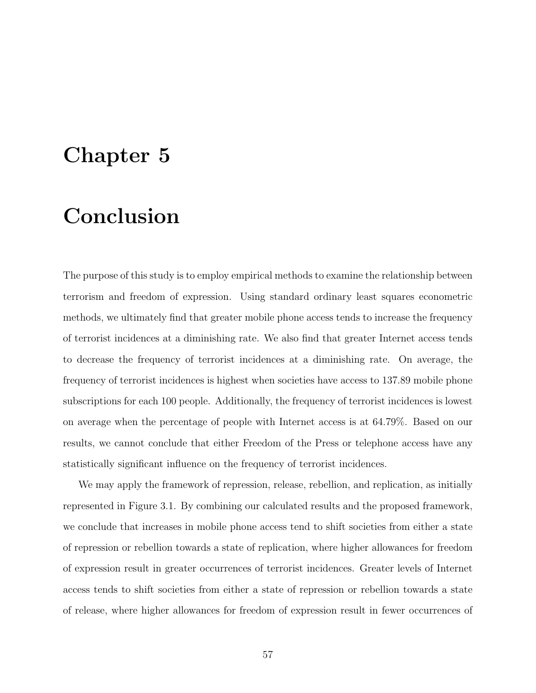# Chapter 5

# Conclusion

The purpose of this study is to employ empirical methods to examine the relationship between terrorism and freedom of expression. Using standard ordinary least squares econometric methods, we ultimately find that greater mobile phone access tends to increase the frequency of terrorist incidences at a diminishing rate. We also find that greater Internet access tends to decrease the frequency of terrorist incidences at a diminishing rate. On average, the frequency of terrorist incidences is highest when societies have access to 137.89 mobile phone subscriptions for each 100 people. Additionally, the frequency of terrorist incidences is lowest on average when the percentage of people with Internet access is at 64.79%. Based on our results, we cannot conclude that either Freedom of the Press or telephone access have any statistically significant influence on the frequency of terrorist incidences.

We may apply the framework of repression, release, rebellion, and replication, as initially represented in Figure 3.1. By combining our calculated results and the proposed framework, we conclude that increases in mobile phone access tend to shift societies from either a state of repression or rebellion towards a state of replication, where higher allowances for freedom of expression result in greater occurrences of terrorist incidences. Greater levels of Internet access tends to shift societies from either a state of repression or rebellion towards a state of release, where higher allowances for freedom of expression result in fewer occurrences of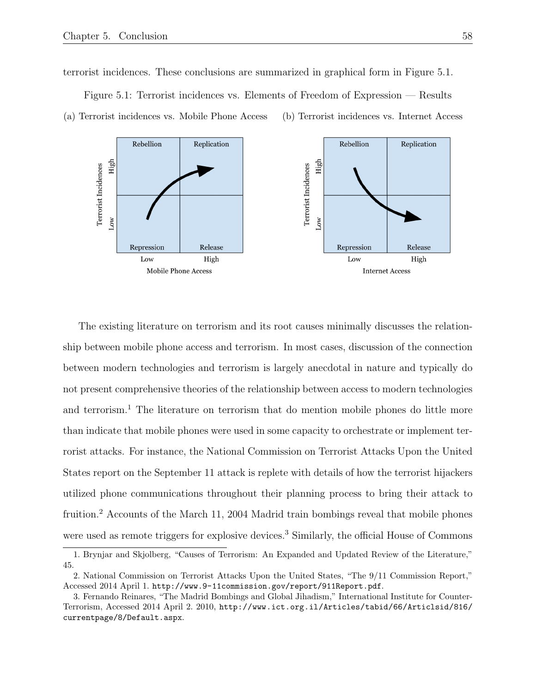terrorist incidences. These conclusions are summarized in graphical form in Figure 5.1.



Figure 5.1: Terrorist incidences vs. Elements of Freedom of Expression — Results (a) Terrorist incidences vs. Mobile Phone Access (b) Terrorist incidences vs. Internet Access

The existing literature on terrorism and its root causes minimally discusses the relationship between mobile phone access and terrorism. In most cases, discussion of the connection between modern technologies and terrorism is largely anecdotal in nature and typically do not present comprehensive theories of the relationship between access to modern technologies and terrorism.<sup>1</sup> The literature on terrorism that do mention mobile phones do little more than indicate that mobile phones were used in some capacity to orchestrate or implement terrorist attacks. For instance, the National Commission on Terrorist Attacks Upon the United States report on the September 11 attack is replete with details of how the terrorist hijackers utilized phone communications throughout their planning process to bring their attack to fruition.<sup>2</sup> Accounts of the March 11, 2004 Madrid train bombings reveal that mobile phones were used as remote triggers for explosive devices.<sup>3</sup> Similarly, the official House of Commons

<sup>1.</sup> Brynjar and Skjolberg, "Causes of Terrorism: An Expanded and Updated Review of the Literature," 45.

<sup>2.</sup> National Commission on Terrorist Attacks Upon the United States, "The 9/11 Commission Report," Accessed 2014 April 1. http://www.9-11commission.gov/report/911Report.pdf.

<sup>3.</sup> Fernando Reinares, "The Madrid Bombings and Global Jihadism," International Institute for Counter-Terrorism, Accessed 2014 April 2. 2010, http://www.ict.org.il/Articles/tabid/66/Articlsid/816/ currentpage/8/Default.aspx.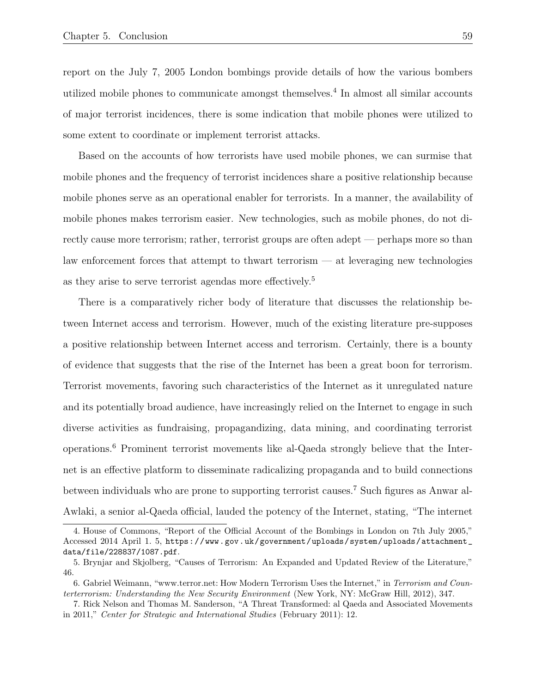report on the July 7, 2005 London bombings provide details of how the various bombers utilized mobile phones to communicate amongst themselves.<sup>4</sup> In almost all similar accounts of major terrorist incidences, there is some indication that mobile phones were utilized to some extent to coordinate or implement terrorist attacks.

Based on the accounts of how terrorists have used mobile phones, we can surmise that mobile phones and the frequency of terrorist incidences share a positive relationship because mobile phones serve as an operational enabler for terrorists. In a manner, the availability of mobile phones makes terrorism easier. New technologies, such as mobile phones, do not directly cause more terrorism; rather, terrorist groups are often adept — perhaps more so than law enforcement forces that attempt to thwart terrorism — at leveraging new technologies as they arise to serve terrorist agendas more effectively.<sup>5</sup>

There is a comparatively richer body of literature that discusses the relationship between Internet access and terrorism. However, much of the existing literature pre-supposes a positive relationship between Internet access and terrorism. Certainly, there is a bounty of evidence that suggests that the rise of the Internet has been a great boon for terrorism. Terrorist movements, favoring such characteristics of the Internet as it unregulated nature and its potentially broad audience, have increasingly relied on the Internet to engage in such diverse activities as fundraising, propagandizing, data mining, and coordinating terrorist operations.<sup>6</sup> Prominent terrorist movements like al-Qaeda strongly believe that the Internet is an effective platform to disseminate radicalizing propaganda and to build connections between individuals who are prone to supporting terrorist causes.<sup>7</sup> Such figures as Anwar al-Awlaki, a senior al-Qaeda official, lauded the potency of the Internet, stating, "The internet

<sup>4.</sup> House of Commons, "Report of the Official Account of the Bombings in London on 7th July 2005," Accessed 2014 April 1. 5, https://www.gov.uk/government/uploads/system/uploads/attachment\_ data/file/228837/1087.pdf.

<sup>5.</sup> Brynjar and Skjolberg, "Causes of Terrorism: An Expanded and Updated Review of the Literature," 46.

<sup>6.</sup> Gabriel Weimann, "www.terror.net: How Modern Terrorism Uses the Internet," in Terrorism and Counterterrorism: Understanding the New Security Environment (New York, NY: McGraw Hill, 2012), 347.

<sup>7.</sup> Rick Nelson and Thomas M. Sanderson, "A Threat Transformed: al Qaeda and Associated Movements in 2011," Center for Strategic and International Studies (February 2011): 12.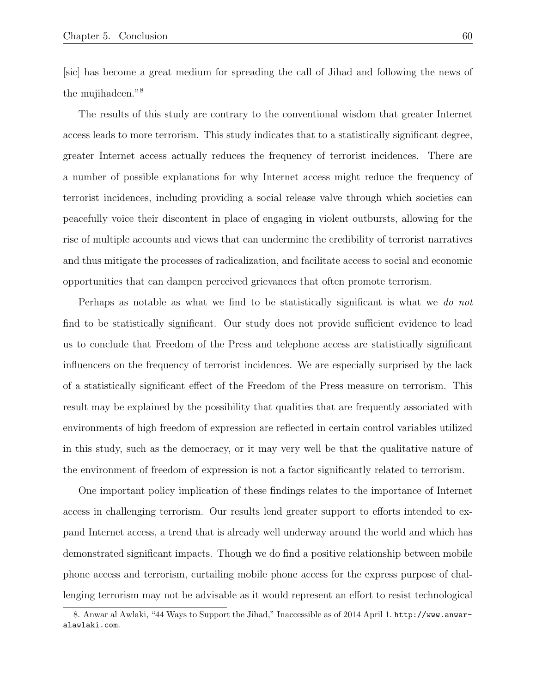[sic] has become a great medium for spreading the call of Jihad and following the news of the mujihadeen."<sup>8</sup>

The results of this study are contrary to the conventional wisdom that greater Internet access leads to more terrorism. This study indicates that to a statistically significant degree, greater Internet access actually reduces the frequency of terrorist incidences. There are a number of possible explanations for why Internet access might reduce the frequency of terrorist incidences, including providing a social release valve through which societies can peacefully voice their discontent in place of engaging in violent outbursts, allowing for the rise of multiple accounts and views that can undermine the credibility of terrorist narratives and thus mitigate the processes of radicalization, and facilitate access to social and economic opportunities that can dampen perceived grievances that often promote terrorism.

Perhaps as notable as what we find to be statistically significant is what we do not find to be statistically significant. Our study does not provide sufficient evidence to lead us to conclude that Freedom of the Press and telephone access are statistically significant influencers on the frequency of terrorist incidences. We are especially surprised by the lack of a statistically significant effect of the Freedom of the Press measure on terrorism. This result may be explained by the possibility that qualities that are frequently associated with environments of high freedom of expression are reflected in certain control variables utilized in this study, such as the democracy, or it may very well be that the qualitative nature of the environment of freedom of expression is not a factor significantly related to terrorism.

One important policy implication of these findings relates to the importance of Internet access in challenging terrorism. Our results lend greater support to efforts intended to expand Internet access, a trend that is already well underway around the world and which has demonstrated significant impacts. Though we do find a positive relationship between mobile phone access and terrorism, curtailing mobile phone access for the express purpose of challenging terrorism may not be advisable as it would represent an effort to resist technological

<sup>8.</sup> Anwar al Awlaki, "44 Ways to Support the Jihad," Inaccessible as of 2014 April 1. http://www.anwaralawlaki.com.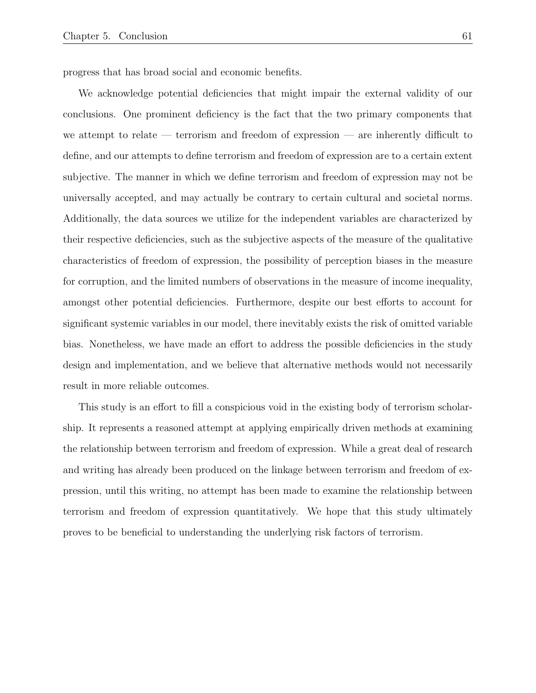progress that has broad social and economic benefits.

We acknowledge potential deficiencies that might impair the external validity of our conclusions. One prominent deficiency is the fact that the two primary components that we attempt to relate — terrorism and freedom of expression — are inherently difficult to define, and our attempts to define terrorism and freedom of expression are to a certain extent subjective. The manner in which we define terrorism and freedom of expression may not be universally accepted, and may actually be contrary to certain cultural and societal norms. Additionally, the data sources we utilize for the independent variables are characterized by their respective deficiencies, such as the subjective aspects of the measure of the qualitative characteristics of freedom of expression, the possibility of perception biases in the measure for corruption, and the limited numbers of observations in the measure of income inequality, amongst other potential deficiencies. Furthermore, despite our best efforts to account for significant systemic variables in our model, there inevitably exists the risk of omitted variable bias. Nonetheless, we have made an effort to address the possible deficiencies in the study design and implementation, and we believe that alternative methods would not necessarily result in more reliable outcomes.

This study is an effort to fill a conspicious void in the existing body of terrorism scholarship. It represents a reasoned attempt at applying empirically driven methods at examining the relationship between terrorism and freedom of expression. While a great deal of research and writing has already been produced on the linkage between terrorism and freedom of expression, until this writing, no attempt has been made to examine the relationship between terrorism and freedom of expression quantitatively. We hope that this study ultimately proves to be beneficial to understanding the underlying risk factors of terrorism.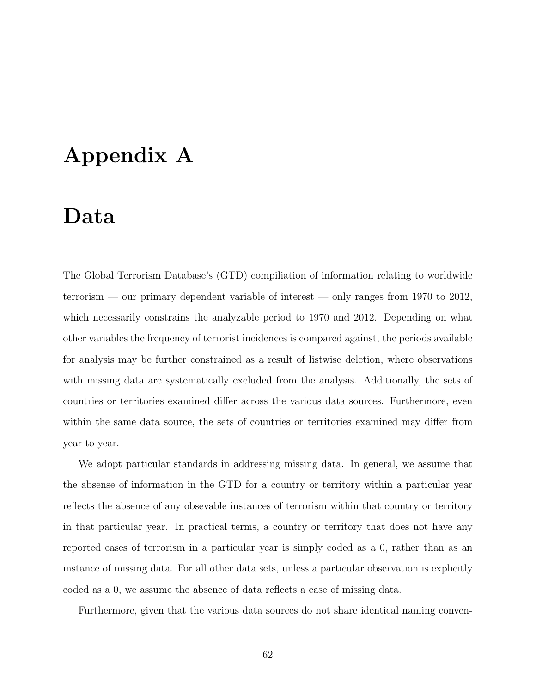# Appendix A

## Data

The Global Terrorism Database's (GTD) compiliation of information relating to worldwide terrorism — our primary dependent variable of interest — only ranges from 1970 to 2012, which necessarily constrains the analyzable period to 1970 and 2012. Depending on what other variables the frequency of terrorist incidences is compared against, the periods available for analysis may be further constrained as a result of listwise deletion, where observations with missing data are systematically excluded from the analysis. Additionally, the sets of countries or territories examined differ across the various data sources. Furthermore, even within the same data source, the sets of countries or territories examined may differ from year to year.

We adopt particular standards in addressing missing data. In general, we assume that the absense of information in the GTD for a country or territory within a particular year reflects the absence of any obsevable instances of terrorism within that country or territory in that particular year. In practical terms, a country or territory that does not have any reported cases of terrorism in a particular year is simply coded as a 0, rather than as an instance of missing data. For all other data sets, unless a particular observation is explicitly coded as a 0, we assume the absence of data reflects a case of missing data.

Furthermore, given that the various data sources do not share identical naming conven-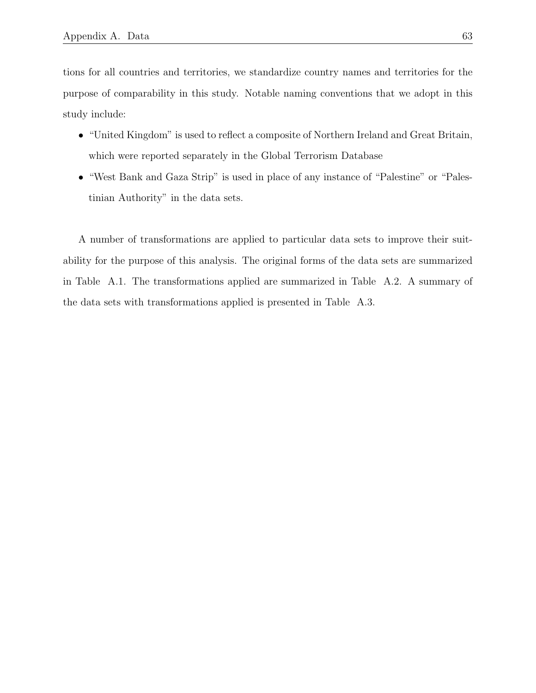tions for all countries and territories, we standardize country names and territories for the purpose of comparability in this study. Notable naming conventions that we adopt in this study include:

- "United Kingdom" is used to reflect a composite of Northern Ireland and Great Britain, which were reported separately in the Global Terrorism Database
- "West Bank and Gaza Strip" is used in place of any instance of "Palestine" or "Palestinian Authority" in the data sets.

A number of transformations are applied to particular data sets to improve their suitability for the purpose of this analysis. The original forms of the data sets are summarized in Table A.1. The transformations applied are summarized in Table A.2. A summary of the data sets with transformations applied is presented in Table A.3.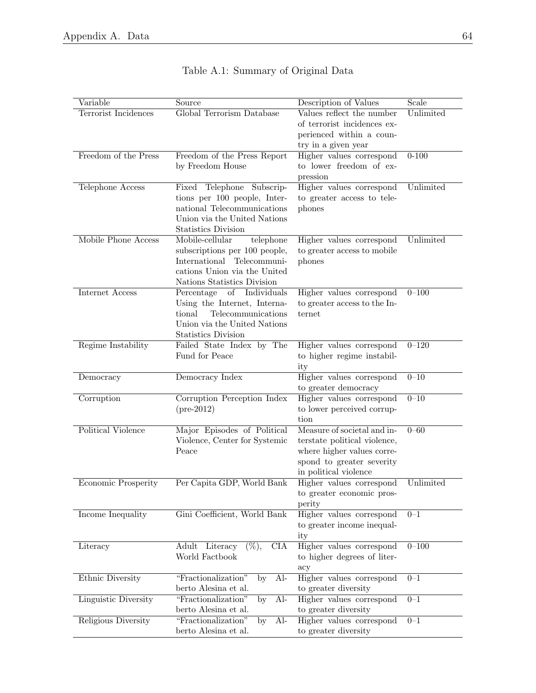| Variable             | Source                                                       | Description of Values                                    | Scale     |
|----------------------|--------------------------------------------------------------|----------------------------------------------------------|-----------|
| Terrorist Incidences | Global Terrorism Database                                    | Values reflect the number                                | Unlimited |
|                      |                                                              | of terrorist incidences ex-                              |           |
|                      |                                                              | perienced within a coun-                                 |           |
|                      |                                                              | try in a given year                                      |           |
| Freedom of the Press | Freedom of the Press Report                                  | Higher values correspond                                 | $0 - 100$ |
|                      | by Freedom House                                             | to lower freedom of ex-                                  |           |
|                      |                                                              | pression                                                 |           |
| Telephone Access     | Fixed Telephone Subscrip-                                    | Higher values correspond                                 | Unlimited |
|                      | tions per 100 people, Inter-                                 | to greater access to tele-                               |           |
|                      | national Telecommunications                                  | phones                                                   |           |
|                      | Union via the United Nations                                 |                                                          |           |
|                      | Statistics Division                                          |                                                          |           |
| Mobile Phone Access  | Mobile-cellular<br>telephone                                 | Higher values correspond                                 | Unlimited |
|                      | subscriptions per 100 people,                                | to greater access to mobile                              |           |
|                      | International Telecommuni-                                   | phones                                                   |           |
|                      | cations Union via the United                                 |                                                          |           |
|                      | Nations Statistics Division                                  |                                                          |           |
| Internet Access      | Percentage of Individuals                                    | Higher values correspond<br>to greater access to the In- | $0 - 100$ |
|                      | Using the Internet, Interna-<br>tional<br>Telecommunications | ternet                                                   |           |
|                      | Union via the United Nations                                 |                                                          |           |
|                      | Statistics Division                                          |                                                          |           |
| Regime Instability   | Failed State Index by The                                    | Higher values correspond                                 | $0 - 120$ |
|                      | Fund for Peace                                               | to higher regime instabil-                               |           |
|                      |                                                              | ity                                                      |           |
| Democracy            | Democracy Index                                              | Higher values correspond                                 | $0 - 10$  |
|                      |                                                              | to greater democracy                                     |           |
| Corruption           | Corruption Perception Index                                  | Higher values correspond                                 | $0 - 10$  |
|                      | $(pre-2012)$                                                 | to lower perceived corrup-                               |           |
|                      |                                                              | tion                                                     |           |
| Political Violence   | Major Episodes of Political                                  | Measure of societal and in-                              | $0 - 60$  |
|                      | Violence, Center for Systemic                                | terstate political violence,                             |           |
|                      | Peace                                                        | where higher values corre-                               |           |
|                      |                                                              | spond to greater severity                                |           |
|                      |                                                              | in political violence                                    |           |
| Economic Prosperity  | Per Capita GDP, World Bank                                   | Higher values correspond                                 | Unlimited |
|                      |                                                              | to greater economic pros-                                |           |
|                      |                                                              | perity                                                   |           |
| Income Inequality    | Gini Coefficient, World Bank                                 | Higher values correspond                                 | $0 - 1$   |
|                      |                                                              | to greater income inequal-                               |           |
|                      |                                                              | ity                                                      |           |
| Literacy             | $(\%),$<br><b>CIA</b><br>Adult Literacy                      | Higher values correspond                                 | $0 - 100$ |
|                      | World Factbook                                               | to higher degrees of liter-                              |           |
|                      |                                                              | acy                                                      |           |
| Ethnic Diversity     | "Fractionalization"<br>$AI-$<br>by                           | Higher values correspond                                 | $0 - 1$   |
|                      | berto Alesina et al.                                         | to greater diversity                                     |           |
| Linguistic Diversity | $\overline{Al}$<br>"Fractionalization"<br>by                 | Higher values correspond                                 | $0 - 1$   |
|                      | berto Alesina et al.                                         | to greater diversity                                     |           |
| Religious Diversity  | $Al-$<br>"Fractionalization"<br>by                           | Higher values correspond                                 | $0 - 1$   |
|                      | berto Alesina et al.                                         | to greater diversity                                     |           |

## Table A.1: Summary of Original Data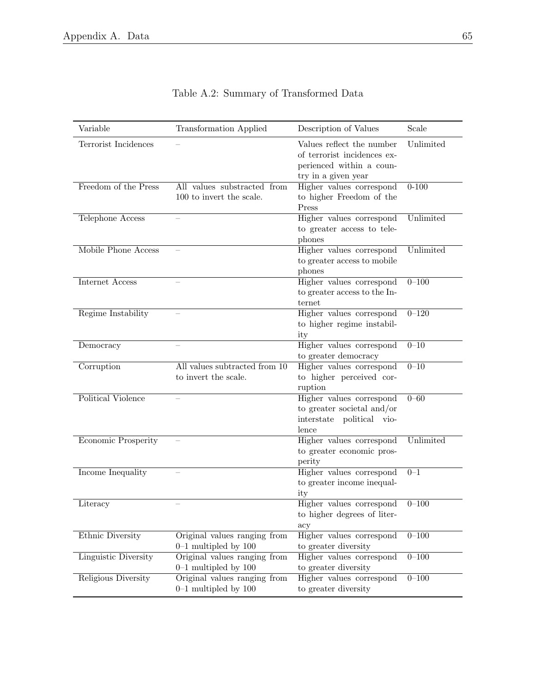| Variable             | <b>Transformation Applied</b>                           | Description of Values                                                                                       | Scale     |
|----------------------|---------------------------------------------------------|-------------------------------------------------------------------------------------------------------------|-----------|
| Terrorist Incidences |                                                         | Values reflect the number<br>of terrorist incidences ex-<br>perienced within a coun-<br>try in a given year | Unlimited |
| Freedom of the Press | All values substracted from<br>100 to invert the scale. | Higher values correspond<br>to higher Freedom of the<br>Press                                               | $0 - 100$ |
| Telephone Access     |                                                         | Higher values correspond<br>to greater access to tele-<br>phones                                            | Unlimited |
| Mobile Phone Access  |                                                         | Higher values correspond<br>to greater access to mobile<br>phones                                           | Unlimited |
| Internet Access      |                                                         | Higher values correspond<br>to greater access to the In-<br>ternet                                          | $0 - 100$ |
| Regime Instability   |                                                         | Higher values correspond<br>to higher regime instabil-<br>ity                                               | $0 - 120$ |
| Democracy            |                                                         | Higher values correspond<br>to greater democracy                                                            | $0 - 10$  |
| Corruption           | All values subtracted from 10<br>to invert the scale.   | Higher values correspond<br>to higher perceived cor-<br>ruption                                             | $0 - 10$  |
| Political Violence   |                                                         | Higher values correspond<br>to greater societal and/or<br>interstate political vio-<br>lence                | $0 - 60$  |
| Economic Prosperity  |                                                         | Higher values correspond<br>to greater economic pros-<br>perity                                             | Unlimited |
| Income Inequality    |                                                         | Higher values correspond<br>to greater income inequal-<br>ity                                               | $0 - 1$   |
| Literacy             |                                                         | Higher values correspond<br>to higher degrees of liter-<br>acy                                              | $0 - 100$ |
| Ethnic Diversity     | Original values ranging from<br>$0-1$ multipled by 100  | Higher values correspond<br>to greater diversity                                                            | $0 - 100$ |
| Linguistic Diversity | Original values ranging from<br>$0-1$ multipled by 100  | Higher values correspond<br>to greater diversity                                                            | $0 - 100$ |
| Religious Diversity  | Original values ranging from<br>$0-1$ multipled by 100  | Higher values correspond<br>to greater diversity                                                            | $0 - 100$ |

|  | Table A.2: Summary of Transformed Data |  |
|--|----------------------------------------|--|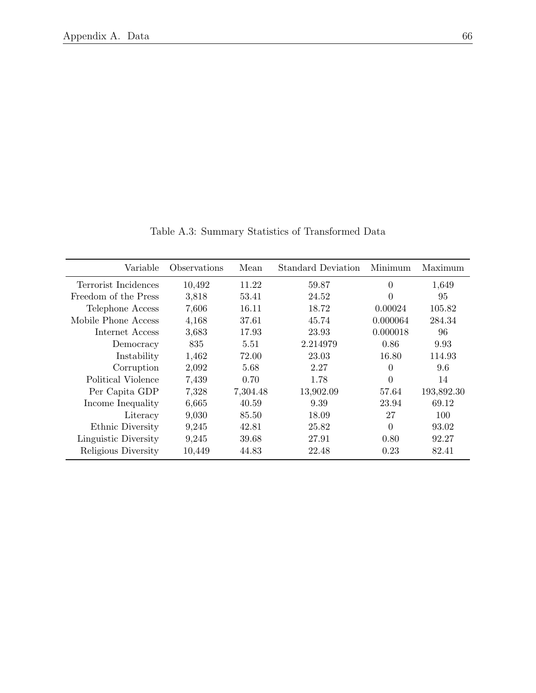| Variable             | Observations | Mean     | <b>Standard Deviation</b> | Minimum        | Maximum    |
|----------------------|--------------|----------|---------------------------|----------------|------------|
| Terrorist Incidences | 10,492       | 11.22    | 59.87                     | 0              | 1,649      |
| Freedom of the Press | 3,818        | 53.41    | 24.52                     | $\overline{0}$ | 95         |
| Telephone Access     | 7,606        | 16.11    | 18.72                     | 0.00024        | 105.82     |
| Mobile Phone Access  | 4,168        | 37.61    | 45.74                     | 0.000064       | 284.34     |
| Internet Access      | 3,683        | 17.93    | 23.93                     | 0.000018       | 96         |
| Democracy            | 835          | 5.51     | 2.214979                  | 0.86           | 9.93       |
| Instability          | 1,462        | 72.00    | 23.03                     | 16.80          | 114.93     |
| Corruption           | 2,092        | 5.68     | 2.27                      | 0              | 9.6        |
| Political Violence   | 7,439        | 0.70     | 1.78                      | $\overline{0}$ | 14         |
| Per Capita GDP       | 7,328        | 7,304.48 | 13,902.09                 | 57.64          | 193,892.30 |
| Income Inequality    | 6,665        | 40.59    | 9.39                      | 23.94          | 69.12      |
| Literacy             | 9,030        | 85.50    | 18.09                     | 27             | 100        |
| Ethnic Diversity     | 9,245        | 42.81    | 25.82                     | 0              | 93.02      |
| Linguistic Diversity | 9,245        | 39.68    | 27.91                     | 0.80           | 92.27      |
| Religious Diversity  | 10,449       | 44.83    | 22.48                     | 0.23           | 82.41      |

Table A.3: Summary Statistics of Transformed Data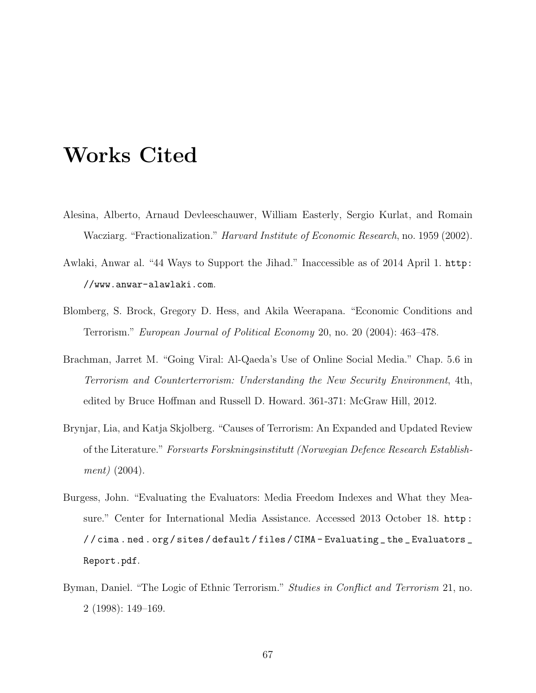## Works Cited

- Alesina, Alberto, Arnaud Devleeschauwer, William Easterly, Sergio Kurlat, and Romain Wacziarg. "Fractionalization." Harvard Institute of Economic Research, no. 1959 (2002).
- Awlaki, Anwar al. "44 Ways to Support the Jihad." Inaccessible as of 2014 April 1. http: //www.anwar-alawlaki.com.
- Blomberg, S. Brock, Gregory D. Hess, and Akila Weerapana. "Economic Conditions and Terrorism." European Journal of Political Economy 20, no. 20 (2004): 463–478.
- Brachman, Jarret M. "Going Viral: Al-Qaeda's Use of Online Social Media." Chap. 5.6 in Terrorism and Counterterrorism: Understanding the New Security Environment, 4th, edited by Bruce Hoffman and Russell D. Howard. 361-371: McGraw Hill, 2012.
- Brynjar, Lia, and Katja Skjolberg. "Causes of Terrorism: An Expanded and Updated Review of the Literature." Forsvarts Forskningsinstitutt (Norwegian Defence Research Establishment) (2004).
- Burgess, John. "Evaluating the Evaluators: Media Freedom Indexes and What they Measure." Center for International Media Assistance. Accessed 2013 October 18. http : //cima.ned.org/sites/default/files/CIMA-Evaluating\_the\_Evaluators\_ Report.pdf.
- Byman, Daniel. "The Logic of Ethnic Terrorism." Studies in Conflict and Terrorism 21, no. 2 (1998): 149–169.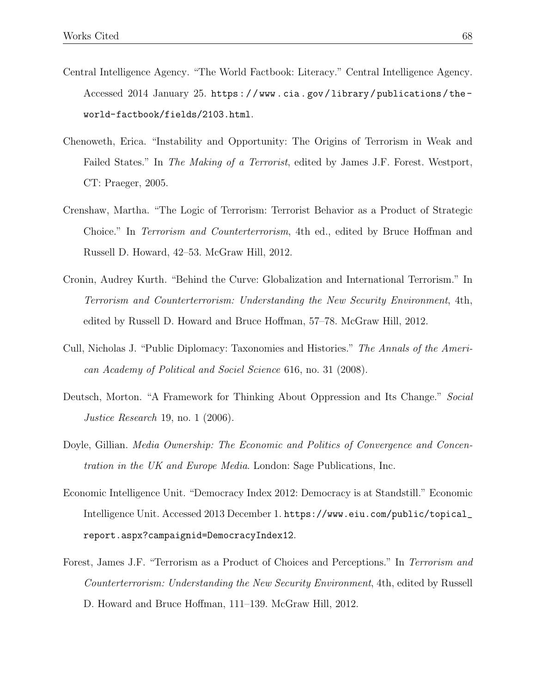- Central Intelligence Agency. "The World Factbook: Literacy." Central Intelligence Agency. Accessed 2014 January 25. https : / / www . cia . gov / library / publications / the world-factbook/fields/2103.html.
- Chenoweth, Erica. "Instability and Opportunity: The Origins of Terrorism in Weak and Failed States." In The Making of a Terrorist, edited by James J.F. Forest. Westport, CT: Praeger, 2005.
- Crenshaw, Martha. "The Logic of Terrorism: Terrorist Behavior as a Product of Strategic Choice." In Terrorism and Counterterrorism, 4th ed., edited by Bruce Hoffman and Russell D. Howard, 42–53. McGraw Hill, 2012.
- Cronin, Audrey Kurth. "Behind the Curve: Globalization and International Terrorism." In Terrorism and Counterterrorism: Understanding the New Security Environment, 4th, edited by Russell D. Howard and Bruce Hoffman, 57–78. McGraw Hill, 2012.
- Cull, Nicholas J. "Public Diplomacy: Taxonomies and Histories." The Annals of the American Academy of Political and Sociel Science 616, no. 31 (2008).
- Deutsch, Morton. "A Framework for Thinking About Oppression and Its Change." Social *Justice Research* 19, no. 1 (2006).
- Doyle, Gillian. Media Ownership: The Economic and Politics of Convergence and Concentration in the UK and Europe Media. London: Sage Publications, Inc.
- Economic Intelligence Unit. "Democracy Index 2012: Democracy is at Standstill." Economic Intelligence Unit. Accessed 2013 December 1. https://www.eiu.com/public/topical\_ report.aspx?campaignid=DemocracyIndex12.
- Forest, James J.F. "Terrorism as a Product of Choices and Perceptions." In Terrorism and Counterterrorism: Understanding the New Security Environment, 4th, edited by Russell D. Howard and Bruce Hoffman, 111–139. McGraw Hill, 2012.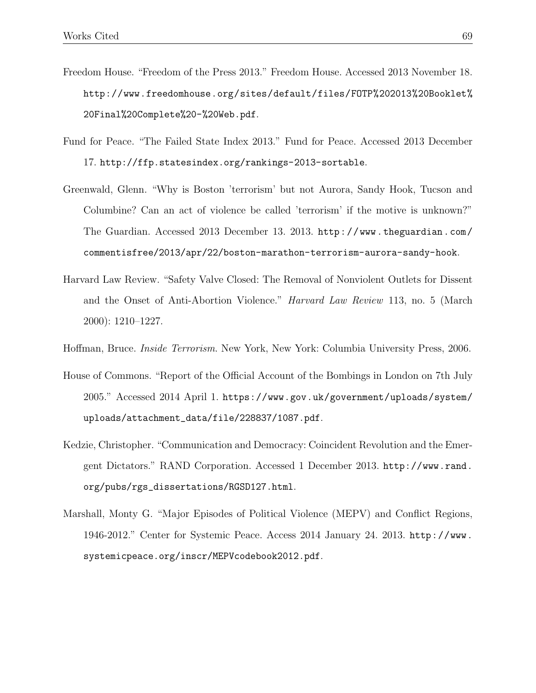- Freedom House. "Freedom of the Press 2013." Freedom House. Accessed 2013 November 18. http://www.freedomhouse.org/sites/default/files/FOTP%202013%20Booklet% 20Final%20Complete%20-%20Web.pdf.
- Fund for Peace. "The Failed State Index 2013." Fund for Peace. Accessed 2013 December 17. http://ffp.statesindex.org/rankings-2013-sortable.
- Greenwald, Glenn. "Why is Boston 'terrorism' but not Aurora, Sandy Hook, Tucson and Columbine? Can an act of violence be called 'terrorism' if the motive is unknown?" The Guardian. Accessed 2013 December 13. 2013. http://www.theguardian.com/ commentisfree/2013/apr/22/boston-marathon-terrorism-aurora-sandy-hook.
- Harvard Law Review. "Safety Valve Closed: The Removal of Nonviolent Outlets for Dissent and the Onset of Anti-Abortion Violence." Harvard Law Review 113, no. 5 (March 2000): 1210–1227.
- Hoffman, Bruce. Inside Terrorism. New York, New York: Columbia University Press, 2006.
- House of Commons. "Report of the Official Account of the Bombings in London on 7th July 2005." Accessed 2014 April 1. https://www.gov.uk/government/uploads/system/ uploads/attachment\_data/file/228837/1087.pdf.
- Kedzie, Christopher. "Communication and Democracy: Coincident Revolution and the Emergent Dictators." RAND Corporation. Accessed 1 December 2013. http://www.rand. org/pubs/rgs\_dissertations/RGSD127.html.
- Marshall, Monty G. "Major Episodes of Political Violence (MEPV) and Conflict Regions, 1946-2012." Center for Systemic Peace. Access 2014 January 24. 2013. http://www. systemicpeace.org/inscr/MEPVcodebook2012.pdf.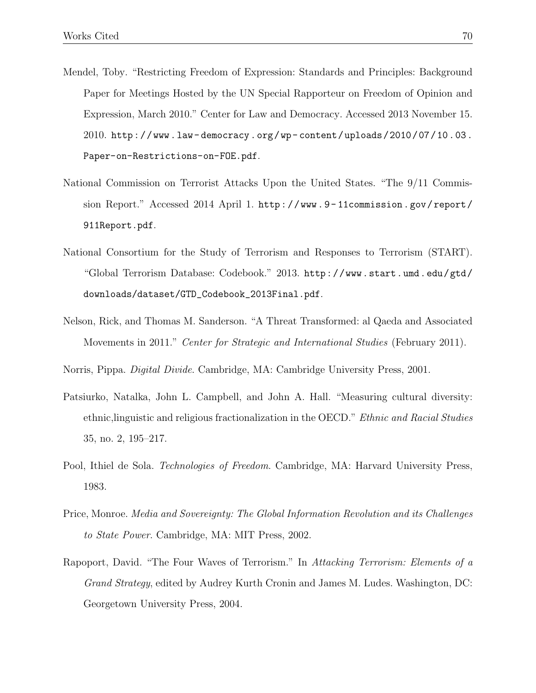- Mendel, Toby. "Restricting Freedom of Expression: Standards and Principles: Background Paper for Meetings Hosted by the UN Special Rapporteur on Freedom of Opinion and Expression, March 2010." Center for Law and Democracy. Accessed 2013 November 15.  $2010.$  http://www.law-democracy.org/wp-content/uploads/2010/07/10.03. Paper-on-Restrictions-on-FOE.pdf.
- National Commission on Terrorist Attacks Upon the United States. "The 9/11 Commission Report." Accessed 2014 April 1. http : / / www . 9 - 11commission . gov / report / 911Report.pdf.
- National Consortium for the Study of Terrorism and Responses to Terrorism (START). "Global Terrorism Database: Codebook." 2013. http://www.start.umd.edu/gtd/ downloads/dataset/GTD\_Codebook\_2013Final.pdf.
- Nelson, Rick, and Thomas M. Sanderson. "A Threat Transformed: al Qaeda and Associated Movements in 2011." Center for Strategic and International Studies (February 2011).
- Norris, Pippa. Digital Divide. Cambridge, MA: Cambridge University Press, 2001.
- Patsiurko, Natalka, John L. Campbell, and John A. Hall. "Measuring cultural diversity: ethnic,linguistic and religious fractionalization in the OECD." Ethnic and Racial Studies 35, no. 2, 195–217.
- Pool, Ithiel de Sola. *Technologies of Freedom*. Cambridge, MA: Harvard University Press, 1983.
- Price, Monroe. Media and Sovereignty: The Global Information Revolution and its Challenges to State Power. Cambridge, MA: MIT Press, 2002.
- Rapoport, David. "The Four Waves of Terrorism." In Attacking Terrorism: Elements of a Grand Strategy, edited by Audrey Kurth Cronin and James M. Ludes. Washington, DC: Georgetown University Press, 2004.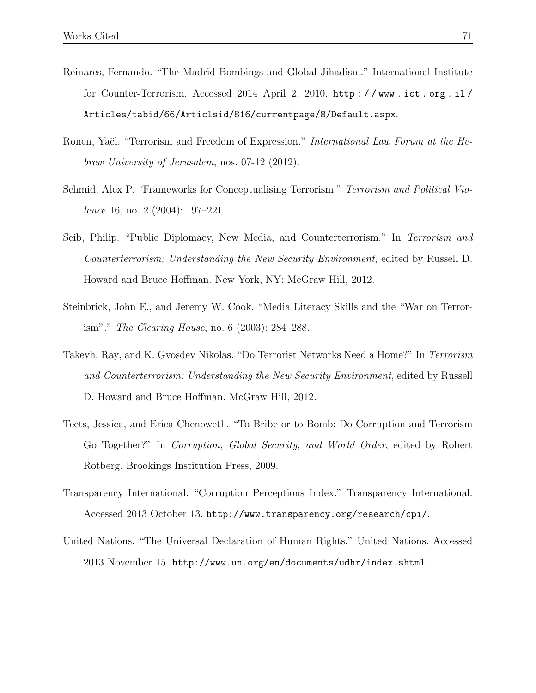- Reinares, Fernando. "The Madrid Bombings and Global Jihadism." International Institute for Counter-Terrorism. Accessed 2014 April 2. 2010. http : / / www . ict . org . il / Articles/tabid/66/Articlsid/816/currentpage/8/Default.aspx.
- Ronen, Yaël. "Terrorism and Freedom of Expression." International Law Forum at the Hebrew University of Jerusalem, nos. 07-12 (2012).
- Schmid, Alex P. "Frameworks for Conceptualising Terrorism." Terrorism and Political Violence 16, no. 2 (2004): 197–221.
- Seib, Philip. "Public Diplomacy, New Media, and Counterterrorism." In Terrorism and Counterterrorism: Understanding the New Security Environment, edited by Russell D. Howard and Bruce Hoffman. New York, NY: McGraw Hill, 2012.
- Steinbrick, John E., and Jeremy W. Cook. "Media Literacy Skills and the "War on Terrorism"." The Clearing House, no. 6 (2003): 284–288.
- Takeyh, Ray, and K. Gvosdev Nikolas. "Do Terrorist Networks Need a Home?" In Terrorism and Counterterrorism: Understanding the New Security Environment, edited by Russell D. Howard and Bruce Hoffman. McGraw Hill, 2012.
- Teets, Jessica, and Erica Chenoweth. "To Bribe or to Bomb: Do Corruption and Terrorism Go Together?" In Corruption, Global Security, and World Order, edited by Robert Rotberg. Brookings Institution Press, 2009.
- Transparency International. "Corruption Perceptions Index." Transparency International. Accessed 2013 October 13. http://www.transparency.org/research/cpi/.
- United Nations. "The Universal Declaration of Human Rights." United Nations. Accessed 2013 November 15. http://www.un.org/en/documents/udhr/index.shtml.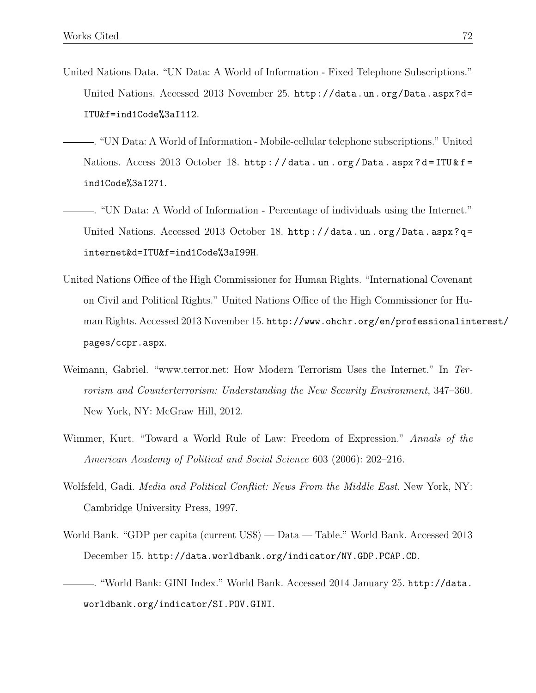- United Nations Data. "UN Data: A World of Information Fixed Telephone Subscriptions." United Nations. Accessed 2013 November 25. http://data.un.org/Data.aspx?d= ITU&f=ind1Code%3aI112.
- . "UN Data: A World of Information Mobile-cellular telephone subscriptions." United Nations. Access 2013 October 18. http://data.un.org/Data.aspx?d=ITU&f= ind1Code%3aI271.
	- . "UN Data: A World of Information Percentage of individuals using the Internet." United Nations. Accessed 2013 October 18. http://data.un.org/Data.aspx?q= internet&d=ITU&f=ind1Code%3aI99H.
- United Nations Office of the High Commissioner for Human Rights. "International Covenant on Civil and Political Rights." United Nations Office of the High Commissioner for Human Rights. Accessed 2013 November 15. http://www.ohchr.org/en/professionalinterest/ pages/ccpr.aspx.
- Weimann, Gabriel. "www.terror.net: How Modern Terrorism Uses the Internet." In Terrorism and Counterterrorism: Understanding the New Security Environment, 347–360. New York, NY: McGraw Hill, 2012.
- Wimmer, Kurt. "Toward a World Rule of Law: Freedom of Expression." Annals of the American Academy of Political and Social Science 603 (2006): 202–216.
- Wolfsfeld, Gadi. Media and Political Conflict: News From the Middle East. New York, NY: Cambridge University Press, 1997.
- World Bank. "GDP per capita (current US\$) Data Table." World Bank. Accessed 2013 December 15. http://data.worldbank.org/indicator/NY.GDP.PCAP.CD.
- . "World Bank: GINI Index." World Bank. Accessed 2014 January 25. http://data. worldbank.org/indicator/SI.POV.GINI.